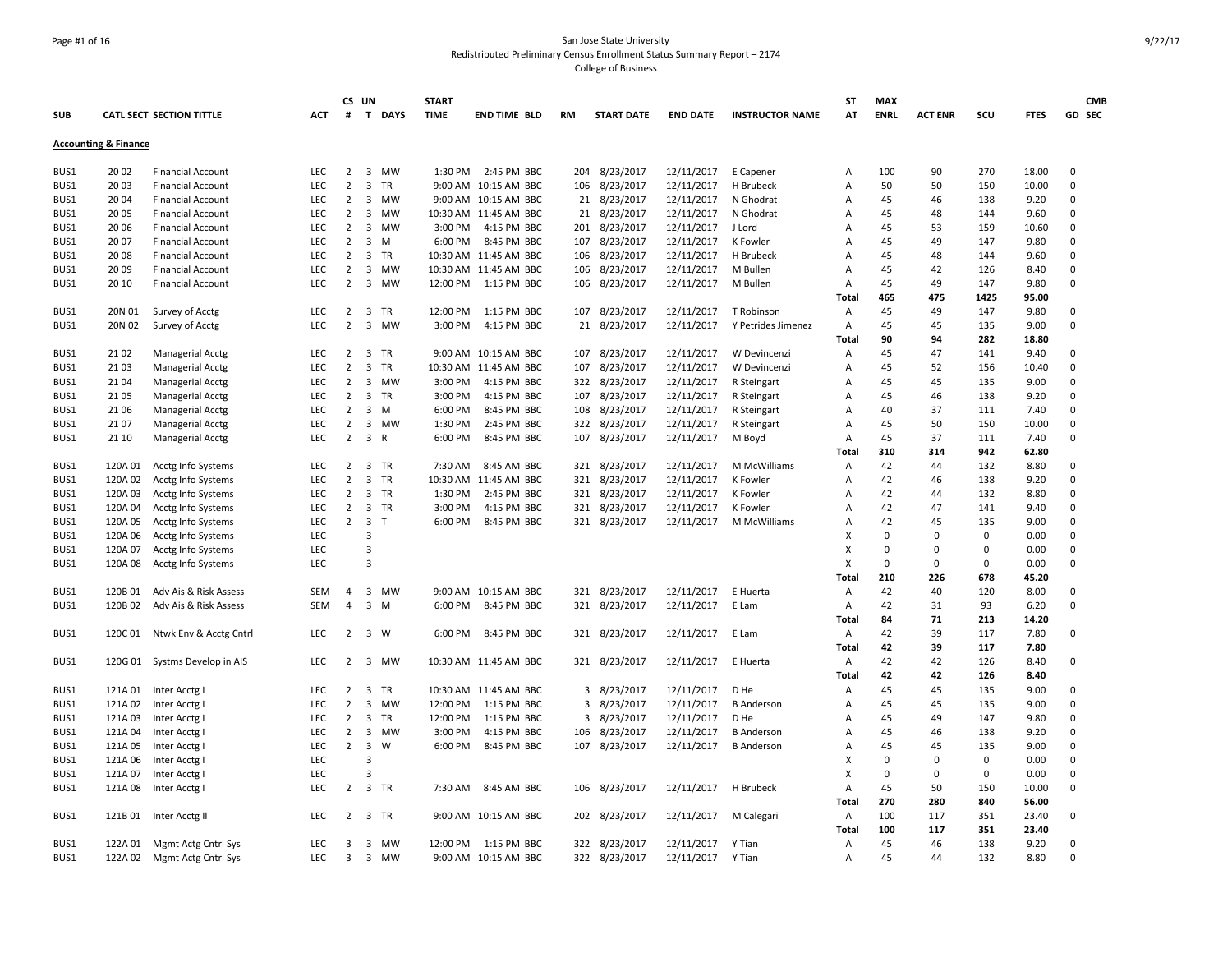#### Page #1 of 16 San Jose State University Redistributed Preliminary Census Enrollment Status Summary Report – 2174 College of Business

**SUB CATL SECT SECTION TITTLE ACT CS UN # T DAYS START TIME END TIME BLD RM START DATE END DATE INSTRUCTOR NAME ST AT MAX ENRL ACT ENR SCU FTES GD CMB SEC Accounting & Finance** BUS1 20 02 Financial Account LEC 2 3 MW 1:30 PM 2:45 PM BBC 204 8/23/2017 12/11/2017 E Capener A 100 90 270 18.00 0 BUS1 20 03 Financial Account LEC 2 3 TR 9:00 AM 10:15 AM BBC 106 8/23/2017 12/11/2017 H Brubeck A 50 50 150 10.00 0 BUS1 20 04 Financial Account LEC 2 3 MW 9:00 AM 10:15 AM BBC 21 8/23/2017 12/11/2017 N Ghodrat A 45 46 138 9.20 0 BUS1 20 05 Financial Account LEC 2 3 MW 10:30 AM 11:45 AM BBC 21 8/23/2017 12/11/2017 N Ghodrat A 45 48 144 9.60 0 BUS1 20 06 Financial Account LEC 2 3 MW 3:00 PM 4:15 PM BBC 201 8/23/2017 12/11/2017 J Lord A 45 53 159 10.60 0 BUS1 20 07 Financial Account LEC 2 3 M 6:00 PM 8:45 PM BBC 107 8/23/2017 12/11/2017 K Fowler A 45 49 147 9.80 0 BUS1 20 08 Financial Account LEC 2 3 TR 10:30 AM 11:45 AM BBC 106 8/23/2017 12/11/2017 H Brubeck A 45 48 144 9.60 0 BUS1 20 09 Financial Account LEC 2 3 MW 10:30 AM 11:45 AM BBC 106 8/23/2017 12/11/2017 M Bullen A 45 42 126 8.40 0 BUS1 20 10 Financial Account LEC 2 3 MW 12:00 PM 1:15 PM BBC 106 8/23/2017 12/11/2017 M Bullen A 45 49 147 9.80 0 **Total 465 475 1425 95.00** BUS1 20N 01 Survey of Acctg LEC 2 3 TR 12:00 PM 1:15 PM BBC 107 8/23/2017 12/11/2017 T Robinson A 45 49 147 9.80 0 BUS1 20N 02 Survey of Acctg LEC 2 3 MW 3:00 PM 4:15 PM BBC 21 8/23/2017 12/11/2017 Y Petrides Jimenez A 45 45 135 9.00 0 **Total 90 94 282 18.80** BUS1 21 02 Managerial Acctg LEC 2 3 TR 9:00 AM 10:15 AM BBC 107 8/23/2017 12/11/2017 W Devincenzi A 45 47 141 9.40 0 BUS1 21 03 Managerial Acctg LEC 2 3 TR 10:30 AM 11:45 AM BBC 107 8/23/2017 12/11/2017 W Devincenzi A 45 52 156 10.40 0 BUS1 21 04 Managerial Acctg LEC 2 3 MW 3:00 PM 4:15 PM BBC 322 8/23/2017 12/11/2017 R Steingart A 45 45 135 9.00 0 BUS1 21 05 Managerial Acctg LEC 2 3 TR 3:00 PM 4:15 PM BBC 107 8/23/2017 12/11/2017 R Steingart A 45 46 138 9.20 0 BUS1 21 06 Managerial Acctg LEC 2 3 M 6:00 PM 8:45 PM BBC 108 8/23/2017 12/11/2017 R Steingart A 40 37 111 7.40 0 BUS1 21 07 Managerial Acctg LEC 2 3 MW 1:30 PM 2:45 PM BBC 322 8/23/2017 12/11/2017 R Steingart A 45 50 150 10.00 0 BUS1 21 10 Managerial Acctg LEC 2 3 R 6:00 PM 8:45 PM BBC 107 8/23/2017 12/11/2017 M Boyd A 45 37 111 7.40 0 **Total 310 314 942 62.80** BUS1 120A 01 Acctg Info Systems LEC 2 3 TR 7:30 AM 8:45 AM BBC 321 8/23/2017 12/11/2017 M McWilliams A 42 44 132 8.80 0 BUS1 120A 02 Acctg Info Systems LEC 2 3 TR 10:30 AM 11:45 AM BBC 321 8/23/2017 12/11/2017 K Fowler A 42 46 138 9.20 0 BUS1 120A 03 Acctg Info Systems LEC 2 3 TR 1:30 PM 2:45 PM BBC 321 8/23/2017 12/11/2017 K Fowler A 42 44 132 8.80 0 BUS1 120A 04 Acctg Info Systems LEC 2 3 TR 3:00 PM 4:15 PM BBC 321 8/23/2017 12/11/2017 K Fowler A 42 47 141 9.40 0 BUS1 120A 05 Acctg Info Systems LEC 2 3 T 6:00 PM 8:45 PM BBC 321 8/23/2017 12/11/2017 M McWilliams A 42 45 135 9.00 0 BUS1 120A 06 Acctg Info Systems LEC 3 X 0 0 0 0.00 0 BUS1 120A 07 Acctg Info Systems LEC 3 X 0 0 0 0.00 0 BUS1 120A 08 Acctg Info Systems LEC 3 X 0 0 0 0.00 0 **Total 210 226 678 45.20** BUS1 120B 01 Adv Ais & Risk Assess SEM 4 3 MW 9:00 AM 10:15 AM BBC 321 8/23/2017 12/11/2017 E Huerta A 42 40 120 8.00 0 BUS1 120B 02 Adv Ais & Risk Assess SEM 4 3 M 6:00 PM 8:45 PM BBC 321 8/23/2017 12/11/2017 E Lam A 42 31 93 6.20 0 **Total 84 71 213 14.20** BUS1 120C 01 Ntwk Env & Acctg Cntrl LEC 2 3 W 6:00 PM 8:45 PM BBC 321 8/23/2017 12/11/2017 E Lam A 42 39 117 7.80 0 **Total 42 39 117 7.80** BUS1 120G 01 Systms Develop in AIS LEC 2 3 MW 10:30 AM 11:45 AM BBC 321 8/23/2017 12/11/2017 E Huerta A 42 42 126 8.40 0 **Total 42 42 126 8.40** BUS1 121A 01 Inter Acctg I LEC 2 3 TR 10:30 AM 11:45 AM BBC 3 8/23/2017 12/11/2017 D He A 45 45 135 9.00 C BUS1 121A 02 Inter Acctg I LEC 2 3 MW 12:00 PM 1:15 PM BBC 3 8/23/2017 12/11/2017 B Anderson A 45 45 135 9.00 C BUS1 121A 03 Inter Acctg I LEC 2 3 TR 12:00 PM 1:15 PM BBC 3 8/23/2017 12/11/2017 D He A 45 49 147 9.80 C BUS1 121A 04 Inter Acctg I LEC 2 3 MW 3:00 PM 4:15 PM BBC 106 8/23/2017 12/11/2017 B Anderson A 45 45 46 138 9.20 0 BUS1 121A 05 Inter Acctg I LEC 2 3 W 6:00 PM 8:45 PM BBC 107 8/23/2017 12/11/2017 B Anderson A 45 45 135 9.00 C BUS1 121A 06 Inter Acctg I LEC 3 X 0 0 0 0.00 0 BUS1 121A 07 Inter Acctg I LEC 3 X 0 0 0 0.00 0 BUS1 121A 08 Inter Acctg I LEC 2 3 TR 7:30 AM 8:45 AM BBC 106 8/23/2017 12/11/2017 H Brubeck A 45 50 150 10.00 C **Total 270 280 840 56.00** BUS1 121B 01 Inter Acctg II LEC 2 3 TR 9:00 AM 10:15 AM BBC 202 8/23/2017 12/11/2017 M Calegari A 100 117 351 23.40 0 **Total 100 117 351 23.40** BUS1 122A 01 Mgmt Actg Cntrl Sys LEC 3 3 MW 12:00 PM 1:15 PM BBC 322 8/23/2017 12/11/2017 Y Tian A 45 45 46 138 9.20 0 BUS1 122A 02 Mgmt Actg Cntrl Sys LEC 3 3 MW 9:00 AM 10:15 AM BBC 322 8/23/2017 12/11/2017 Y Tian A 45 44 132 8.80 0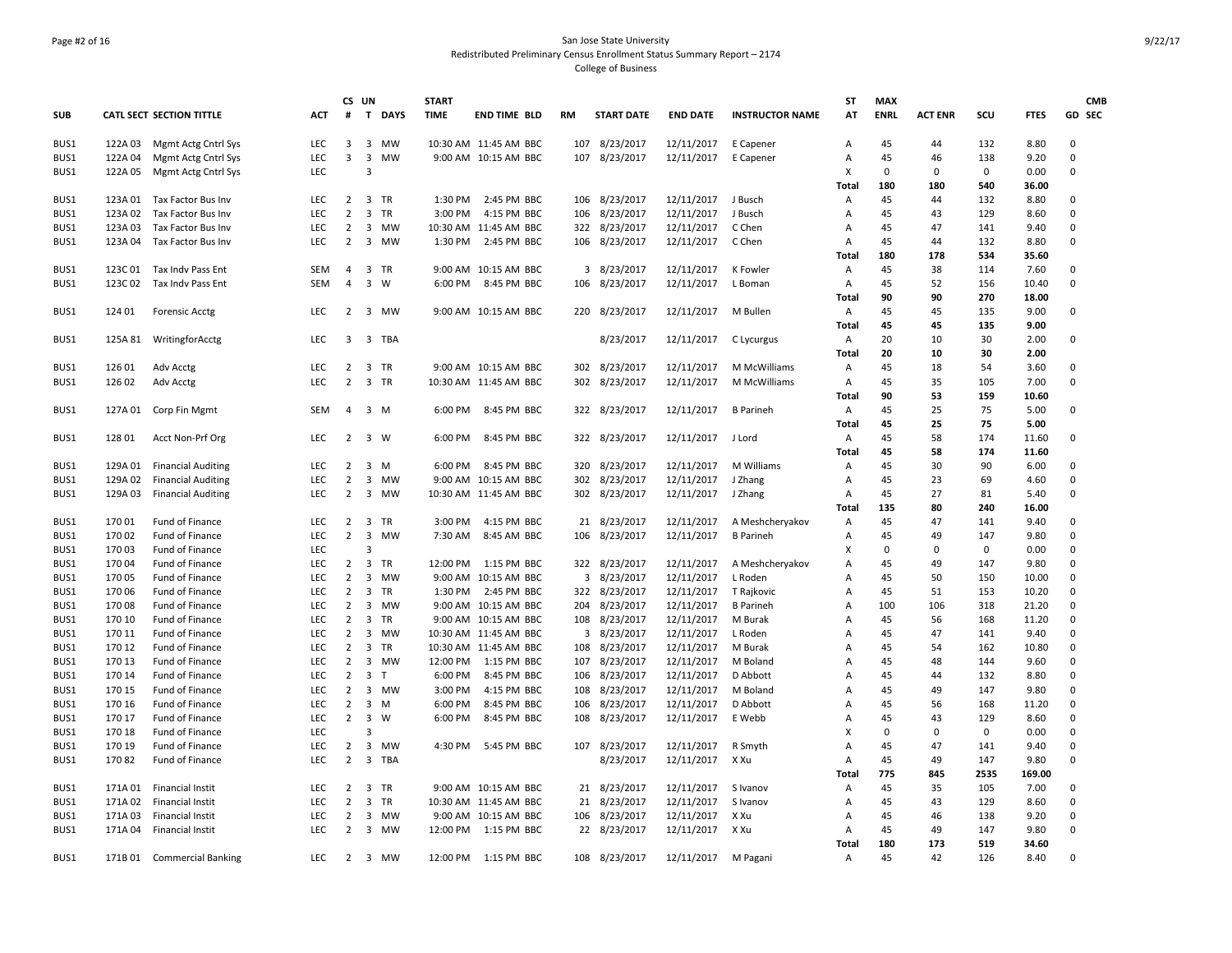## Page #2 of 16 San Jose State University Redistributed Preliminary Census Enrollment Status Summary Report – 2174 College of Business

|            |                    |                                 |                          | CS UN                            |                         |                | <b>START</b> |                             |     |                   |                          |                        | <b>ST</b>      | <b>MAX</b>  |                |             |              | <b>CMB</b>  |
|------------|--------------------|---------------------------------|--------------------------|----------------------------------|-------------------------|----------------|--------------|-----------------------------|-----|-------------------|--------------------------|------------------------|----------------|-------------|----------------|-------------|--------------|-------------|
| <b>SUB</b> |                    | <b>CATL SECT SECTION TITTLE</b> | ACT                      | #                                |                         | T DAYS         | <b>TIME</b>  | <b>END TIME BLD</b>         | RM  | <b>START DATE</b> | <b>END DATE</b>          | <b>INSTRUCTOR NAME</b> | AT             | <b>ENRL</b> | <b>ACT ENR</b> | scu         | <b>FTES</b>  | GD SEC      |
| BUS1       |                    | 122A 03 Mgmt Actg Cntrl Sys     | LEC                      | 3                                |                         | 3 MW           |              | 10:30 AM 11:45 AM BBC       |     | 107 8/23/2017     | 12/11/2017               | E Capener              | A              | 45          | 44             | 132         | 8.80         | $\mathbf 0$ |
| BUS1       |                    | 122A 04 Mgmt Actg Cntrl Sys     | LEC                      | $\mathbf{3}$                     | $\overline{\mathbf{3}}$ | <b>MW</b>      |              | 9:00 AM 10:15 AM BBC        | 107 | 8/23/2017         | 12/11/2017               | E Capener              | Α              | 45          | 46             | 138         | 9.20         | $\mathbf 0$ |
| BUS1       | 122A 05            | Mgmt Actg Cntrl Sys             | <b>LEC</b>               |                                  | $\overline{3}$          |                |              |                             |     |                   |                          |                        | х              | $\Omega$    | $\mathbf 0$    | $\mathbf 0$ | 0.00         | $\mathbf 0$ |
|            |                    |                                 |                          |                                  |                         |                |              |                             |     |                   |                          |                        | Total          | 180         | 180            | 540         | 36.00        |             |
| BUS1       | 123A 01            | Tax Factor Bus Inv              | <b>LEC</b>               |                                  |                         | 2 3 TR         | 1:30 PM      | 2:45 PM BBC                 | 106 | 8/23/2017         | 12/11/2017               | J Busch                | Α              | 45          | 44             | 132         | 8.80         | 0           |
| BUS1       | 123A 02            | Tax Factor Bus Inv              | <b>LEC</b>               | $\overline{2}$                   |                         | 3 TR           | 3:00 PM      | 4:15 PM BBC                 | 106 | 8/23/2017         | 12/11/2017               | J Busch                | Α              | 45          | 43             | 129         | 8.60         | $\mathbf 0$ |
| BUS1       | 123A 03            | Tax Factor Bus Inv              | <b>LEC</b>               | $\overline{2}$                   | 3                       | MW             | 10:30 AM     | 11:45 AM BBC                |     | 322 8/23/2017     | 12/11/2017               | C Chen                 | Α              | 45          | 47             | 141         | 9.40         | 0           |
| BUS1       | 123A 04            | Tax Factor Bus Inv              | <b>LEC</b>               | $\overline{2}$                   | 3                       | MW             | 1:30 PM      | 2:45 PM BBC                 |     | 106 8/23/2017     | 12/11/2017               | C Chen                 | Α              | 45          | 44             | 132         | 8.80         | 0           |
|            |                    |                                 |                          |                                  |                         |                |              |                             |     |                   |                          |                        | <b>Total</b>   | 180         | 178            | 534         | 35.60        |             |
| BUS1       | 123C 01            | Tax Indy Pass Ent               | SEM                      | 4                                |                         | 3 TR           |              | 9:00 AM 10:15 AM BBC        |     | 3 8/23/2017       | 12/11/2017               | K Fowler               | Α              | 45          | 38             | 114         | 7.60         | 0           |
| BUS1       | 123C 02            | Tax Indv Pass Ent               | <b>SEM</b>               | $\overline{4}$                   | $\overline{\mathbf{3}}$ | <b>W</b>       | 6:00 PM      | 8:45 PM BBC                 | 106 | 8/23/2017         | 12/11/2017               | L Boman                | Α              | 45          | 52             | 156         | 10.40        | $\mathbf 0$ |
|            |                    |                                 |                          |                                  |                         |                |              |                             |     |                   |                          |                        | Total          | 90          | 90             | 270         | 18.00        |             |
| BUS1       | 124 01             | <b>Forensic Acctg</b>           | <b>LEC</b>               |                                  |                         | 2 3 MW         |              | 9:00 AM 10:15 AM BBC        |     | 220 8/23/2017     | 12/11/2017               | M Bullen               | Α              | 45          | 45             | 135         | 9.00         | 0           |
|            |                    |                                 |                          |                                  |                         |                |              |                             |     |                   |                          |                        | <b>Total</b>   | 45          | 45             | 135         | 9.00         |             |
| BUS1       | 125A 81            | WritingforAcctg                 | <b>LEC</b>               | 3                                |                         | 3 TBA          |              |                             |     | 8/23/2017         | 12/11/2017               | C Lycurgus             | Α              | 20          | 10             | 30          | 2.00         | 0           |
|            |                    |                                 |                          |                                  |                         |                |              |                             |     |                   |                          |                        | <b>Total</b>   | 20          | 10             | 30          | 2.00         |             |
| BUS1       | 126 01             | Adv Acctg                       | <b>LEC</b>               | $\overline{2}$                   |                         | 3 TR           |              | 9:00 AM 10:15 AM BBC        | 302 | 8/23/2017         | 12/11/2017               | M McWilliams           | Α              | 45          | 18             | 54          | 3.60         | 0           |
| BUS1       | 126 02             | Adv Acctg                       | <b>LEC</b>               | $\overline{2}$                   |                         | 3 TR           |              | 10:30 AM 11:45 AM BBC       | 302 | 8/23/2017         | 12/11/2017               | M McWilliams           | $\overline{A}$ | 45          | 35             | 105         | 7.00         | $\mathbf 0$ |
|            |                    |                                 |                          |                                  |                         |                |              |                             |     |                   |                          |                        | Total          | 90          | 53             | 159         | 10.60        |             |
| BUS1       | 127A 01            | Corp Fin Mgmt                   | <b>SEM</b>               | $\overline{4}$                   |                         | $3 \, M$       | 6:00 PM      | 8:45 PM BBC                 | 322 | 8/23/2017         | 12/11/2017               | <b>B</b> Parineh       | Α              | 45<br>45    | 25<br>25       | 75          | 5.00         | $\mathbf 0$ |
|            |                    |                                 |                          |                                  |                         |                |              |                             |     |                   |                          |                        | <b>Total</b>   |             |                | 75<br>174   | 5.00         |             |
| BUS1       | 128 01             | Acct Non-Prf Org                | <b>LEC</b>               |                                  | $2 \quad 3 \quad W$     |                | 6:00 PM      | 8:45 PM BBC                 |     | 322 8/23/2017     | 12/11/2017 J Lord        |                        | Α              | 45          | 58             |             | 11.60        | $\mathbf 0$ |
|            |                    |                                 |                          |                                  |                         |                |              |                             |     |                   |                          |                        | <b>Total</b>   | 45<br>45    | 58             | 174         | 11.60        | $\mathbf 0$ |
| BUS1       | 129A 01            | <b>Financial Auditing</b>       | <b>LEC</b><br><b>LEC</b> | $\overline{2}$<br>$\overline{2}$ |                         | 3 M<br>3 MW    | 6:00 PM      | 8:45 PM BBC<br>10:15 AM BBC | 320 | 8/23/2017         | 12/11/2017               | M Williams             | Α              | 45          | 30<br>23       | 90<br>69    | 6.00         | 0           |
| BUS1       | 129A 02<br>129A 03 | <b>Financial Auditing</b>       | <b>LEC</b>               | $\overline{2}$                   | $\overline{3}$          | MW             | 9:00 AM      | 10:30 AM 11:45 AM BBC       | 302 | 8/23/2017         | 12/11/2017<br>12/11/2017 | J Zhang<br>J Zhang     | Α<br>Α         | 45          | 27             | 81          | 4.60<br>5.40 | 0           |
| BUS1       |                    | <b>Financial Auditing</b>       |                          |                                  |                         |                |              |                             |     | 302 8/23/2017     |                          |                        | Total          | 135         | 80             | 240         | 16.00        |             |
| BUS1       | 17001              | Fund of Finance                 | <b>LEC</b>               | $\mathbf{2}$                     |                         | 3 TR           | 3:00 PM      | 4:15 PM BBC                 | 21  | 8/23/2017         | 12/11/2017               | A Meshcheryakov        | Α              | 45          | 47             | 141         | 9.40         | 0           |
| BUS1       | 17002              | Fund of Finance                 | <b>LEC</b>               | $\overline{2}$                   | $\overline{3}$          | <b>MW</b>      | 7:30 AM      | 8:45 AM BBC                 | 106 | 8/23/2017         | 12/11/2017               | <b>B</b> Parineh       | Α              | 45          | 49             | 147         | 9.80         | $\Omega$    |
| BUS1       | 17003              | Fund of Finance                 | LEC                      |                                  | 3                       |                |              |                             |     |                   |                          |                        | х              | $\mathbf 0$ | $\pmb{0}$      | $\mathbf 0$ | 0.00         | $\mathbf 0$ |
| BUS1       | 17004              | Fund of Finance                 | <b>LEC</b>               | $\overline{2}$                   | $\overline{\mathbf{3}}$ | <b>TR</b>      | 12:00 PM     | 1:15 PM BBC                 |     | 322 8/23/2017     | 12/11/2017               | A Meshcheryakov        | A              | 45          | 49             | 147         | 9.80         | $\Omega$    |
| BUS1       | 170 05             | Fund of Finance                 | LEC                      | $\overline{2}$                   | $\overline{3}$          | <b>MW</b>      | 9:00 AM      | 10:15 AM BBC                | 3   | 8/23/2017         | 12/11/2017               | L Roden                | Α              | 45          | 50             | 150         | 10.00        | 0           |
| BUS1       | 17006              | Fund of Finance                 | <b>LEC</b>               | $\overline{2}$                   | $\overline{\mathbf{3}}$ | TR             | 1:30 PM      | 2:45 PM BBC                 |     | 322 8/23/2017     | 12/11/2017               | T Rajkovic             | Α              | 45          | 51             | 153         | 10.20        | 0           |
| BUS1       | 17008              | Fund of Finance                 | <b>LEC</b>               | $\overline{2}$                   | $\overline{\mathbf{3}}$ | MW             |              | 9:00 AM 10:15 AM BBC        | 204 | 8/23/2017         | 12/11/2017               | <b>B</b> Parineh       | Α              | 100         | 106            | 318         | 21.20        | 0           |
| BUS1       | 170 10             | Fund of Finance                 | <b>LEC</b>               | 2                                |                         | 3 TR           |              | 9:00 AM 10:15 AM BBC        |     | 108 8/23/2017     | 12/11/2017               | M Burak                | Α              | 45          | 56             | 168         | 11.20        | 0           |
| BUS1       | 170 11             | Fund of Finance                 | <b>LEC</b>               | $\overline{2}$                   | $\overline{3}$          | <b>MW</b>      |              | 10:30 AM 11:45 AM BBC       | 3   | 8/23/2017         | 12/11/2017               | L Roden                | A              | 45          | 47             | 141         | 9.40         | 0           |
| BUS1       | 170 12             | Fund of Finance                 | LEC                      | $\overline{2}$                   |                         | 3 TR           |              | 10:30 AM 11:45 AM BBC       | 108 | 8/23/2017         | 12/11/2017               | M Burak                | Α              | 45          | 54             | 162         | 10.80        | 0           |
| BUS1       | 170 13             | Fund of Finance                 | <b>LEC</b>               | $\overline{2}$                   | $\overline{3}$          | MW             | 12:00 PM     | 1:15 PM BBC                 | 107 | 8/23/2017         | 12/11/2017               | M Boland               | Α              | 45          | 48             | 144         | 9.60         | 0           |
| BUS1       | 170 14             | Fund of Finance                 | <b>LEC</b>               | $\overline{2}$                   |                         | 3 <sub>T</sub> | 6:00 PM      | 8:45 PM BBC                 |     | 106 8/23/2017     | 12/11/2017               | D Abbott               | $\overline{A}$ | 45          | 44             | 132         | 8.80         | 0           |
| BUS1       | 170 15             | Fund of Finance                 | <b>LEC</b>               | $\overline{2}$                   | 3                       | MW             | 3:00 PM      | 4:15 PM BBC                 | 108 | 8/23/2017         | 12/11/2017               | M Boland               | Α              | 45          | 49             | 147         | 9.80         | $\mathbf 0$ |
| BUS1       | 170 16             | Fund of Finance                 | <b>LEC</b>               | $\overline{2}$                   |                         | $3 \, M$       | 6:00 PM      | 8:45 PM BBC                 | 106 | 8/23/2017         | 12/11/2017               | D Abbott               | Α              | 45          | 56             | 168         | 11.20        | 0           |
| BUS1       | 170 17             | Fund of Finance                 | <b>LEC</b>               | $\overline{2}$                   | $\overline{\mathbf{3}}$ | W              | 6:00 PM      | 8:45 PM BBC                 |     | 108 8/23/2017     | 12/11/2017               | E Webb                 | A              | 45          | 43             | 129         | 8.60         | 0           |
| BUS1       | 170 18             | Fund of Finance                 | LEC                      |                                  | 3                       |                |              |                             |     |                   |                          |                        | X              | $\Omega$    | $\Omega$       | $\mathbf 0$ | 0.00         | $\mathbf 0$ |
| BUS1       | 170 19             | Fund of Finance                 | <b>LEC</b>               | 2                                |                         | 3 MW           | 4:30 PM      | 5:45 PM BBC                 |     | 107 8/23/2017     | 12/11/2017               | R Smyth                | A              | 45          | 47             | 141         | 9.40         | 0           |
| BUS1       | 17082              | Fund of Finance                 | <b>LEC</b>               | 2                                |                         | 3 TBA          |              |                             |     | 8/23/2017         | 12/11/2017               | X Xu                   | $\overline{A}$ | 45          | 49             | 147         | 9.80         | 0           |
|            |                    |                                 |                          |                                  |                         |                |              |                             |     |                   |                          |                        | Total          | 775         | 845            | 2535        | 169.00       |             |
| BUS1       | 171A 01            | <b>Financial Instit</b>         | <b>LEC</b>               | 2                                |                         | 3 TR           |              | 9:00 AM 10:15 AM BBC        |     | 21 8/23/2017      | 12/11/2017               | S Ivanov               | Α              | 45          | 35             | 105         | 7.00         | $\mathbf 0$ |
| BUS1       | 171A 02            | <b>Financial Instit</b>         | <b>LEC</b>               | $\overline{2}$                   |                         | 3 TR           |              | 10:30 AM 11:45 AM BBC       | 21  | 8/23/2017         | 12/11/2017               | S Ivanov               | Α              | 45          | 43             | 129         | 8.60         | $\mathbf 0$ |
| BUS1       | 171A 03            | Financial Instit                | <b>LEC</b>               | $\overline{2}$                   | 3                       | MW             |              | 9:00 AM 10:15 AM BBC        | 106 | 8/23/2017         | 12/11/2017               | X Xu                   | A              | 45          | 46             | 138         | 9.20         | 0           |
| BUS1       | 171A 04            | Financial Instit                | LEC                      | $\overline{2}$                   |                         | 3 MW           | 12:00 PM     | 1:15 PM BBC                 |     | 22 8/23/2017      | 12/11/2017               | X Xu                   | Α              | 45          | 49             | 147         | 9.80         | $\Omega$    |
|            |                    |                                 |                          |                                  |                         |                |              |                             |     |                   |                          |                        | Total          | 180         | 173            | 519         | 34.60        |             |
| BUS1       |                    | 171B 01 Commercial Banking      | <b>LEC</b>               |                                  |                         | 2 3 MW         | 12:00 PM     | 1:15 PM BBC                 |     | 108 8/23/2017     | 12/11/2017               | M Pagani               | A              | 45          | 42             | 126         | 8.40         | $\Omega$    |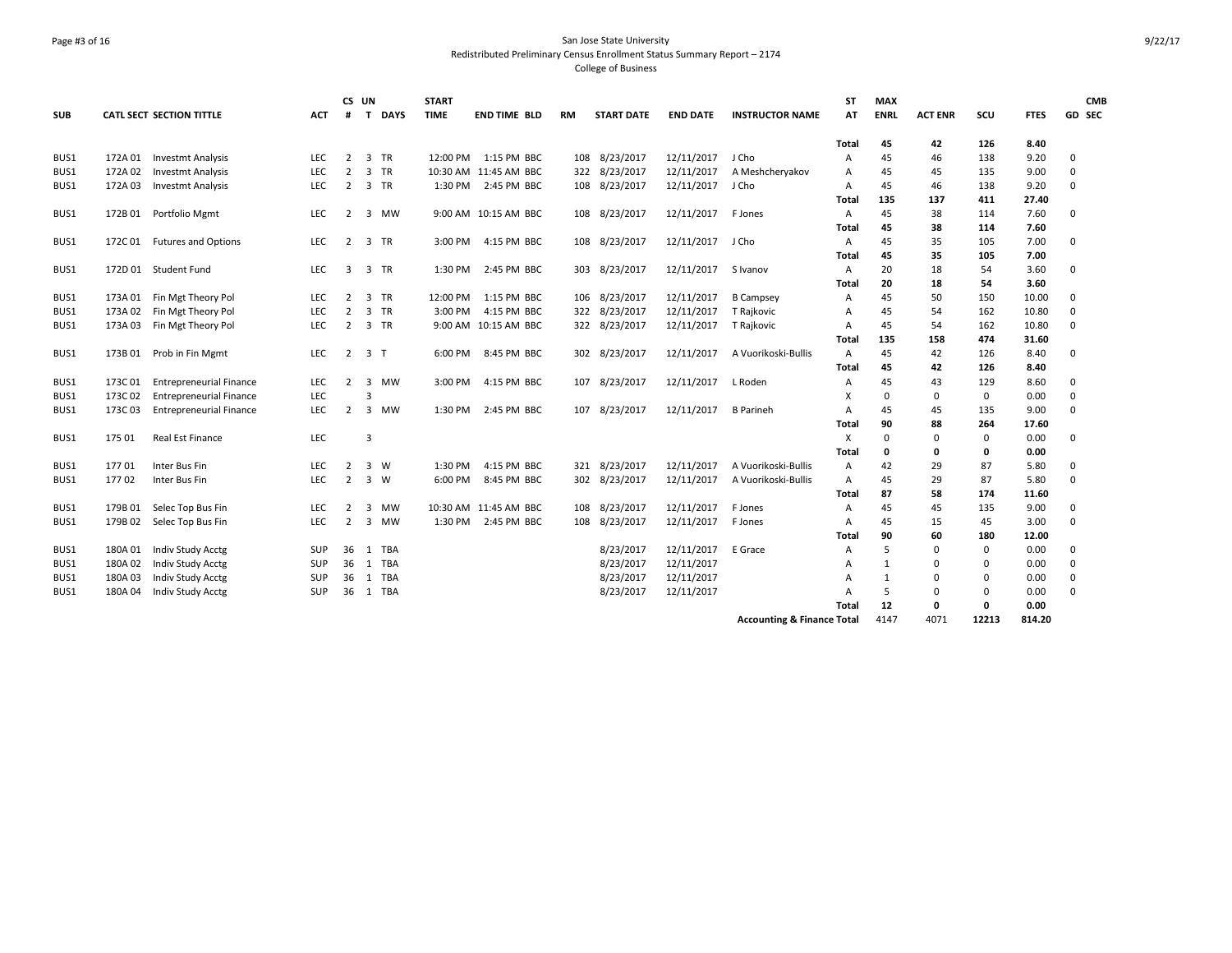## Page #3 of 16 San Jose State University Redistributed Preliminary Census Enrollment Status Summary Report – 2174 College of Business

| <b>SUB</b> |         | <b>CATL SECT SECTION TITTLE</b> | <b>ACT</b> | CS UN<br>#     | <b>DAYS</b><br>$\mathbf{T}$ | <b>START</b><br><b>TIME</b> | <b>END TIME BLD</b>   | RM  | <b>START DATE</b> | <b>END DATE</b> | <b>INSTRUCTOR NAME</b>                | ST<br>AT     | <b>MAX</b><br><b>ENRL</b> | <b>ACT ENR</b> | scu         | <b>FTES</b> | <b>CMB</b><br>GD SEC |  |
|------------|---------|---------------------------------|------------|----------------|-----------------------------|-----------------------------|-----------------------|-----|-------------------|-----------------|---------------------------------------|--------------|---------------------------|----------------|-------------|-------------|----------------------|--|
|            |         |                                 |            |                |                             |                             |                       |     |                   |                 |                                       | <b>Total</b> | 45                        | 42             | 126         | 8.40        |                      |  |
| BUS1       | 172A 01 | Investmt Analysis               | <b>LEC</b> | $\overline{2}$ | 3 TR                        | 12:00 PM                    | 1:15 PM BBC           | 108 | 8/23/2017         | 12/11/2017      | J Cho                                 | A            | 45                        | 46             | 138         | 9.20        | $\mathbf 0$          |  |
| BUS1       | 172A 02 | <b>Investmt Analysis</b>        | LEC        | $\overline{2}$ | 3 TR                        |                             | 10:30 AM 11:45 AM BBC |     | 322 8/23/2017     | 12/11/2017      | A Meshcheryakov                       | Α            | 45                        | 45             | 135         | 9.00        | $\mathbf 0$          |  |
| BUS1       | 172A 03 | <b>Investmt Analysis</b>        | <b>LEC</b> | $\overline{2}$ | 3 TR                        | 1:30 PM                     | 2:45 PM BBC           |     | 108 8/23/2017     | 12/11/2017      | J Cho                                 | Α            | 45                        | 46             | 138         | 9.20        | $\Omega$             |  |
|            |         |                                 |            |                |                             |                             |                       |     |                   |                 |                                       | Total        | 135                       | 137            | 411         | 27.40       |                      |  |
| BUS1       |         | 172B 01 Portfolio Mgmt          | <b>LEC</b> | $\overline{2}$ | 3 MW                        |                             | 9:00 AM 10:15 AM BBC  |     | 108 8/23/2017     | 12/11/2017      | F Jones                               | $\mathsf{A}$ | 45                        | 38             | 114         | 7.60        | $\mathbf 0$          |  |
|            |         |                                 |            |                |                             |                             |                       |     |                   |                 |                                       | Total        | 45                        | 38             | 114         | 7.60        |                      |  |
| BUS1       |         | 172C 01 Futures and Options     | <b>LEC</b> | $\overline{2}$ | 3 TR                        | 3:00 PM                     | 4:15 PM BBC           |     | 108 8/23/2017     | 12/11/2017      | J Cho                                 | Α            | 45                        | 35             | 105         | 7.00        | 0                    |  |
|            |         |                                 |            |                |                             |                             |                       |     |                   |                 |                                       | Total        | 45                        | 35             | 105         | 7.00        |                      |  |
| BUS1       |         | 172D 01 Student Fund            | <b>LEC</b> | 3              | 3 TR                        | 1:30 PM                     | 2:45 PM BBC           | 303 | 8/23/2017         | 12/11/2017      | S Ivanov                              | Α            | 20                        | 18             | 54          | 3.60        | $\mathbf 0$          |  |
|            |         |                                 |            |                |                             |                             |                       |     |                   |                 |                                       | Total        | 20                        | 18             | 54          | 3.60        |                      |  |
| BUS1       |         | 173A 01 Fin Mgt Theory Pol      | <b>LEC</b> | 2              | <b>TR</b><br>3              | 12:00 PM                    | 1:15 PM BBC           | 106 | 8/23/2017         | 12/11/2017      | <b>B</b> Campsey                      | Α            | 45                        | 50             | 150         | 10.00       | $\mathbf 0$          |  |
| BUS1       | 173A 02 | Fin Mgt Theory Pol              | <b>LEC</b> | $\overline{2}$ | $\overline{3}$<br><b>TR</b> | 3:00 PM                     | 4:15 PM BBC           | 322 | 8/23/2017         | 12/11/2017      | T Rajkovic                            | Α            | 45                        | 54             | 162         | 10.80       | $\mathbf 0$          |  |
| BUS1       |         | 173A 03 Fin Mgt Theory Pol      | <b>LEC</b> | 2              | 3 TR                        |                             | 9:00 AM 10:15 AM BBC  |     | 322 8/23/2017     | 12/11/2017      | T Rajkovic                            | Α            | 45                        | 54             | 162         | 10.80       | $\mathbf 0$          |  |
|            |         |                                 |            |                |                             |                             |                       |     |                   |                 |                                       | <b>Total</b> | 135                       | 158            | 474         | 31.60       |                      |  |
| BUS1       | 173B 01 | Prob in Fin Mgmt                | <b>LEC</b> | $\overline{2}$ | 3 <sub>7</sub>              | 6:00 PM                     | 8:45 PM BBC           | 302 | 8/23/2017         | 12/11/2017      | A Vuorikoski-Bullis                   | $\mathsf{A}$ | 45                        | 42             | 126         | 8.40        | $\mathbf 0$          |  |
|            |         |                                 |            |                |                             |                             |                       |     |                   |                 |                                       | Total        | 45                        | 42             | 126         | 8.40        |                      |  |
| BUS1       | 173C01  | <b>Entrepreneurial Finance</b>  | <b>LEC</b> | $\overline{2}$ | 3<br><b>MW</b>              | 3:00 PM                     | 4:15 PM BBC           | 107 | 8/23/2017         | 12/11/2017      | L Roden                               | $\mathsf{A}$ | 45                        | 43             | 129         | 8.60        | $\mathbf 0$          |  |
| BUS1       | 173C02  | <b>Entrepreneurial Finance</b>  | <b>LEC</b> |                |                             |                             |                       |     |                   |                 |                                       | X            | 0                         | $\mathbf 0$    | $\mathbf 0$ | 0.00        | $\mathbf 0$          |  |
| BUS1       | 173C 03 | <b>Entrepreneurial Finance</b>  | LEC        | $\overline{2}$ | 3<br>MW                     | 1:30 PM                     | 2:45 PM BBC           | 107 | 8/23/2017         | 12/11/2017      | <b>B</b> Parineh                      | Α            | 45                        | 45             | 135         | 9.00        | $\mathbf 0$          |  |
|            |         |                                 |            |                |                             |                             |                       |     |                   |                 |                                       | Total        | 90                        | 88             | 264         | 17.60       |                      |  |
| BUS1       | 175 01  | Real Est Finance                | LEC        |                | 3                           |                             |                       |     |                   |                 |                                       | х            | $\Omega$                  | $\mathbf 0$    | $\mathbf 0$ | 0.00        | $\mathbf 0$          |  |
|            |         |                                 |            |                |                             |                             |                       |     |                   |                 |                                       | <b>Total</b> | 0                         | 0              | 0           | 0.00        |                      |  |
| BUS1       | 17701   | Inter Bus Fin                   | LEC        | $\overline{2}$ | $3 \quad W$                 | 1:30 PM                     | 4:15 PM BBC           | 321 | 8/23/2017         | 12/11/2017      | A Vuorikoski-Bullis                   | A            | 42                        | 29             | 87          | 5.80        | $\mathbf 0$          |  |
| BUS1       | 17702   | Inter Bus Fin                   | <b>LEC</b> | $\overline{2}$ | 3 W                         | 6:00 PM                     | 8:45 PM BBC           |     | 302 8/23/2017     | 12/11/2017      | A Vuorikoski-Bullis                   | $\mathsf{A}$ | 45                        | 29             | 87          | 5.80        | $\mathbf 0$          |  |
|            |         |                                 |            |                |                             |                             |                       |     |                   |                 |                                       | Total        | 87                        | 58             | 174         | 11.60       |                      |  |
| BUS1       | 179B 01 | Selec Top Bus Fin               | <b>LEC</b> | $\overline{2}$ | MW<br>3                     |                             | 10:30 AM 11:45 AM BBC | 108 | 8/23/2017         | 12/11/2017      | F Jones                               | Α            | 45                        | 45             | 135         | 9.00        | $\mathbf 0$          |  |
| BUS1       | 179B 02 | Selec Top Bus Fin               | LEC        | $\overline{2}$ | 3 MW                        | 1:30 PM                     | 2:45 PM BBC           | 108 | 8/23/2017         | 12/11/2017      | F Jones                               | Α            | 45                        | 15             | 45          | 3.00        | $\mathbf 0$          |  |
|            |         |                                 |            |                |                             |                             |                       |     |                   |                 |                                       | Total        | 90                        | 60             | 180         | 12.00       |                      |  |
| BUS1       | 180A 01 | Indiv Study Acctg               | <b>SUP</b> | 36             | TBA<br>1                    |                             |                       |     | 8/23/2017         | 12/11/2017      | E Grace                               | Α            | 5                         | 0              | 0           | 0.00        | $\mathbf 0$          |  |
| BUS1       | 180A 02 | <b>Indiv Study Acctg</b>        | <b>SUP</b> | 36             | 1<br>TBA                    |                             |                       |     | 8/23/2017         | 12/11/2017      |                                       | A            | $\mathbf{1}$              | $\mathbf 0$    | $\mathbf 0$ | 0.00        | $\mathbf 0$          |  |
| BUS1       | 180A03  | <b>Indiv Study Acctg</b>        | <b>SUP</b> | 36             | TBA<br>1                    |                             |                       |     | 8/23/2017         | 12/11/2017      |                                       | A            | $\mathbf{1}$              | $\mathbf 0$    | $\mathbf 0$ | 0.00        | $\mathbf 0$          |  |
| BUS1       | 180A 04 | Indiv Study Acctg               | <b>SUP</b> | 36             | TBA<br>1                    |                             |                       |     | 8/23/2017         | 12/11/2017      |                                       | A            | 5                         | $\mathbf 0$    | $\mathbf 0$ | 0.00        | $\mathbf 0$          |  |
|            |         |                                 |            |                |                             |                             |                       |     |                   |                 |                                       | Total        | 12                        | 0              | 0           | 0.00        |                      |  |
|            |         |                                 |            |                |                             |                             |                       |     |                   |                 | <b>Accounting &amp; Finance Total</b> |              | 4147                      | 4071           | 12213       | 814.20      |                      |  |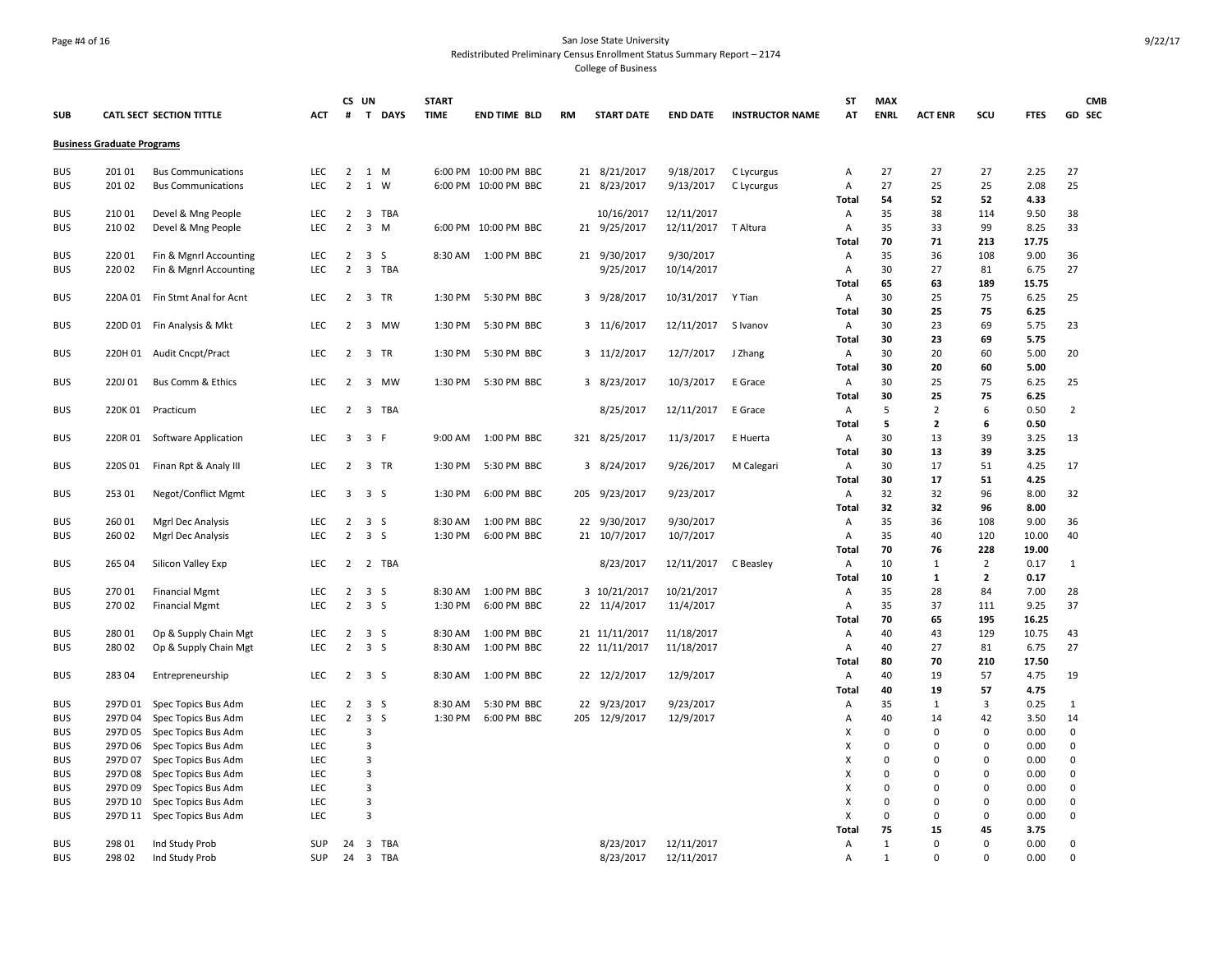## Page #4 of 16 San Jose State University Redistributed Preliminary Census Enrollment Status Summary Report – 2174

College of Business

|            |                                   |                                 |            | CS UN                   |                         |             | <b>START</b> |                      |           |                   |                     |                        | <b>ST</b>    | <b>MAX</b>  |                |                |             | <b>CMB</b>     |
|------------|-----------------------------------|---------------------------------|------------|-------------------------|-------------------------|-------------|--------------|----------------------|-----------|-------------------|---------------------|------------------------|--------------|-------------|----------------|----------------|-------------|----------------|
| <b>SUB</b> |                                   | <b>CATL SECT SECTION TITTLE</b> | ACT        | #                       | T                       | <b>DAYS</b> | <b>TIME</b>  | <b>END TIME BLD</b>  | <b>RM</b> | <b>START DATE</b> | <b>END DATE</b>     | <b>INSTRUCTOR NAME</b> | AT           | <b>ENRL</b> | <b>ACT ENR</b> | scu            | <b>FTES</b> | GD SEC         |
|            | <b>Business Graduate Programs</b> |                                 |            |                         |                         |             |              |                      |           |                   |                     |                        |              |             |                |                |             |                |
| <b>BUS</b> | 20101                             | <b>Bus Communications</b>       | <b>LEC</b> | 2                       |                         | 1 M         |              | 6:00 PM 10:00 PM BBC |           | 21 8/21/2017      | 9/18/2017           | C Lycurgus             | Α            | 27          | 27             | 27             | 2.25        | 27             |
| <b>BUS</b> | 201 02                            | <b>Bus Communications</b>       | <b>LEC</b> | $\overline{2}$          |                         | 1 W         |              | 6:00 PM 10:00 PM BBC |           | 21 8/23/2017      | 9/13/2017           | C Lycurgus             | Α            | 27          | 25             | 25             | 2.08        | 25             |
|            |                                   |                                 |            |                         |                         |             |              |                      |           |                   |                     |                        | Total        | 54          | 52             | 52             | 4.33        |                |
| <b>BUS</b> | 210 01                            | Devel & Mng People              | <b>LEC</b> | $\overline{2}$          | 3                       | TBA         |              |                      |           | 10/16/2017        | 12/11/2017          |                        | Α            | 35          | 38             | 114            | 9.50        | 38             |
| <b>BUS</b> | 210 02                            | Devel & Mng People              | <b>LEC</b> | $\overline{2}$          | $\overline{3}$          | M           |              | 6:00 PM 10:00 PM BBC |           | 21 9/25/2017      | 12/11/2017 T Altura |                        | Α            | 35          | 33             | 99             | 8.25        | 33             |
|            |                                   |                                 |            |                         |                         |             |              |                      |           |                   |                     |                        | <b>Total</b> | 70          | 71             | 213            | 17.75       |                |
| <b>BUS</b> | 220 01                            | Fin & Mgnrl Accounting          | <b>LEC</b> | $\overline{2}$          | 3                       | -S          | 8:30 AM      | 1:00 PM BBC          | 21        | 9/30/2017         | 9/30/2017           |                        | Α            | 35          | 36             | 108            | 9.00        | 36             |
| <b>BUS</b> | 220 02                            | Fin & Mgnrl Accounting          | <b>LEC</b> | $\overline{2}$          |                         | 3 TBA       |              |                      |           | 9/25/2017         | 10/14/2017          |                        | Α            | 30          | 27             | 81             | 6.75        | 27             |
|            |                                   |                                 |            |                         |                         |             |              |                      |           |                   |                     |                        |              | 65          | 63             | 189            | 15.75       |                |
|            |                                   |                                 |            |                         |                         |             |              | 5:30 PM BBC          |           |                   |                     |                        | Total        | 30          | 25             | 75             | 6.25        |                |
| <b>BUS</b> | 220A 01                           | Fin Stmt Anal for Acnt          | <b>LEC</b> | $\overline{2}$          |                         | 3 TR        | 1:30 PM      |                      |           | 3 9/28/2017       | 10/31/2017          | Y Tian                 | Α            | 30          | 25             | 75             | 6.25        | 25             |
|            |                                   |                                 | <b>LEC</b> |                         |                         | 3 MW        |              | 5:30 PM BBC          |           |                   |                     |                        | Total        | 30          | 23             | 69             |             | 23             |
| <b>BUS</b> |                                   | 220D 01 Fin Analysis & Mkt      |            | $\overline{2}$          |                         |             | 1:30 PM      |                      |           | 3 11/6/2017       | 12/11/2017          | S Ivanov               | Α            |             |                |                | 5.75        |                |
|            |                                   |                                 |            |                         |                         |             |              |                      |           |                   |                     |                        | <b>Total</b> | 30          | 23             | 69             | 5.75        |                |
| <b>BUS</b> | 220H 01                           | <b>Audit Cncpt/Pract</b>        | <b>LEC</b> | $\overline{2}$          |                         | 3 TR        | 1:30 PM      | 5:30 PM BBC          |           | 3 11/2/2017       | 12/7/2017           | J Zhang                | Α            | 30          | 20             | 60             | 5.00        | 20             |
|            |                                   |                                 |            |                         |                         |             |              |                      |           |                   |                     |                        | <b>Total</b> | 30          | 20             | 60             | 5.00        |                |
| <b>BUS</b> | 220J01                            | Bus Comm & Ethics               | <b>LEC</b> | $\overline{2}$          | $\overline{\mathbf{3}}$ | MW          | 1:30 PM      | 5:30 PM BBC          |           | 3 8/23/2017       | 10/3/2017           | E Grace                | Α            | 30          | 25             | 75             | 6.25        | 25             |
|            |                                   |                                 |            |                         |                         |             |              |                      |           |                   |                     |                        | Total        | 30          | 25             | 75             | 6.25        |                |
| <b>BUS</b> | 220K 01                           | Practicum                       | <b>LEC</b> | $\overline{2}$          | $\overline{\mathbf{3}}$ | TBA         |              |                      |           | 8/25/2017         | 12/11/2017          | E Grace                | A            | 5           | $\overline{2}$ | 6              | 0.50        | $\overline{2}$ |
|            |                                   |                                 |            |                         |                         |             |              |                      |           |                   |                     |                        | <b>Total</b> | 5           | $\overline{2}$ | 6              | 0.50        |                |
| <b>BUS</b> | 220R 01                           | Software Application            | LEC        | $\overline{\mathbf{3}}$ | 3 F                     |             | 9:00 AM      | 1:00 PM BBC          |           | 321 8/25/2017     | 11/3/2017           | E Huerta               | Α            | 30          | 13             | 39             | 3.25        | 13             |
|            |                                   |                                 |            |                         |                         |             |              |                      |           |                   |                     |                        | Total        | 30          | 13             | 39             | 3.25        |                |
| <b>BUS</b> | 220S 01                           | Finan Rpt & Analy III           | <b>LEC</b> | $\overline{2}$          |                         | 3 TR        | 1:30 PM      | 5:30 PM BBC          |           | 3 8/24/2017       | 9/26/2017           | M Calegari             | Α            | 30          | 17             | 51             | 4.25        | 17             |
|            |                                   |                                 |            |                         |                         |             |              |                      |           |                   |                     |                        | Total        | 30          | 17             | 51             | 4.25        |                |
| <b>BUS</b> | 253 01                            | Negot/Conflict Mgmt             | LEC        | 3                       | 3 <sub>5</sub>          |             | 1:30 PM      | 6:00 PM BBC          |           | 205 9/23/2017     | 9/23/2017           |                        | Α            | 32          | 32             | 96             | 8.00        | 32             |
|            |                                   |                                 |            |                         |                         |             |              |                      |           |                   |                     |                        | Total        | 32          | 32             | 96             | 8.00        |                |
| <b>BUS</b> | 260 01                            | Mgrl Dec Analysis               | <b>LEC</b> | $\overline{2}$          | 3S                      |             | 8:30 AM      | 1:00 PM BBC          |           | 22 9/30/2017      | 9/30/2017           |                        | Α            | 35          | 36             | 108            | 9.00        | 36             |
| <b>BUS</b> | 260 02                            | Mgrl Dec Analysis               | LEC        | $\overline{2}$          | 3 <sub>5</sub>          |             | 1:30 PM      | 6:00 PM BBC          |           | 21 10/7/2017      | 10/7/2017           |                        | Α            | 35          | 40             | 120            | 10.00       | 40             |
|            |                                   |                                 |            |                         |                         |             |              |                      |           |                   |                     |                        | Total        | 70          | 76             | 228            | 19.00       |                |
| <b>BUS</b> | 265 04                            | Silicon Valley Exp              | <b>LEC</b> | $\overline{2}$          |                         | 2 TBA       |              |                      |           | 8/23/2017         | 12/11/2017          | C Beasley              | Α            | 10          | $\mathbf{1}$   | $\overline{2}$ | 0.17        | 1              |
|            |                                   |                                 |            |                         |                         |             |              |                      |           |                   |                     |                        | Total        | 10          | $\mathbf{1}$   | $\overline{2}$ | 0.17        |                |
| <b>BUS</b> | 270 01                            | <b>Financial Mgmt</b>           | LEC        | $\overline{2}$          | 3 <sub>5</sub>          |             | 8:30 AM      | 1:00 PM BBC          |           | 3 10/21/2017      | 10/21/2017          |                        | Α            | 35          | 28             | 84             | 7.00        | 28             |
| <b>BUS</b> | 270 02                            | <b>Financial Mgmt</b>           | LEC        | $\overline{2}$          | 3 <sub>5</sub>          |             | 1:30 PM      | 6:00 PM BBC          |           | 22 11/4/2017      | 11/4/2017           |                        | Α            | 35          | 37             | 111            | 9.25        | 37             |
|            |                                   |                                 |            |                         |                         |             |              |                      |           |                   |                     |                        | <b>Total</b> | 70          | 65             | 195            | 16.25       |                |
| <b>BUS</b> | 280 01                            | Op & Supply Chain Mgt           | LEC        |                         | $2 \quad 3 \quad S$     |             | 8:30 AM      | 1:00 PM BBC          |           | 21 11/11/2017     | 11/18/2017          |                        | Α            | 40          | 43             | 129            | 10.75       | 43             |
| <b>BUS</b> | 280 02                            | Op & Supply Chain Mgt           | <b>LEC</b> | $\overline{2}$          | 3 <sub>5</sub>          |             | 8:30 AM      | 1:00 PM BBC          |           | 22 11/11/2017     | 11/18/2017          |                        | Α            | 40          | 27             | 81             | 6.75        | 27             |
|            |                                   |                                 |            |                         |                         |             |              |                      |           |                   |                     |                        | Total        | 80          | 70             | 210            | 17.50       |                |
| <b>BUS</b> | 283 04                            | Entrepreneurship                | <b>LEC</b> |                         | $2 \quad 3 \quad S$     |             | 8:30 AM      | 1:00 PM BBC          |           | 22 12/2/2017      | 12/9/2017           |                        | A            | 40          | 19             | 57             | 4.75        | 19             |
|            |                                   |                                 |            |                         |                         |             |              |                      |           |                   |                     |                        | <b>Total</b> | 40          | 19             | 57             | 4.75        |                |
| <b>BUS</b> | 297D 01                           | Spec Topics Bus Adm             | <b>LEC</b> | $\overline{2}$          | 3S                      |             | 8:30 AM      | 5:30 PM BBC          |           | 22 9/23/2017      | 9/23/2017           |                        | Α            | 35          | $\mathbf{1}$   | 3              | 0.25        | 1              |
| <b>BUS</b> | 297D 04                           | Spec Topics Bus Adm             | <b>LEC</b> | $\overline{2}$          | $\overline{3}$          | -S          | 1:30 PM      | 6:00 PM BBC          |           | 205 12/9/2017     | 12/9/2017           |                        | A            | 40          | 14             | 42             | 3.50        | 14             |
| <b>BUS</b> | 297D 05                           | Spec Topics Bus Adm             | <b>LEC</b> |                         | 3                       |             |              |                      |           |                   |                     |                        | х            | $\Omega$    | $\pmb{0}$      | $\Omega$       | 0.00        | $\mathbf 0$    |
| <b>BUS</b> | 297D 06                           | Spec Topics Bus Adm             | <b>LEC</b> |                         | $\overline{3}$          |             |              |                      |           |                   |                     |                        | х            | $\Omega$    | $\mathbf 0$    | $\pmb{0}$      | 0.00        | 0              |
| <b>BUS</b> | 297D 07                           | Spec Topics Bus Adm             | <b>LEC</b> |                         | 3                       |             |              |                      |           |                   |                     |                        | х            | $\Omega$    | $\Omega$       | $\Omega$       | 0.00        | 0              |
| <b>BUS</b> | 297D08                            | Spec Topics Bus Adm             | <b>LEC</b> |                         | 3                       |             |              |                      |           |                   |                     |                        | X            | $\Omega$    | $\Omega$       | $\mathbf 0$    | 0.00        | $\mathbf 0$    |
| <b>BUS</b> | 297D 09                           | Spec Topics Bus Adm             | <b>LEC</b> |                         | 3                       |             |              |                      |           |                   |                     |                        | х            | $\mathbf 0$ | $\mathbf 0$    | $\mathbf 0$    | 0.00        | 0              |
| <b>BUS</b> | 297D 10                           | Spec Topics Bus Adm             | <b>LEC</b> |                         | $\overline{3}$          |             |              |                      |           |                   |                     |                        | х            | $\mathbf 0$ | $\mathbf 0$    | $\mathbf{0}$   | 0.00        | 0              |
| <b>BUS</b> | 297D 11                           | Spec Topics Bus Adm             | <b>LEC</b> |                         | 3                       |             |              |                      |           |                   |                     |                        | X            | $\Omega$    | $\Omega$       | $\mathbf 0$    | 0.00        | $\mathbf 0$    |
|            |                                   |                                 |            |                         |                         |             |              |                      |           |                   |                     |                        | Total        | 75          | 15             | 45             | 3.75        |                |
| <b>BUS</b> | 298 01                            | Ind Study Prob                  | SUP        | 24                      | $\overline{\mathbf{3}}$ | TBA         |              |                      |           | 8/23/2017         | 12/11/2017          |                        | Α            | 1           | $\Omega$       | $\Omega$       | 0.00        | 0              |
| <b>BUS</b> | 298 02                            | Ind Study Prob                  | <b>SUP</b> | 24                      |                         | 3 TBA       |              |                      |           | 8/23/2017         | 12/11/2017          |                        | A            | 1           | $\Omega$       | $\Omega$       | 0.00        | $\Omega$       |
|            |                                   |                                 |            |                         |                         |             |              |                      |           |                   |                     |                        |              |             |                |                |             |                |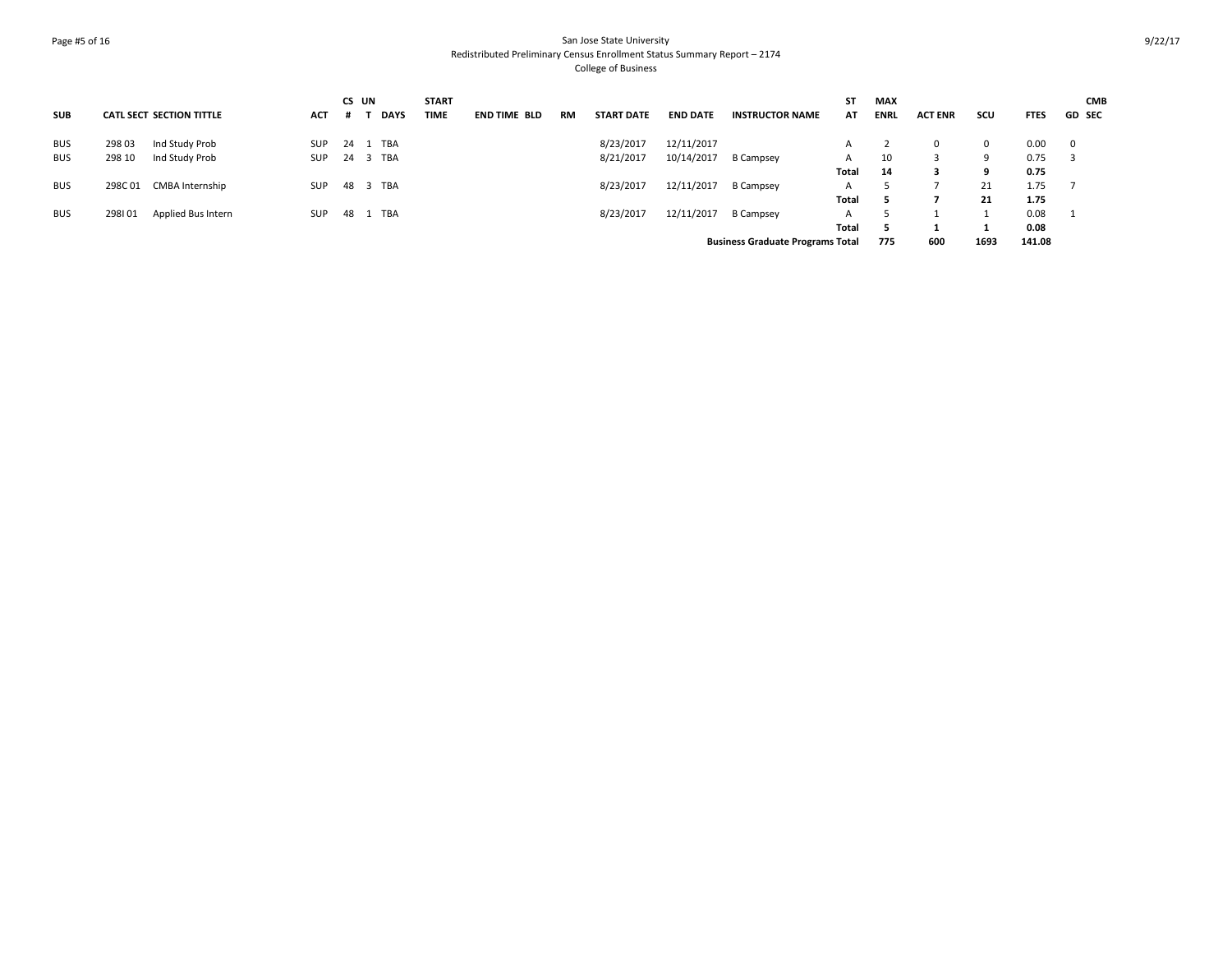## Page #5 of 16 San Jose State University Redistributed Preliminary Census Enrollment Status Summary Report – 2174 College of Business

|            |         |                                 |            | CS UN |             | <b>START</b> |                     |    |                   |                 |                                         | <b>ST</b>    | <b>MAX</b>  |                |              |             | <b>CMB</b>    |
|------------|---------|---------------------------------|------------|-------|-------------|--------------|---------------------|----|-------------------|-----------------|-----------------------------------------|--------------|-------------|----------------|--------------|-------------|---------------|
| <b>SUB</b> |         | <b>CATL SECT SECTION TITTLE</b> | <b>ACT</b> |       | <b>DAYS</b> | TIME         | <b>END TIME BLD</b> | RM | <b>START DATE</b> | <b>END DATE</b> | <b>INSTRUCTOR NAME</b>                  | AT           | <b>ENRL</b> | <b>ACT ENR</b> | SCU          | <b>FTES</b> | <b>GD SEC</b> |
| <b>BUS</b> | 298 03  | Ind Study Prob                  | <b>SUP</b> |       | 24 1 TBA    |              |                     |    | 8/23/2017         | 12/11/2017      |                                         | A            |             |                | $\mathbf{0}$ | 0.00        | $\mathbf 0$   |
| <b>BUS</b> | 298 10  | Ind Study Prob                  | <b>SUP</b> |       | 24 3 TBA    |              |                     |    | 8/21/2017         | 10/14/2017      | <b>B Campsey</b>                        | A            | 10          | 3              | 9            | 0.75        |               |
|            |         |                                 |            |       |             |              |                     |    |                   |                 |                                         | Total        | 14          | 3              | 9            | 0.75        |               |
| <b>BUS</b> | 298C 01 | CMBA Internship                 | SUP        |       | 48 3 TBA    |              |                     |    | 8/23/2017         | 12/11/2017      | <b>B</b> Campsey                        | A            |             |                | 21           | 1.75        |               |
|            |         |                                 |            |       |             |              |                     |    |                   |                 |                                         | Total        |             |                | 21           | 1.75        |               |
| <b>BUS</b> | 298101  | Applied Bus Intern              | SUP        | 48    | TBA         |              |                     |    | 8/23/2017         | 12/11/2017      | <b>B</b> Campsey                        | A            |             |                |              | 0.08        |               |
|            |         |                                 |            |       |             |              |                     |    |                   |                 |                                         | <b>Total</b> |             |                |              | 0.08        |               |
|            |         |                                 |            |       |             |              |                     |    |                   |                 | <b>Business Graduate Programs Total</b> |              | 775         | 600            | 1693         | 141.08      |               |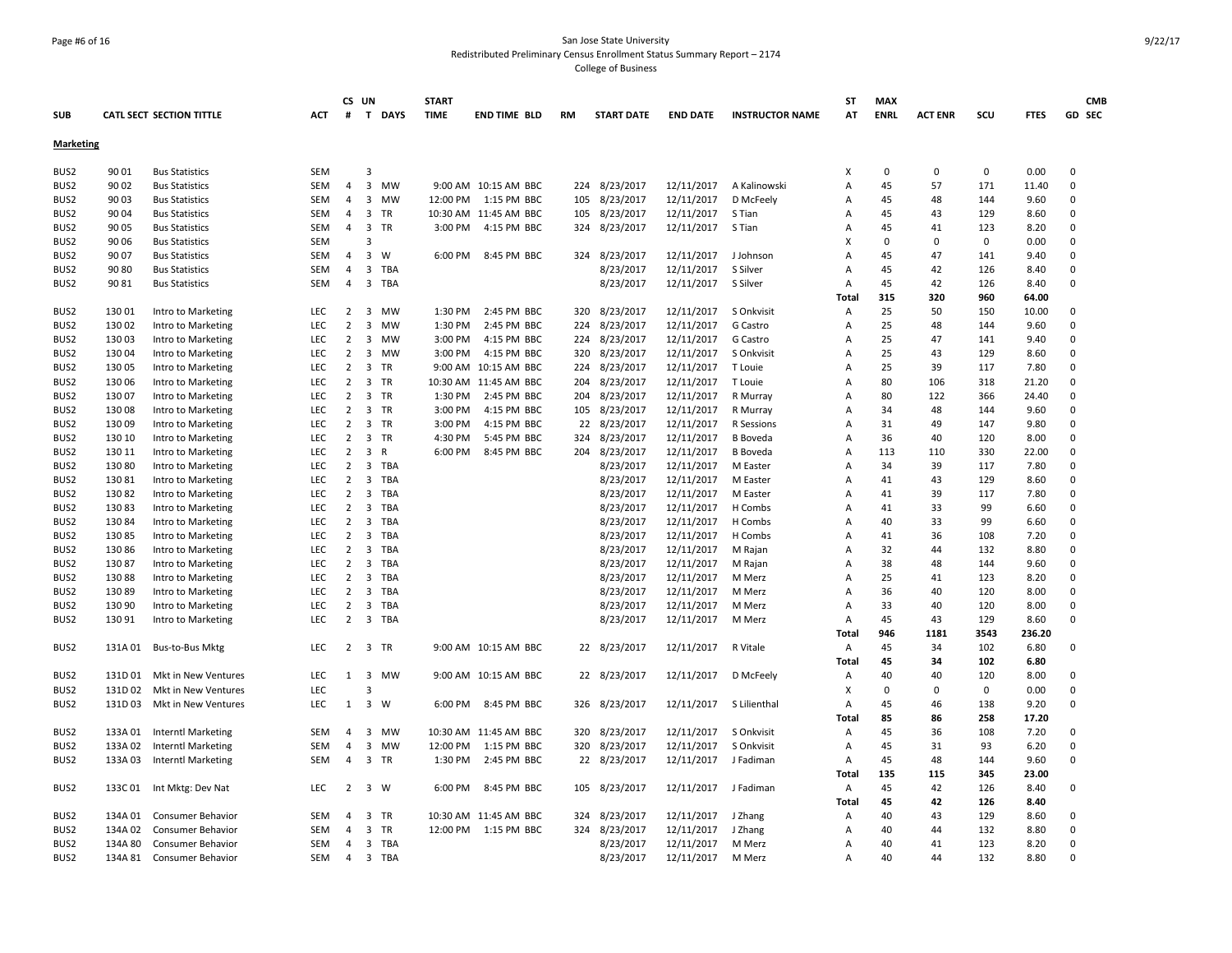### Page #6 of 16 San Jose State University Redistributed Preliminary Census Enrollment Status Summary Report – 2174 College of Business

| <b>SUB</b>       |         | <b>CATL SECT SECTION TITTLE</b> | <b>ACT</b> | #              | CS UN<br>$\mathbf{T}$<br><b>DAYS</b> | <b>START</b><br><b>TIME</b> | <b>END TIME BLD</b>   | <b>RM</b> | <b>START DATE</b> | <b>END DATE</b> | <b>INSTRUCTOR NAME</b> | ST<br>AT       | <b>MAX</b><br><b>ENRL</b> | <b>ACT ENR</b> | scu         | <b>FTES</b> | <b>CMB</b><br><b>GD SEC</b> |
|------------------|---------|---------------------------------|------------|----------------|--------------------------------------|-----------------------------|-----------------------|-----------|-------------------|-----------------|------------------------|----------------|---------------------------|----------------|-------------|-------------|-----------------------------|
| <b>Marketing</b> |         |                                 |            |                |                                      |                             |                       |           |                   |                 |                        |                |                           |                |             |             |                             |
|                  |         |                                 |            |                |                                      |                             |                       |           |                   |                 |                        |                |                           |                |             |             |                             |
| BUS2             | 90 01   | <b>Bus Statistics</b>           | SEM        |                | 3                                    |                             |                       |           |                   |                 |                        | X              | 0                         | 0              | 0           | 0.00        | $\mathbf 0$                 |
| BUS2             | 90 02   | <b>Bus Statistics</b>           | SEM        | $\overline{4}$ | $\overline{3}$<br>MW                 |                             | 9:00 AM 10:15 AM BBC  | 224       | 8/23/2017         | 12/11/2017      | A Kalinowski           | A              | 45                        | 57             | 171         | 11.40       | $\mathbf 0$                 |
| BUS2             | 90 03   | <b>Bus Statistics</b>           | SEM        | 4              | 3<br><b>MW</b>                       | 12:00 PM                    | 1:15 PM BBC           | 105       | 8/23/2017         | 12/11/2017      | D McFeely              | Α              | 45                        | 48             | 144         | 9.60        | $\mathbf 0$                 |
| BUS2             | 90 04   | <b>Bus Statistics</b>           | <b>SEM</b> | $\overline{4}$ | 3<br><b>TR</b>                       |                             | 10:30 AM 11:45 AM BBC | 105       | 8/23/2017         | 12/11/2017      | S Tian                 | Α              | 45                        | 43             | 129         | 8.60        | $\Omega$                    |
| BUS2             | 90 05   | <b>Bus Statistics</b>           | SEM        | $\overline{4}$ | 3 TR                                 | 3:00 PM                     | 4:15 PM BBC           | 324       | 8/23/2017         | 12/11/2017      | S Tian                 | A              | 45                        | 41             | 123         | 8.20        | $\Omega$                    |
| BUS2             | 90 06   | <b>Bus Statistics</b>           | SEM        |                | 3                                    |                             |                       |           |                   |                 |                        | X              | $\Omega$                  | $\Omega$       | $\mathbf 0$ | 0.00        | $\Omega$                    |
| BUS2             | 90 07   | <b>Bus Statistics</b>           | SEM        | $\overline{4}$ | 3<br>W                               | 6:00 PM                     | 8:45 PM BBC           | 324       | 8/23/2017         | 12/11/2017      | J Johnson              | $\overline{A}$ | 45                        | 47             | 141         | 9.40        | $\Omega$                    |
| BUS2             | 90 80   | <b>Bus Statistics</b>           | SEM        | 4              | 3 TBA                                |                             |                       |           | 8/23/2017         | 12/11/2017      | S Silver               | $\overline{A}$ | 45                        | 42             | 126         | 8.40        | $\Omega$                    |
| BUS2             | 90 81   | <b>Bus Statistics</b>           | <b>SEM</b> | $\overline{4}$ | 3 TBA                                |                             |                       |           | 8/23/2017         | 12/11/2017      | S Silver               | A              | 45                        | 42             | 126         | 8.40        | $\Omega$                    |
|                  |         |                                 |            |                |                                      |                             |                       |           |                   |                 |                        | Total          | 315                       | 320            | 960         | 64.00       |                             |
| BUS2             | 130 01  | Intro to Marketing              | LEC        | $\overline{2}$ | 3<br>MW                              | 1:30 PM                     | 2:45 PM BBC           | 320       | 8/23/2017         | 12/11/2017      | S Onkvisit             | A              | 25                        | 50             | 150         | 10.00       | $\mathbf 0$                 |
| BUS2             | 13002   | Intro to Marketing              | <b>LEC</b> | 2              | 3<br><b>MW</b>                       | 1:30 PM                     | 2:45 PM BBC           | 224       | 8/23/2017         | 12/11/2017      | G Castro               | A              | 25                        | 48             | 144         | 9.60        | $\Omega$                    |
| BUS2             | 13003   | Intro to Marketing              | LEC        | $\overline{2}$ | 3<br>MW                              | 3:00 PM                     | 4:15 PM BBC           | 224       | 8/23/2017         | 12/11/2017      | G Castro               | $\overline{A}$ | 25                        | 47             | 141         | 9.40        | $\mathsf 0$                 |
| BUS2             | 13004   | Intro to Marketing              | <b>LEC</b> | $\overline{2}$ | $\overline{3}$<br><b>MW</b>          | 3:00 PM                     | 4:15 PM BBC           | 320       | 8/23/2017         | 12/11/2017      | S Onkvisit             | A              | 25                        | 43             | 129         | 8.60        | $\Omega$                    |
| BUS2             | 130 05  | Intro to Marketing              | <b>LEC</b> | $\overline{2}$ | 3<br><b>TR</b>                       |                             | 9:00 AM 10:15 AM BBC  | 224       | 8/23/2017         | 12/11/2017      | T Louie                | $\overline{A}$ | 25                        | 39             | 117         | 7.80        | $\mathbf 0$                 |
| BUS2             | 130 06  | Intro to Marketing              | LEC        | $\overline{2}$ | 3<br>TR                              | 10:30 AM                    | 11:45 AM BBC          | 204       | 8/23/2017         | 12/11/2017      | T Louie                | $\overline{A}$ | 80                        | 106            | 318         | 21.20       | $\Omega$                    |
| BUS2             | 130 07  | Intro to Marketing              | <b>LEC</b> | 2              | 3<br><b>TR</b>                       | 1:30 PM                     | 2:45 PM BBC           | 204       | 8/23/2017         | 12/11/2017      | R Murray               | Α              | 80                        | 122            | 366         | 24.40       | $\Omega$                    |
| BUS <sub>2</sub> | 13008   | Intro to Marketing              | LEC        | $\overline{2}$ | 3 TR                                 | 3:00 PM                     | 4:15 PM BBC           | 105       | 8/23/2017         | 12/11/2017      | R Murray               | $\overline{A}$ | 34                        | 48             | 144         | 9.60        | $\mathbf 0$                 |
| BUS2             | 13009   | Intro to Marketing              | <b>LEC</b> | $\overline{2}$ | $\overline{\mathbf{3}}$<br><b>TR</b> | 3:00 PM                     | 4:15 PM BBC           |           | 22 8/23/2017      | 12/11/2017      | R Sessions             | A              | 31                        | 49             | 147         | 9.80        | $\Omega$                    |
| BUS2             | 130 10  | Intro to Marketing              | LEC        | 2              | 3<br><b>TR</b>                       | 4:30 PM                     | 5:45 PM BBC           | 324       | 8/23/2017         | 12/11/2017      | <b>B</b> Boveda        | Α              | 36                        | 40             | 120         | 8.00        | $\Omega$                    |
| BUS2             | 130 11  | Intro to Marketing              | LEC        | $\overline{2}$ | 3<br>$\mathsf{R}$                    | 6:00 PM                     | 8:45 PM BBC           | 204       | 8/23/2017         | 12/11/2017      | <b>B</b> Boveda        | Α              | 113                       | 110            | 330         | 22.00       | $\mathbf 0$                 |
| BUS2             | 130 80  | Intro to Marketing              | <b>LEC</b> | $\overline{2}$ | 3<br>TBA                             |                             |                       |           | 8/23/2017         | 12/11/2017      | M Easter               | A              | 34                        | 39             | 117         | 7.80        | $\Omega$                    |
| BUS2             | 13081   | Intro to Marketing              | <b>LEC</b> | $\overline{2}$ | 3<br><b>TBA</b>                      |                             |                       |           | 8/23/2017         | 12/11/2017      | M Easter               | A              | 41                        | 43             | 129         | 8.60        | $\Omega$                    |
| BUS2             | 13082   | Intro to Marketing              | <b>LEC</b> | $\overline{2}$ | 3<br>TBA                             |                             |                       |           | 8/23/2017         | 12/11/2017      | M Easter               | Α              | 41                        | 39             | 117         | 7.80        | 0                           |
| BUS2             | 13083   | Intro to Marketing              | LEC        | $\overline{2}$ | 3 TBA                                |                             |                       |           | 8/23/2017         | 12/11/2017      | H Combs                | A              | 41                        | 33             | 99          | 6.60        | $\Omega$                    |
| BUS2             | 130 84  | Intro to Marketing              | LEC        | 2              | 3<br><b>TBA</b>                      |                             |                       |           | 8/23/2017         | 12/11/2017      | H Combs                | Α              | 40                        | 33             | 99          | 6.60        | $\mathbf 0$                 |
| BUS2             | 13085   | Intro to Marketing              | <b>LEC</b> | 2              | 3<br>TBA                             |                             |                       |           | 8/23/2017         | 12/11/2017      | H Combs                | $\overline{A}$ | 41                        | 36             | 108         | 7.20        | $\Omega$                    |
| BUS <sub>2</sub> | 13086   | Intro to Marketing              | <b>LEC</b> | $\overline{2}$ | 3<br><b>TBA</b>                      |                             |                       |           | 8/23/2017         | 12/11/2017      | M Rajan                | $\overline{A}$ | 32                        | 44             | 132         | 8.80        | $\Omega$                    |
| BUS2             | 13087   | Intro to Marketing              | <b>LEC</b> | $\overline{2}$ | 3<br>TBA                             |                             |                       |           | 8/23/2017         | 12/11/2017      | M Rajan                | Α              | 38                        | 48             | 144         | 9.60        | $\Omega$                    |
| BUS2             | 13088   | Intro to Marketing              | LEC        | $\overline{2}$ | 3<br>TBA                             |                             |                       |           | 8/23/2017         | 12/11/2017      | M Merz                 | $\overline{A}$ | 25                        | 41             | 123         | 8.20        | $\mathbf 0$                 |
| BUS2             | 13089   | Intro to Marketing              | LEC        | $\overline{2}$ | 3<br>TBA                             |                             |                       |           | 8/23/2017         | 12/11/2017      | M Merz                 | A              | 36                        | 40             | 120         | 8.00        | $\mathbf 0$                 |
| BUS2             | 130 90  | Intro to Marketing              | LEC        | $\overline{2}$ | 3<br><b>TBA</b>                      |                             |                       |           | 8/23/2017         | 12/11/2017      | M Merz                 | Α              | 33                        | 40             | 120         | 8.00        | $\mathbf 0$                 |
| BUS2             | 130 91  | Intro to Marketing              | <b>LEC</b> | $\overline{2}$ | 3 TBA                                |                             |                       |           | 8/23/2017         | 12/11/2017      | M Merz                 | Α              | 45                        | 43             | 129         | 8.60        | $\Omega$                    |
|                  |         |                                 |            |                |                                      |                             |                       |           |                   |                 |                        | <b>Total</b>   | 946                       | 1181           | 3543        | 236.20      |                             |
| BUS2             | 131A 01 | Bus-to-Bus Mktg                 | LEC        | 2              | 3 TR                                 |                             | 9:00 AM 10:15 AM BBC  |           | 22 8/23/2017      | 12/11/2017      | R Vitale               | Α              | 45                        | 34             | 102         | 6.80        | $\mathbf 0$                 |
|                  |         |                                 |            |                |                                      |                             |                       |           |                   |                 |                        | <b>Total</b>   | 45                        | 34             | 102         | 6.80        |                             |
| BUS2             | 131D 01 | Mkt in New Ventures             | LEC        | 1              | 3<br><b>MW</b>                       |                             | 9:00 AM 10:15 AM BBC  |           | 22 8/23/2017      | 12/11/2017      | D McFeely              | Α              | 40                        | 40             | 120         | 8.00        | 0                           |
| BUS2             | 131D 02 | Mkt in New Ventures             | <b>LEC</b> |                | 3                                    |                             |                       |           |                   |                 |                        | X              | $\mathbf 0$               | $\Omega$       | 0           | 0.00        | $\mathbf 0$                 |
| BUS2             | 131D03  | Mkt in New Ventures             | <b>LEC</b> | 1              | 3 W                                  | 6:00 PM                     | 8:45 PM BBC           |           | 326 8/23/2017     | 12/11/2017      | S Lilienthal           | Α              | 45                        | 46             | 138         | 9.20        | $\Omega$                    |
|                  |         |                                 |            |                |                                      |                             |                       |           |                   |                 |                        | Total          | 85                        | 86             | 258         | 17.20       |                             |
| BUS2             | 133A 01 | <b>Interntl Marketing</b>       | SEM        | 4              | 3<br>MW                              |                             | 10:30 AM 11:45 AM BBC | 320       | 8/23/2017         | 12/11/2017      | S Onkvisit             | Α              | 45                        | 36             | 108         | 7.20        | $\Omega$                    |
| BUS2             | 133A 02 | <b>Interntl Marketing</b>       | SEM        | $\overline{4}$ | 3<br><b>MW</b>                       | 12:00 PM                    | 1:15 PM BBC           | 320       | 8/23/2017         | 12/11/2017      | S Onkvisit             | Α              | 45                        | 31             | 93          | 6.20        | $\mathbf 0$                 |
| BUS2             | 133A 03 | Interntl Marketing              | <b>SEM</b> | 4              | 3<br>TR                              | 1:30 PM                     | 2:45 PM BBC           | 22        | 8/23/2017         | 12/11/2017      | J Fadiman              | Α              | 45                        | 48             | 144         | 9.60        | $\Omega$                    |
|                  |         |                                 |            |                |                                      |                             |                       |           |                   |                 |                        | <b>Total</b>   | 135                       | 115            | 345         | 23.00       |                             |
| BUS2             | 133C 01 | Int Mktg: Dev Nat               | LEC        | $\overline{2}$ | 3 W                                  | 6:00 PM                     | 8:45 PM BBC           |           | 105 8/23/2017     | 12/11/2017      | J Fadiman              | Α              | 45                        | 42             | 126         | 8.40        | $\mathbf 0$                 |
|                  |         |                                 |            |                |                                      |                             |                       |           |                   |                 |                        | Total          | 45                        | 42             | 126         | 8.40        |                             |
| BUS2             | 134A 01 | Consumer Behavior               | SEM        | 4              | 3 TR                                 |                             | 10:30 AM 11:45 AM BBC | 324       | 8/23/2017         | 12/11/2017      | J Zhang                | Α              | 40                        | 43             | 129         | 8.60        | $\mathbf 0$                 |
| BUS <sub>2</sub> | 134A 02 | <b>Consumer Behavior</b>        | <b>SEM</b> | 4              | 3 TR                                 | 12:00 PM                    | 1:15 PM BBC           | 324       | 8/23/2017         | 12/11/2017      | J Zhang                | $\overline{A}$ | 40                        | 44             | 132         | 8.80        | $\Omega$                    |
| BUS2             | 134A 80 | Consumer Behavior               | <b>SEM</b> | $\overline{4}$ | 3 TBA                                |                             |                       |           | 8/23/2017         | 12/11/2017      | M Merz                 | A              | 40                        | 41             | 123         | 8.20        | $\Omega$                    |
| BUS2             | 134A 81 | <b>Consumer Behavior</b>        | SEM        | $\overline{4}$ | 3 TBA                                |                             |                       |           | 8/23/2017         | 12/11/2017      | M Merz                 | A              | 40                        | 44             | 132         | 8.80        | $\Omega$                    |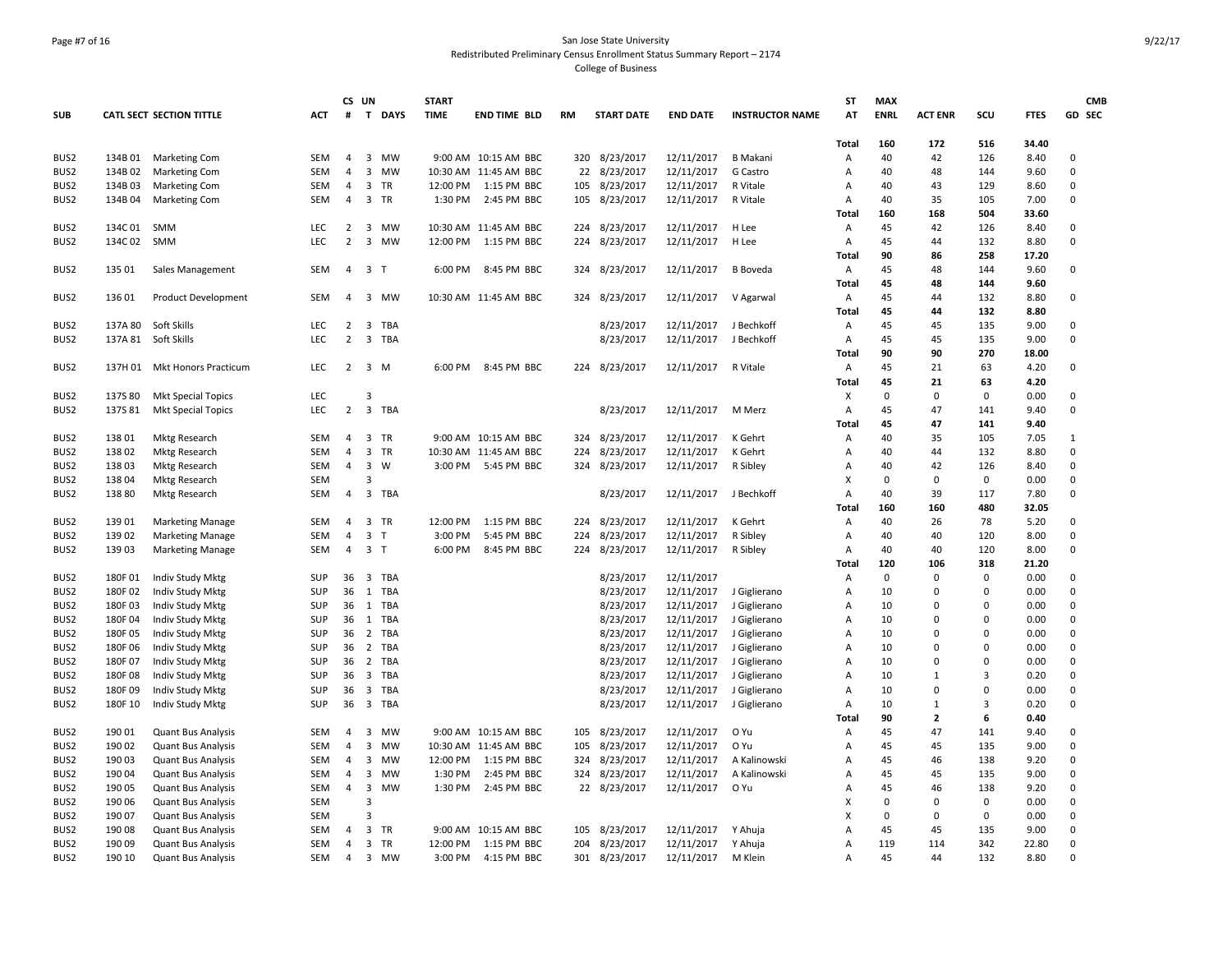## Page #7 of 16 San Jose State University Redistributed Preliminary Census Enrollment Status Summary Report – 2174 College of Business

| <b>CATL SECT SECTION TITTLE</b><br>#<br>$\mathsf{T}$<br><b>DAYS</b><br><b>TIME</b><br><b>END TIME BLD</b><br><b>START DATE</b><br><b>END DATE</b><br><b>INSTRUCTOR NAME</b><br>AT<br><b>ENRL</b><br><b>ACT ENR</b><br>scu<br><b>FTES</b><br>GD SEC<br><b>ACT</b><br><b>RM</b><br>172<br>34.40<br><b>Total</b><br>160<br>516<br>8/23/2017<br>SEM<br>3 MW<br>9:00 AM 10:15 AM BBC<br>12/11/2017<br>40<br>42<br>126<br>8.40<br>$\mathbf 0$<br>BUS2<br>134B 01<br><b>Marketing Com</b><br>4<br>320<br>B Makani<br>Α<br>$\mathbf 0$<br>BUS <sub>2</sub><br>134B 02<br><b>Marketing Com</b><br><b>SEM</b><br>$\overline{4}$<br>3<br><b>MW</b><br>10:30 AM 11:45 AM BBC<br>22<br>8/23/2017<br>12/11/2017<br>G Castro<br>$\overline{A}$<br>40<br>48<br>144<br>9.60<br><b>SEM</b><br>3 TR<br>12:00 PM<br>1:15 PM BBC<br>8/23/2017<br>12/11/2017<br>R Vitale<br>40<br>43<br>129<br>8.60<br>$\mathbf 0$<br>BUS2<br>134B03<br><b>Marketing Com</b><br>4<br>105<br>A<br>3 TR<br><b>SEM</b><br>4<br>2:45 PM BBC<br>8/23/2017<br>12/11/2017<br>$\overline{A}$<br>40<br>35<br>105<br>7.00<br>$\mathbf 0$<br>BUS2<br>134B 04<br><b>Marketing Com</b><br>1:30 PM<br>105<br>R Vitale<br>504<br><b>Total</b><br>160<br>168<br>33.60<br>134C 01<br>SMM<br>LEC<br>MW<br>10:30 AM 11:45 AM BBC<br>8/23/2017<br>12/11/2017<br>H Lee<br>45<br>42<br>126<br>8.40<br>0<br>2<br>3<br>224<br>Α<br>$\overline{2}$<br>134C02<br><b>SMM</b><br>LEC<br>3<br><b>MW</b><br>12:00 PM<br>1:15 PM BBC<br>224<br>8/23/2017<br>12/11/2017<br>H Lee<br>$\overline{A}$<br>45<br>44<br>132<br>8.80<br>$\Omega$<br>90<br>86<br>258<br>17.20<br>Total<br>135 01<br>3 <sub>1</sub><br>8:45 PM BBC<br>8/23/2017<br>12/11/2017<br>45<br>48<br>144<br>9.60<br>$\Omega$<br>Sales Management<br><b>SEM</b><br>$\overline{4}$<br>6:00 PM<br>324<br><b>B</b> Boveda<br>Α<br><b>Total</b><br>45<br>48<br>144<br>9.60<br>8/23/2017<br>12/11/2017<br>45<br>132<br>8.80<br>$\mathbf 0$<br>13601<br><b>Product Development</b><br>SEM<br>4<br>3<br>MW<br>10:30 AM 11:45 AM BBC<br>324<br>V Agarwal<br>Α<br>44<br><b>Total</b><br>45<br>44<br>132<br>8.80<br>BUS2<br>137A 80<br>Soft Skills<br>LEC<br>3<br><b>TBA</b><br>8/23/2017<br>12/11/2017<br>45<br>45<br>135<br>9.00<br>$\mathsf 0$<br>$\overline{2}$<br>J Bechkoff<br>Α<br>$\overline{2}$<br>$\mathbf 0$<br>LEC<br>3<br>TBA<br>8/23/2017<br>Α<br>45<br>135<br>9.00<br>137A 81<br>Soft Skills<br>12/11/2017<br>J Bechkoff<br>45<br>90<br>270<br><b>Total</b><br>90<br>18.00<br>BUS2<br>137H 01<br>LEC<br>$\overline{2}$<br>$\overline{3}$<br>8:45 PM BBC<br>8/23/2017<br>12/11/2017<br>R Vitale<br>45<br>21<br>63<br>4.20<br>$\mathsf 0$<br>Mkt Honors Practicum<br>M<br>6:00 PM<br>224<br>Α<br><b>Total</b><br>45<br>21<br>63<br>4.20<br>LEC<br>$\Omega$<br>0<br>$\mathbf 0$<br>0.00<br>$\mathbf 0$<br>BUS2<br>137S 80<br><b>Mkt Special Topics</b><br>Χ<br>з<br>$\overline{2}$<br>LEC<br>3<br><b>TBA</b><br>8/23/2017<br>45<br>9.40<br>$\mathbf 0$<br>BUS <sub>2</sub><br>137S 81<br><b>Mkt Special Topics</b><br>12/11/2017<br>M Merz<br>Α<br>47<br>141<br>47<br>141<br><b>Total</b><br>45<br>9.40<br>8/23/2017<br>13801<br>SEM<br>3 TR<br>9:00 AM 10:15 AM BBC<br>12/11/2017<br>K Gehrt<br>40<br>35<br>105<br>7.05<br>BUS2<br><b>Mktg Research</b><br>$\overline{4}$<br>324<br>Α<br>1<br>8/23/2017<br>13802<br><b>SEM</b><br>$\overline{4}$<br>3<br><b>TR</b><br>10:30 AM 11:45 AM BBC<br>224<br>12/11/2017<br>K Gehrt<br>$\overline{A}$<br>40<br>44<br>132<br>8.80<br>$\Omega$<br>BUS2<br><b>Mktg Research</b><br>13803<br>SEM<br>$\overline{4}$<br>3<br>W<br>3:00 PM<br>8/23/2017<br>12/11/2017<br>40<br>42<br>126<br>8.40<br>$\mathsf 0$<br>BUS2<br><b>Mktg Research</b><br>5:45 PM BBC<br>324<br>R Sibley<br>A<br><b>SEM</b><br>X<br>$\Omega$<br>$\Omega$<br>$\mathbf 0$<br>0.00<br>$\mathbf 0$<br>BUS2<br>13804<br><b>Mktg Research</b><br>BUS2<br>13880<br><b>SEM</b><br>$\overline{4}$<br>3 TBA<br>8/23/2017<br>12/11/2017<br>J Bechkoff<br>$\overline{A}$<br>40<br>39<br>117<br>7.80<br>$\Omega$<br>Mktg Research<br>160<br>480<br>32.05<br>Total<br>160<br>139 01<br><b>SEM</b><br>$\overline{4}$<br>3<br><b>TR</b><br>12:00 PM<br>1:15 PM BBC<br>8/23/2017<br>12/11/2017<br>K Gehrt<br>40<br>26<br>78<br>5.20<br>$\Omega$<br>BUS <sub>2</sub><br><b>Marketing Manage</b><br>224<br>$\overline{A}$<br>139 02<br><b>SEM</b><br>$\overline{4}$<br>3<br>3:00 PM<br>5:45 PM BBC<br>224<br>8/23/2017<br>R Sibley<br>A<br>40<br>40<br>120<br>8.00<br>$\mathbf 0$<br>BUS2<br><b>Marketing Manage</b><br>$\mathsf{T}$<br>12/11/2017<br><b>SEM</b><br>4<br>3 <sub>T</sub><br>8/23/2017<br>12/11/2017<br>40<br>40<br>120<br>8.00<br>$\Omega$<br>BUS2<br>13903<br><b>Marketing Manage</b><br>6:00 PM<br>8:45 PM BBC<br>224<br>R Sibley<br>Α<br><b>Total</b><br>120<br>106<br>318<br>21.20<br>SUP<br>36 3 TBA<br>8/23/2017<br>12/11/2017<br>$\Omega$<br>0<br>$\Omega$<br>0.00<br>$\mathbf 0$<br>BUS2<br>180F01<br>Indiv Study Mktg<br>Α<br>180F02<br>Indiv Study Mktg<br>SUP<br>36<br>1<br><b>TBA</b><br>8/23/2017<br>12/11/2017<br>J Giglierano<br>Α<br>$\Omega$<br>0.00<br>$\Omega$<br>BUS2<br>10<br>$\Omega$<br>180F03<br>SUP<br>1 TBA<br>8/23/2017<br>12/11/2017<br>0.00<br>$\Omega$<br>BUS2<br>Indiv Study Mktg<br>36<br>J Giglierano<br>Α<br>10<br>$\Omega$<br>$\Omega$<br>36<br>1 TBA<br>8/23/2017<br>Α<br>$\Omega$<br>0.00<br>$\Omega$<br>BUS2<br>180F04<br>Indiv Study Mktg<br>SUP<br>12/11/2017<br>J Giglierano<br>10<br>$\Omega$<br>36 2 TBA<br>BUS <sub>2</sub><br>180F05<br>Indiv Study Mktg<br>SUP<br>8/23/2017<br>12/11/2017<br>J Giglierano<br>Α<br>10<br>$\Omega$<br>$\Omega$<br>0.00<br>$\Omega$<br>180F 06<br>SUP<br><b>TBA</b><br>8/23/2017<br>12/11/2017<br>0.00<br>$\mathbf 0$<br>BUS2<br>Indiv Study Mktg<br>36<br>$\overline{2}$<br>J Giglierano<br>Α<br>10<br>0<br>$\Omega$<br>180F 07<br>SUP<br>36<br>2 TBA<br>8/23/2017<br>12/11/2017<br>Α<br>$\Omega$<br>0.00<br>$\Omega$<br>BUS <sub>2</sub><br>Indiv Study Mktg<br>J Giglierano<br>10<br>$\Omega$<br>180F08<br>SUP<br>36<br>3 TBA<br>8/23/2017<br>12/11/2017<br>3<br>0.20<br>$\Omega$<br>BUS2<br>Indiv Study Mktg<br>J Giglierano<br>A<br>10<br>$\mathbf{1}$<br>36<br>8/23/2017<br>12/11/2017<br>0.00<br>$\Omega$<br>BUS2<br>180F 09<br>Indiv Study Mktg<br><b>SUP</b><br>3<br>TBA<br>J Giglierano<br>Α<br>10<br>$\Omega$<br>$\Omega$<br>BUS <sub>2</sub><br>180F 10<br>Indiv Study Mktg<br>SUP<br>36 3 TBA<br>8/23/2017<br>12/11/2017<br>J Giglierano<br>Α<br>10<br>3<br>0.20<br>$\Omega$<br>$\mathbf{1}$<br>$\overline{2}$<br>6<br>90<br>0.40<br>Total<br>190 01<br><b>SEM</b><br>3<br><b>MW</b><br>9:00 AM 10:15 AM BBC<br>8/23/2017<br>12/11/2017<br>O Yu<br>45<br>47<br>141<br>9.40<br>$\Omega$<br>BUS2<br><b>Quant Bus Analysis</b><br>$\overline{4}$<br>105<br>A<br>190 02<br>SEM<br><b>MW</b><br>8/23/2017<br>45<br>135<br>9.00<br>$\Omega$<br>BUS2<br><b>Quant Bus Analysis</b><br>4<br>3<br>10:30 AM 11:45 AM BBC<br>105<br>12/11/2017<br>O Yu<br>Α<br>45<br>138<br>$\Omega$<br>BUS2<br>19003<br><b>Quant Bus Analysis</b><br><b>SEM</b><br>$\overline{4}$<br>3<br>MW<br>12:00 PM<br>1:15 PM BBC<br>324<br>8/23/2017<br>12/11/2017<br>A Kalinowski<br>$\overline{A}$<br>45<br>46<br>9.20<br>9.00<br>19004<br>Quant Bus Analysis<br><b>SEM</b><br>$\overline{4}$<br>3<br><b>MW</b><br>1:30 PM<br>2:45 PM BBC<br>324<br>8/23/2017<br>12/11/2017<br>A Kalinowski<br>$\overline{A}$<br>45<br>45<br>135<br>$\Omega$<br>190 05<br>SEM<br>$\overline{4}$<br>$\overline{3}$<br>1:30 PM<br>2:45 PM BBC<br>22 8/23/2017<br>12/11/2017<br>O Yu<br>138<br>9.20<br>$\mathbf 0$<br><b>Quant Bus Analysis</b><br>MW<br>$\overline{A}$<br>45<br>46<br>190 06<br><b>SEM</b><br>X<br>$\Omega$<br>$\Omega$<br>$\Omega$<br>0.00<br>$\Omega$<br><b>Quant Bus Analysis</b><br>3<br>X<br>0.00<br>$\mathbf 0$<br>190 07<br><b>SEM</b><br>$\mathbf{a}$<br>$\Omega$<br>$\Omega$<br>0<br><b>Quant Bus Analysis</b><br>3<br>8/23/2017<br>45<br>$\Omega$<br>190 08<br><b>Quant Bus Analysis</b><br><b>SEM</b><br>$\overline{4}$<br>TR<br>9:00 AM 10:15 AM BBC<br>105<br>12/11/2017<br>Y Ahuja<br>$\overline{A}$<br>45<br>135<br>9.00<br>190 09<br><b>SEM</b><br>$\overline{a}$<br>3 TR<br>12:00 PM<br>1:15 PM BBC<br>204<br>8/23/2017<br>12/11/2017<br>Y Ahuja<br>$\overline{A}$<br>119<br>114<br>342<br>22.80<br>$\Omega$<br><b>Quant Bus Analysis</b><br>$\mathbf 0$<br>190 10<br><b>SEM</b><br>3 MW<br>301 8/23/2017<br>12/11/2017<br>A<br>45<br>44<br>132<br>8.80<br>$\overline{4}$<br>3:00 PM<br>4:15 PM BBC<br>M Klein<br><b>Quant Bus Analysis</b> |                  |  |  | CS UN | <b>START</b> |  |  | <b>ST</b> | <b>MAX</b> |  |  | <b>CMB</b> |
|-------------------------------------------------------------------------------------------------------------------------------------------------------------------------------------------------------------------------------------------------------------------------------------------------------------------------------------------------------------------------------------------------------------------------------------------------------------------------------------------------------------------------------------------------------------------------------------------------------------------------------------------------------------------------------------------------------------------------------------------------------------------------------------------------------------------------------------------------------------------------------------------------------------------------------------------------------------------------------------------------------------------------------------------------------------------------------------------------------------------------------------------------------------------------------------------------------------------------------------------------------------------------------------------------------------------------------------------------------------------------------------------------------------------------------------------------------------------------------------------------------------------------------------------------------------------------------------------------------------------------------------------------------------------------------------------------------------------------------------------------------------------------------------------------------------------------------------------------------------------------------------------------------------------------------------------------------------------------------------------------------------------------------------------------------------------------------------------------------------------------------------------------------------------------------------------------------------------------------------------------------------------------------------------------------------------------------------------------------------------------------------------------------------------------------------------------------------------------------------------------------------------------------------------------------------------------------------------------------------------------------------------------------------------------------------------------------------------------------------------------------------------------------------------------------------------------------------------------------------------------------------------------------------------------------------------------------------------------------------------------------------------------------------------------------------------------------------------------------------------------------------------------------------------------------------------------------------------------------------------------------------------------------------------------------------------------------------------------------------------------------------------------------------------------------------------------------------------------------------------------------------------------------------------------------------------------------------------------------------------------------------------------------------------------------------------------------------------------------------------------------------------------------------------------------------------------------------------------------------------------------------------------------------------------------------------------------------------------------------------------------------------------------------------------------------------------------------------------------------------------------------------------------------------------------------------------------------------------------------------------------------------------------------------------------------------------------------------------------------------------------------------------------------------------------------------------------------------------------------------------------------------------------------------------------------------------------------------------------------------------------------------------------------------------------------------------------------------------------------------------------------------------------------------------------------------------------------------------------------------------------------------------------------------------------------------------------------------------------------------------------------------------------------------------------------------------------------------------------------------------------------------------------------------------------------------------------------------------------------------------------------------------------------------------------------------------------------------------------------------------------------------------------------------------------------------------------------------------------------------------------------------------------------------------------------------------------------------------------------------------------------------------------------------------------------------------------------------------------------------------------------------------------------------------------------------------------------------------------------------------------------------------------------------------------------------------------------------------------------------------------------------------------------------------------------------------------------------------------------------------------------------------------------------------------------------------------------------------------------------------------------------------------------------------------------------------------------------------------------------------------------------------------------------------------------------------------------------------------------------------------------------------------------------------------------------------------------------------------------------------------------------------------------------------------------------------------------------------------------------------------------------------------------------------------------------------------------------------------------------------------------------------------------------------------------------------------------------------------------------------------------------------------------------------------------------------------------------------------------------------------------------------------------------------------------------------------------------------------------------------------------------------------------------------------------------------------------------------------------------------------------------------------------------------------------------------------------------------------------------------------------------------------------------------------------------------------------------------------------------------------------------------------------------------------------------------------------------------------------------------------------------------------------------------------------------------------------------------------------------------------------------------------------------------------------------------------------------------------------------------------------------------------------------------------------------------------------------------------------------------------------------------------------------------------------------------------------------------------------------------------------------------------------------------------------------------------------------------------------------------------------------------------------------------------------------------------------------------------------------------------------------|------------------|--|--|-------|--------------|--|--|-----------|------------|--|--|------------|
|                                                                                                                                                                                                                                                                                                                                                                                                                                                                                                                                                                                                                                                                                                                                                                                                                                                                                                                                                                                                                                                                                                                                                                                                                                                                                                                                                                                                                                                                                                                                                                                                                                                                                                                                                                                                                                                                                                                                                                                                                                                                                                                                                                                                                                                                                                                                                                                                                                                                                                                                                                                                                                                                                                                                                                                                                                                                                                                                                                                                                                                                                                                                                                                                                                                                                                                                                                                                                                                                                                                                                                                                                                                                                                                                                                                                                                                                                                                                                                                                                                                                                                                                                                                                                                                                                                                                                                                                                                                                                                                                                                                                                                                                                                                                                                                                                                                                                                                                                                                                                                                                                                                                                                                                                                                                                                                                                                                                                                                                                                                                                                                                                                                                                                                                                                                                                                                                                                                                                                                                                                                                                                                                                                                                                                                                                                                                                                                                                                                                                                                                                                                                                                                                                                                                                                                                                                                                                                                                                                                                                                                                                                                                                                                                                                                                                                                                                                                                                                                                                                                                                                                                                                                                                                                                                                                                                                                                                                                                                                                                                                                                                                                                                                                                                                                                                                                                                                                                                                                                                                                   | <b>SUB</b>       |  |  |       |              |  |  |           |            |  |  |            |
|                                                                                                                                                                                                                                                                                                                                                                                                                                                                                                                                                                                                                                                                                                                                                                                                                                                                                                                                                                                                                                                                                                                                                                                                                                                                                                                                                                                                                                                                                                                                                                                                                                                                                                                                                                                                                                                                                                                                                                                                                                                                                                                                                                                                                                                                                                                                                                                                                                                                                                                                                                                                                                                                                                                                                                                                                                                                                                                                                                                                                                                                                                                                                                                                                                                                                                                                                                                                                                                                                                                                                                                                                                                                                                                                                                                                                                                                                                                                                                                                                                                                                                                                                                                                                                                                                                                                                                                                                                                                                                                                                                                                                                                                                                                                                                                                                                                                                                                                                                                                                                                                                                                                                                                                                                                                                                                                                                                                                                                                                                                                                                                                                                                                                                                                                                                                                                                                                                                                                                                                                                                                                                                                                                                                                                                                                                                                                                                                                                                                                                                                                                                                                                                                                                                                                                                                                                                                                                                                                                                                                                                                                                                                                                                                                                                                                                                                                                                                                                                                                                                                                                                                                                                                                                                                                                                                                                                                                                                                                                                                                                                                                                                                                                                                                                                                                                                                                                                                                                                                                                                   |                  |  |  |       |              |  |  |           |            |  |  |            |
|                                                                                                                                                                                                                                                                                                                                                                                                                                                                                                                                                                                                                                                                                                                                                                                                                                                                                                                                                                                                                                                                                                                                                                                                                                                                                                                                                                                                                                                                                                                                                                                                                                                                                                                                                                                                                                                                                                                                                                                                                                                                                                                                                                                                                                                                                                                                                                                                                                                                                                                                                                                                                                                                                                                                                                                                                                                                                                                                                                                                                                                                                                                                                                                                                                                                                                                                                                                                                                                                                                                                                                                                                                                                                                                                                                                                                                                                                                                                                                                                                                                                                                                                                                                                                                                                                                                                                                                                                                                                                                                                                                                                                                                                                                                                                                                                                                                                                                                                                                                                                                                                                                                                                                                                                                                                                                                                                                                                                                                                                                                                                                                                                                                                                                                                                                                                                                                                                                                                                                                                                                                                                                                                                                                                                                                                                                                                                                                                                                                                                                                                                                                                                                                                                                                                                                                                                                                                                                                                                                                                                                                                                                                                                                                                                                                                                                                                                                                                                                                                                                                                                                                                                                                                                                                                                                                                                                                                                                                                                                                                                                                                                                                                                                                                                                                                                                                                                                                                                                                                                                                   |                  |  |  |       |              |  |  |           |            |  |  |            |
|                                                                                                                                                                                                                                                                                                                                                                                                                                                                                                                                                                                                                                                                                                                                                                                                                                                                                                                                                                                                                                                                                                                                                                                                                                                                                                                                                                                                                                                                                                                                                                                                                                                                                                                                                                                                                                                                                                                                                                                                                                                                                                                                                                                                                                                                                                                                                                                                                                                                                                                                                                                                                                                                                                                                                                                                                                                                                                                                                                                                                                                                                                                                                                                                                                                                                                                                                                                                                                                                                                                                                                                                                                                                                                                                                                                                                                                                                                                                                                                                                                                                                                                                                                                                                                                                                                                                                                                                                                                                                                                                                                                                                                                                                                                                                                                                                                                                                                                                                                                                                                                                                                                                                                                                                                                                                                                                                                                                                                                                                                                                                                                                                                                                                                                                                                                                                                                                                                                                                                                                                                                                                                                                                                                                                                                                                                                                                                                                                                                                                                                                                                                                                                                                                                                                                                                                                                                                                                                                                                                                                                                                                                                                                                                                                                                                                                                                                                                                                                                                                                                                                                                                                                                                                                                                                                                                                                                                                                                                                                                                                                                                                                                                                                                                                                                                                                                                                                                                                                                                                                                   |                  |  |  |       |              |  |  |           |            |  |  |            |
|                                                                                                                                                                                                                                                                                                                                                                                                                                                                                                                                                                                                                                                                                                                                                                                                                                                                                                                                                                                                                                                                                                                                                                                                                                                                                                                                                                                                                                                                                                                                                                                                                                                                                                                                                                                                                                                                                                                                                                                                                                                                                                                                                                                                                                                                                                                                                                                                                                                                                                                                                                                                                                                                                                                                                                                                                                                                                                                                                                                                                                                                                                                                                                                                                                                                                                                                                                                                                                                                                                                                                                                                                                                                                                                                                                                                                                                                                                                                                                                                                                                                                                                                                                                                                                                                                                                                                                                                                                                                                                                                                                                                                                                                                                                                                                                                                                                                                                                                                                                                                                                                                                                                                                                                                                                                                                                                                                                                                                                                                                                                                                                                                                                                                                                                                                                                                                                                                                                                                                                                                                                                                                                                                                                                                                                                                                                                                                                                                                                                                                                                                                                                                                                                                                                                                                                                                                                                                                                                                                                                                                                                                                                                                                                                                                                                                                                                                                                                                                                                                                                                                                                                                                                                                                                                                                                                                                                                                                                                                                                                                                                                                                                                                                                                                                                                                                                                                                                                                                                                                                                   |                  |  |  |       |              |  |  |           |            |  |  |            |
|                                                                                                                                                                                                                                                                                                                                                                                                                                                                                                                                                                                                                                                                                                                                                                                                                                                                                                                                                                                                                                                                                                                                                                                                                                                                                                                                                                                                                                                                                                                                                                                                                                                                                                                                                                                                                                                                                                                                                                                                                                                                                                                                                                                                                                                                                                                                                                                                                                                                                                                                                                                                                                                                                                                                                                                                                                                                                                                                                                                                                                                                                                                                                                                                                                                                                                                                                                                                                                                                                                                                                                                                                                                                                                                                                                                                                                                                                                                                                                                                                                                                                                                                                                                                                                                                                                                                                                                                                                                                                                                                                                                                                                                                                                                                                                                                                                                                                                                                                                                                                                                                                                                                                                                                                                                                                                                                                                                                                                                                                                                                                                                                                                                                                                                                                                                                                                                                                                                                                                                                                                                                                                                                                                                                                                                                                                                                                                                                                                                                                                                                                                                                                                                                                                                                                                                                                                                                                                                                                                                                                                                                                                                                                                                                                                                                                                                                                                                                                                                                                                                                                                                                                                                                                                                                                                                                                                                                                                                                                                                                                                                                                                                                                                                                                                                                                                                                                                                                                                                                                                                   |                  |  |  |       |              |  |  |           |            |  |  |            |
|                                                                                                                                                                                                                                                                                                                                                                                                                                                                                                                                                                                                                                                                                                                                                                                                                                                                                                                                                                                                                                                                                                                                                                                                                                                                                                                                                                                                                                                                                                                                                                                                                                                                                                                                                                                                                                                                                                                                                                                                                                                                                                                                                                                                                                                                                                                                                                                                                                                                                                                                                                                                                                                                                                                                                                                                                                                                                                                                                                                                                                                                                                                                                                                                                                                                                                                                                                                                                                                                                                                                                                                                                                                                                                                                                                                                                                                                                                                                                                                                                                                                                                                                                                                                                                                                                                                                                                                                                                                                                                                                                                                                                                                                                                                                                                                                                                                                                                                                                                                                                                                                                                                                                                                                                                                                                                                                                                                                                                                                                                                                                                                                                                                                                                                                                                                                                                                                                                                                                                                                                                                                                                                                                                                                                                                                                                                                                                                                                                                                                                                                                                                                                                                                                                                                                                                                                                                                                                                                                                                                                                                                                                                                                                                                                                                                                                                                                                                                                                                                                                                                                                                                                                                                                                                                                                                                                                                                                                                                                                                                                                                                                                                                                                                                                                                                                                                                                                                                                                                                                                                   |                  |  |  |       |              |  |  |           |            |  |  |            |
|                                                                                                                                                                                                                                                                                                                                                                                                                                                                                                                                                                                                                                                                                                                                                                                                                                                                                                                                                                                                                                                                                                                                                                                                                                                                                                                                                                                                                                                                                                                                                                                                                                                                                                                                                                                                                                                                                                                                                                                                                                                                                                                                                                                                                                                                                                                                                                                                                                                                                                                                                                                                                                                                                                                                                                                                                                                                                                                                                                                                                                                                                                                                                                                                                                                                                                                                                                                                                                                                                                                                                                                                                                                                                                                                                                                                                                                                                                                                                                                                                                                                                                                                                                                                                                                                                                                                                                                                                                                                                                                                                                                                                                                                                                                                                                                                                                                                                                                                                                                                                                                                                                                                                                                                                                                                                                                                                                                                                                                                                                                                                                                                                                                                                                                                                                                                                                                                                                                                                                                                                                                                                                                                                                                                                                                                                                                                                                                                                                                                                                                                                                                                                                                                                                                                                                                                                                                                                                                                                                                                                                                                                                                                                                                                                                                                                                                                                                                                                                                                                                                                                                                                                                                                                                                                                                                                                                                                                                                                                                                                                                                                                                                                                                                                                                                                                                                                                                                                                                                                                                                   | BUS <sub>2</sub> |  |  |       |              |  |  |           |            |  |  |            |
|                                                                                                                                                                                                                                                                                                                                                                                                                                                                                                                                                                                                                                                                                                                                                                                                                                                                                                                                                                                                                                                                                                                                                                                                                                                                                                                                                                                                                                                                                                                                                                                                                                                                                                                                                                                                                                                                                                                                                                                                                                                                                                                                                                                                                                                                                                                                                                                                                                                                                                                                                                                                                                                                                                                                                                                                                                                                                                                                                                                                                                                                                                                                                                                                                                                                                                                                                                                                                                                                                                                                                                                                                                                                                                                                                                                                                                                                                                                                                                                                                                                                                                                                                                                                                                                                                                                                                                                                                                                                                                                                                                                                                                                                                                                                                                                                                                                                                                                                                                                                                                                                                                                                                                                                                                                                                                                                                                                                                                                                                                                                                                                                                                                                                                                                                                                                                                                                                                                                                                                                                                                                                                                                                                                                                                                                                                                                                                                                                                                                                                                                                                                                                                                                                                                                                                                                                                                                                                                                                                                                                                                                                                                                                                                                                                                                                                                                                                                                                                                                                                                                                                                                                                                                                                                                                                                                                                                                                                                                                                                                                                                                                                                                                                                                                                                                                                                                                                                                                                                                                                                   | BUS <sub>2</sub> |  |  |       |              |  |  |           |            |  |  |            |
|                                                                                                                                                                                                                                                                                                                                                                                                                                                                                                                                                                                                                                                                                                                                                                                                                                                                                                                                                                                                                                                                                                                                                                                                                                                                                                                                                                                                                                                                                                                                                                                                                                                                                                                                                                                                                                                                                                                                                                                                                                                                                                                                                                                                                                                                                                                                                                                                                                                                                                                                                                                                                                                                                                                                                                                                                                                                                                                                                                                                                                                                                                                                                                                                                                                                                                                                                                                                                                                                                                                                                                                                                                                                                                                                                                                                                                                                                                                                                                                                                                                                                                                                                                                                                                                                                                                                                                                                                                                                                                                                                                                                                                                                                                                                                                                                                                                                                                                                                                                                                                                                                                                                                                                                                                                                                                                                                                                                                                                                                                                                                                                                                                                                                                                                                                                                                                                                                                                                                                                                                                                                                                                                                                                                                                                                                                                                                                                                                                                                                                                                                                                                                                                                                                                                                                                                                                                                                                                                                                                                                                                                                                                                                                                                                                                                                                                                                                                                                                                                                                                                                                                                                                                                                                                                                                                                                                                                                                                                                                                                                                                                                                                                                                                                                                                                                                                                                                                                                                                                                                                   |                  |  |  |       |              |  |  |           |            |  |  |            |
|                                                                                                                                                                                                                                                                                                                                                                                                                                                                                                                                                                                                                                                                                                                                                                                                                                                                                                                                                                                                                                                                                                                                                                                                                                                                                                                                                                                                                                                                                                                                                                                                                                                                                                                                                                                                                                                                                                                                                                                                                                                                                                                                                                                                                                                                                                                                                                                                                                                                                                                                                                                                                                                                                                                                                                                                                                                                                                                                                                                                                                                                                                                                                                                                                                                                                                                                                                                                                                                                                                                                                                                                                                                                                                                                                                                                                                                                                                                                                                                                                                                                                                                                                                                                                                                                                                                                                                                                                                                                                                                                                                                                                                                                                                                                                                                                                                                                                                                                                                                                                                                                                                                                                                                                                                                                                                                                                                                                                                                                                                                                                                                                                                                                                                                                                                                                                                                                                                                                                                                                                                                                                                                                                                                                                                                                                                                                                                                                                                                                                                                                                                                                                                                                                                                                                                                                                                                                                                                                                                                                                                                                                                                                                                                                                                                                                                                                                                                                                                                                                                                                                                                                                                                                                                                                                                                                                                                                                                                                                                                                                                                                                                                                                                                                                                                                                                                                                                                                                                                                                                                   | BUS <sub>2</sub> |  |  |       |              |  |  |           |            |  |  |            |
|                                                                                                                                                                                                                                                                                                                                                                                                                                                                                                                                                                                                                                                                                                                                                                                                                                                                                                                                                                                                                                                                                                                                                                                                                                                                                                                                                                                                                                                                                                                                                                                                                                                                                                                                                                                                                                                                                                                                                                                                                                                                                                                                                                                                                                                                                                                                                                                                                                                                                                                                                                                                                                                                                                                                                                                                                                                                                                                                                                                                                                                                                                                                                                                                                                                                                                                                                                                                                                                                                                                                                                                                                                                                                                                                                                                                                                                                                                                                                                                                                                                                                                                                                                                                                                                                                                                                                                                                                                                                                                                                                                                                                                                                                                                                                                                                                                                                                                                                                                                                                                                                                                                                                                                                                                                                                                                                                                                                                                                                                                                                                                                                                                                                                                                                                                                                                                                                                                                                                                                                                                                                                                                                                                                                                                                                                                                                                                                                                                                                                                                                                                                                                                                                                                                                                                                                                                                                                                                                                                                                                                                                                                                                                                                                                                                                                                                                                                                                                                                                                                                                                                                                                                                                                                                                                                                                                                                                                                                                                                                                                                                                                                                                                                                                                                                                                                                                                                                                                                                                                                                   |                  |  |  |       |              |  |  |           |            |  |  |            |
|                                                                                                                                                                                                                                                                                                                                                                                                                                                                                                                                                                                                                                                                                                                                                                                                                                                                                                                                                                                                                                                                                                                                                                                                                                                                                                                                                                                                                                                                                                                                                                                                                                                                                                                                                                                                                                                                                                                                                                                                                                                                                                                                                                                                                                                                                                                                                                                                                                                                                                                                                                                                                                                                                                                                                                                                                                                                                                                                                                                                                                                                                                                                                                                                                                                                                                                                                                                                                                                                                                                                                                                                                                                                                                                                                                                                                                                                                                                                                                                                                                                                                                                                                                                                                                                                                                                                                                                                                                                                                                                                                                                                                                                                                                                                                                                                                                                                                                                                                                                                                                                                                                                                                                                                                                                                                                                                                                                                                                                                                                                                                                                                                                                                                                                                                                                                                                                                                                                                                                                                                                                                                                                                                                                                                                                                                                                                                                                                                                                                                                                                                                                                                                                                                                                                                                                                                                                                                                                                                                                                                                                                                                                                                                                                                                                                                                                                                                                                                                                                                                                                                                                                                                                                                                                                                                                                                                                                                                                                                                                                                                                                                                                                                                                                                                                                                                                                                                                                                                                                                                                   | BUS <sub>2</sub> |  |  |       |              |  |  |           |            |  |  |            |
|                                                                                                                                                                                                                                                                                                                                                                                                                                                                                                                                                                                                                                                                                                                                                                                                                                                                                                                                                                                                                                                                                                                                                                                                                                                                                                                                                                                                                                                                                                                                                                                                                                                                                                                                                                                                                                                                                                                                                                                                                                                                                                                                                                                                                                                                                                                                                                                                                                                                                                                                                                                                                                                                                                                                                                                                                                                                                                                                                                                                                                                                                                                                                                                                                                                                                                                                                                                                                                                                                                                                                                                                                                                                                                                                                                                                                                                                                                                                                                                                                                                                                                                                                                                                                                                                                                                                                                                                                                                                                                                                                                                                                                                                                                                                                                                                                                                                                                                                                                                                                                                                                                                                                                                                                                                                                                                                                                                                                                                                                                                                                                                                                                                                                                                                                                                                                                                                                                                                                                                                                                                                                                                                                                                                                                                                                                                                                                                                                                                                                                                                                                                                                                                                                                                                                                                                                                                                                                                                                                                                                                                                                                                                                                                                                                                                                                                                                                                                                                                                                                                                                                                                                                                                                                                                                                                                                                                                                                                                                                                                                                                                                                                                                                                                                                                                                                                                                                                                                                                                                                                   |                  |  |  |       |              |  |  |           |            |  |  |            |
|                                                                                                                                                                                                                                                                                                                                                                                                                                                                                                                                                                                                                                                                                                                                                                                                                                                                                                                                                                                                                                                                                                                                                                                                                                                                                                                                                                                                                                                                                                                                                                                                                                                                                                                                                                                                                                                                                                                                                                                                                                                                                                                                                                                                                                                                                                                                                                                                                                                                                                                                                                                                                                                                                                                                                                                                                                                                                                                                                                                                                                                                                                                                                                                                                                                                                                                                                                                                                                                                                                                                                                                                                                                                                                                                                                                                                                                                                                                                                                                                                                                                                                                                                                                                                                                                                                                                                                                                                                                                                                                                                                                                                                                                                                                                                                                                                                                                                                                                                                                                                                                                                                                                                                                                                                                                                                                                                                                                                                                                                                                                                                                                                                                                                                                                                                                                                                                                                                                                                                                                                                                                                                                                                                                                                                                                                                                                                                                                                                                                                                                                                                                                                                                                                                                                                                                                                                                                                                                                                                                                                                                                                                                                                                                                                                                                                                                                                                                                                                                                                                                                                                                                                                                                                                                                                                                                                                                                                                                                                                                                                                                                                                                                                                                                                                                                                                                                                                                                                                                                                                                   |                  |  |  |       |              |  |  |           |            |  |  |            |
|                                                                                                                                                                                                                                                                                                                                                                                                                                                                                                                                                                                                                                                                                                                                                                                                                                                                                                                                                                                                                                                                                                                                                                                                                                                                                                                                                                                                                                                                                                                                                                                                                                                                                                                                                                                                                                                                                                                                                                                                                                                                                                                                                                                                                                                                                                                                                                                                                                                                                                                                                                                                                                                                                                                                                                                                                                                                                                                                                                                                                                                                                                                                                                                                                                                                                                                                                                                                                                                                                                                                                                                                                                                                                                                                                                                                                                                                                                                                                                                                                                                                                                                                                                                                                                                                                                                                                                                                                                                                                                                                                                                                                                                                                                                                                                                                                                                                                                                                                                                                                                                                                                                                                                                                                                                                                                                                                                                                                                                                                                                                                                                                                                                                                                                                                                                                                                                                                                                                                                                                                                                                                                                                                                                                                                                                                                                                                                                                                                                                                                                                                                                                                                                                                                                                                                                                                                                                                                                                                                                                                                                                                                                                                                                                                                                                                                                                                                                                                                                                                                                                                                                                                                                                                                                                                                                                                                                                                                                                                                                                                                                                                                                                                                                                                                                                                                                                                                                                                                                                                                                   | BUS2             |  |  |       |              |  |  |           |            |  |  |            |
|                                                                                                                                                                                                                                                                                                                                                                                                                                                                                                                                                                                                                                                                                                                                                                                                                                                                                                                                                                                                                                                                                                                                                                                                                                                                                                                                                                                                                                                                                                                                                                                                                                                                                                                                                                                                                                                                                                                                                                                                                                                                                                                                                                                                                                                                                                                                                                                                                                                                                                                                                                                                                                                                                                                                                                                                                                                                                                                                                                                                                                                                                                                                                                                                                                                                                                                                                                                                                                                                                                                                                                                                                                                                                                                                                                                                                                                                                                                                                                                                                                                                                                                                                                                                                                                                                                                                                                                                                                                                                                                                                                                                                                                                                                                                                                                                                                                                                                                                                                                                                                                                                                                                                                                                                                                                                                                                                                                                                                                                                                                                                                                                                                                                                                                                                                                                                                                                                                                                                                                                                                                                                                                                                                                                                                                                                                                                                                                                                                                                                                                                                                                                                                                                                                                                                                                                                                                                                                                                                                                                                                                                                                                                                                                                                                                                                                                                                                                                                                                                                                                                                                                                                                                                                                                                                                                                                                                                                                                                                                                                                                                                                                                                                                                                                                                                                                                                                                                                                                                                                                                   |                  |  |  |       |              |  |  |           |            |  |  |            |
|                                                                                                                                                                                                                                                                                                                                                                                                                                                                                                                                                                                                                                                                                                                                                                                                                                                                                                                                                                                                                                                                                                                                                                                                                                                                                                                                                                                                                                                                                                                                                                                                                                                                                                                                                                                                                                                                                                                                                                                                                                                                                                                                                                                                                                                                                                                                                                                                                                                                                                                                                                                                                                                                                                                                                                                                                                                                                                                                                                                                                                                                                                                                                                                                                                                                                                                                                                                                                                                                                                                                                                                                                                                                                                                                                                                                                                                                                                                                                                                                                                                                                                                                                                                                                                                                                                                                                                                                                                                                                                                                                                                                                                                                                                                                                                                                                                                                                                                                                                                                                                                                                                                                                                                                                                                                                                                                                                                                                                                                                                                                                                                                                                                                                                                                                                                                                                                                                                                                                                                                                                                                                                                                                                                                                                                                                                                                                                                                                                                                                                                                                                                                                                                                                                                                                                                                                                                                                                                                                                                                                                                                                                                                                                                                                                                                                                                                                                                                                                                                                                                                                                                                                                                                                                                                                                                                                                                                                                                                                                                                                                                                                                                                                                                                                                                                                                                                                                                                                                                                                                                   |                  |  |  |       |              |  |  |           |            |  |  |            |
|                                                                                                                                                                                                                                                                                                                                                                                                                                                                                                                                                                                                                                                                                                                                                                                                                                                                                                                                                                                                                                                                                                                                                                                                                                                                                                                                                                                                                                                                                                                                                                                                                                                                                                                                                                                                                                                                                                                                                                                                                                                                                                                                                                                                                                                                                                                                                                                                                                                                                                                                                                                                                                                                                                                                                                                                                                                                                                                                                                                                                                                                                                                                                                                                                                                                                                                                                                                                                                                                                                                                                                                                                                                                                                                                                                                                                                                                                                                                                                                                                                                                                                                                                                                                                                                                                                                                                                                                                                                                                                                                                                                                                                                                                                                                                                                                                                                                                                                                                                                                                                                                                                                                                                                                                                                                                                                                                                                                                                                                                                                                                                                                                                                                                                                                                                                                                                                                                                                                                                                                                                                                                                                                                                                                                                                                                                                                                                                                                                                                                                                                                                                                                                                                                                                                                                                                                                                                                                                                                                                                                                                                                                                                                                                                                                                                                                                                                                                                                                                                                                                                                                                                                                                                                                                                                                                                                                                                                                                                                                                                                                                                                                                                                                                                                                                                                                                                                                                                                                                                                                                   |                  |  |  |       |              |  |  |           |            |  |  |            |
|                                                                                                                                                                                                                                                                                                                                                                                                                                                                                                                                                                                                                                                                                                                                                                                                                                                                                                                                                                                                                                                                                                                                                                                                                                                                                                                                                                                                                                                                                                                                                                                                                                                                                                                                                                                                                                                                                                                                                                                                                                                                                                                                                                                                                                                                                                                                                                                                                                                                                                                                                                                                                                                                                                                                                                                                                                                                                                                                                                                                                                                                                                                                                                                                                                                                                                                                                                                                                                                                                                                                                                                                                                                                                                                                                                                                                                                                                                                                                                                                                                                                                                                                                                                                                                                                                                                                                                                                                                                                                                                                                                                                                                                                                                                                                                                                                                                                                                                                                                                                                                                                                                                                                                                                                                                                                                                                                                                                                                                                                                                                                                                                                                                                                                                                                                                                                                                                                                                                                                                                                                                                                                                                                                                                                                                                                                                                                                                                                                                                                                                                                                                                                                                                                                                                                                                                                                                                                                                                                                                                                                                                                                                                                                                                                                                                                                                                                                                                                                                                                                                                                                                                                                                                                                                                                                                                                                                                                                                                                                                                                                                                                                                                                                                                                                                                                                                                                                                                                                                                                                                   |                  |  |  |       |              |  |  |           |            |  |  |            |
|                                                                                                                                                                                                                                                                                                                                                                                                                                                                                                                                                                                                                                                                                                                                                                                                                                                                                                                                                                                                                                                                                                                                                                                                                                                                                                                                                                                                                                                                                                                                                                                                                                                                                                                                                                                                                                                                                                                                                                                                                                                                                                                                                                                                                                                                                                                                                                                                                                                                                                                                                                                                                                                                                                                                                                                                                                                                                                                                                                                                                                                                                                                                                                                                                                                                                                                                                                                                                                                                                                                                                                                                                                                                                                                                                                                                                                                                                                                                                                                                                                                                                                                                                                                                                                                                                                                                                                                                                                                                                                                                                                                                                                                                                                                                                                                                                                                                                                                                                                                                                                                                                                                                                                                                                                                                                                                                                                                                                                                                                                                                                                                                                                                                                                                                                                                                                                                                                                                                                                                                                                                                                                                                                                                                                                                                                                                                                                                                                                                                                                                                                                                                                                                                                                                                                                                                                                                                                                                                                                                                                                                                                                                                                                                                                                                                                                                                                                                                                                                                                                                                                                                                                                                                                                                                                                                                                                                                                                                                                                                                                                                                                                                                                                                                                                                                                                                                                                                                                                                                                                                   |                  |  |  |       |              |  |  |           |            |  |  |            |
|                                                                                                                                                                                                                                                                                                                                                                                                                                                                                                                                                                                                                                                                                                                                                                                                                                                                                                                                                                                                                                                                                                                                                                                                                                                                                                                                                                                                                                                                                                                                                                                                                                                                                                                                                                                                                                                                                                                                                                                                                                                                                                                                                                                                                                                                                                                                                                                                                                                                                                                                                                                                                                                                                                                                                                                                                                                                                                                                                                                                                                                                                                                                                                                                                                                                                                                                                                                                                                                                                                                                                                                                                                                                                                                                                                                                                                                                                                                                                                                                                                                                                                                                                                                                                                                                                                                                                                                                                                                                                                                                                                                                                                                                                                                                                                                                                                                                                                                                                                                                                                                                                                                                                                                                                                                                                                                                                                                                                                                                                                                                                                                                                                                                                                                                                                                                                                                                                                                                                                                                                                                                                                                                                                                                                                                                                                                                                                                                                                                                                                                                                                                                                                                                                                                                                                                                                                                                                                                                                                                                                                                                                                                                                                                                                                                                                                                                                                                                                                                                                                                                                                                                                                                                                                                                                                                                                                                                                                                                                                                                                                                                                                                                                                                                                                                                                                                                                                                                                                                                                                                   |                  |  |  |       |              |  |  |           |            |  |  |            |
|                                                                                                                                                                                                                                                                                                                                                                                                                                                                                                                                                                                                                                                                                                                                                                                                                                                                                                                                                                                                                                                                                                                                                                                                                                                                                                                                                                                                                                                                                                                                                                                                                                                                                                                                                                                                                                                                                                                                                                                                                                                                                                                                                                                                                                                                                                                                                                                                                                                                                                                                                                                                                                                                                                                                                                                                                                                                                                                                                                                                                                                                                                                                                                                                                                                                                                                                                                                                                                                                                                                                                                                                                                                                                                                                                                                                                                                                                                                                                                                                                                                                                                                                                                                                                                                                                                                                                                                                                                                                                                                                                                                                                                                                                                                                                                                                                                                                                                                                                                                                                                                                                                                                                                                                                                                                                                                                                                                                                                                                                                                                                                                                                                                                                                                                                                                                                                                                                                                                                                                                                                                                                                                                                                                                                                                                                                                                                                                                                                                                                                                                                                                                                                                                                                                                                                                                                                                                                                                                                                                                                                                                                                                                                                                                                                                                                                                                                                                                                                                                                                                                                                                                                                                                                                                                                                                                                                                                                                                                                                                                                                                                                                                                                                                                                                                                                                                                                                                                                                                                                                                   |                  |  |  |       |              |  |  |           |            |  |  |            |
|                                                                                                                                                                                                                                                                                                                                                                                                                                                                                                                                                                                                                                                                                                                                                                                                                                                                                                                                                                                                                                                                                                                                                                                                                                                                                                                                                                                                                                                                                                                                                                                                                                                                                                                                                                                                                                                                                                                                                                                                                                                                                                                                                                                                                                                                                                                                                                                                                                                                                                                                                                                                                                                                                                                                                                                                                                                                                                                                                                                                                                                                                                                                                                                                                                                                                                                                                                                                                                                                                                                                                                                                                                                                                                                                                                                                                                                                                                                                                                                                                                                                                                                                                                                                                                                                                                                                                                                                                                                                                                                                                                                                                                                                                                                                                                                                                                                                                                                                                                                                                                                                                                                                                                                                                                                                                                                                                                                                                                                                                                                                                                                                                                                                                                                                                                                                                                                                                                                                                                                                                                                                                                                                                                                                                                                                                                                                                                                                                                                                                                                                                                                                                                                                                                                                                                                                                                                                                                                                                                                                                                                                                                                                                                                                                                                                                                                                                                                                                                                                                                                                                                                                                                                                                                                                                                                                                                                                                                                                                                                                                                                                                                                                                                                                                                                                                                                                                                                                                                                                                                                   |                  |  |  |       |              |  |  |           |            |  |  |            |
|                                                                                                                                                                                                                                                                                                                                                                                                                                                                                                                                                                                                                                                                                                                                                                                                                                                                                                                                                                                                                                                                                                                                                                                                                                                                                                                                                                                                                                                                                                                                                                                                                                                                                                                                                                                                                                                                                                                                                                                                                                                                                                                                                                                                                                                                                                                                                                                                                                                                                                                                                                                                                                                                                                                                                                                                                                                                                                                                                                                                                                                                                                                                                                                                                                                                                                                                                                                                                                                                                                                                                                                                                                                                                                                                                                                                                                                                                                                                                                                                                                                                                                                                                                                                                                                                                                                                                                                                                                                                                                                                                                                                                                                                                                                                                                                                                                                                                                                                                                                                                                                                                                                                                                                                                                                                                                                                                                                                                                                                                                                                                                                                                                                                                                                                                                                                                                                                                                                                                                                                                                                                                                                                                                                                                                                                                                                                                                                                                                                                                                                                                                                                                                                                                                                                                                                                                                                                                                                                                                                                                                                                                                                                                                                                                                                                                                                                                                                                                                                                                                                                                                                                                                                                                                                                                                                                                                                                                                                                                                                                                                                                                                                                                                                                                                                                                                                                                                                                                                                                                                                   |                  |  |  |       |              |  |  |           |            |  |  |            |
|                                                                                                                                                                                                                                                                                                                                                                                                                                                                                                                                                                                                                                                                                                                                                                                                                                                                                                                                                                                                                                                                                                                                                                                                                                                                                                                                                                                                                                                                                                                                                                                                                                                                                                                                                                                                                                                                                                                                                                                                                                                                                                                                                                                                                                                                                                                                                                                                                                                                                                                                                                                                                                                                                                                                                                                                                                                                                                                                                                                                                                                                                                                                                                                                                                                                                                                                                                                                                                                                                                                                                                                                                                                                                                                                                                                                                                                                                                                                                                                                                                                                                                                                                                                                                                                                                                                                                                                                                                                                                                                                                                                                                                                                                                                                                                                                                                                                                                                                                                                                                                                                                                                                                                                                                                                                                                                                                                                                                                                                                                                                                                                                                                                                                                                                                                                                                                                                                                                                                                                                                                                                                                                                                                                                                                                                                                                                                                                                                                                                                                                                                                                                                                                                                                                                                                                                                                                                                                                                                                                                                                                                                                                                                                                                                                                                                                                                                                                                                                                                                                                                                                                                                                                                                                                                                                                                                                                                                                                                                                                                                                                                                                                                                                                                                                                                                                                                                                                                                                                                                                                   |                  |  |  |       |              |  |  |           |            |  |  |            |
|                                                                                                                                                                                                                                                                                                                                                                                                                                                                                                                                                                                                                                                                                                                                                                                                                                                                                                                                                                                                                                                                                                                                                                                                                                                                                                                                                                                                                                                                                                                                                                                                                                                                                                                                                                                                                                                                                                                                                                                                                                                                                                                                                                                                                                                                                                                                                                                                                                                                                                                                                                                                                                                                                                                                                                                                                                                                                                                                                                                                                                                                                                                                                                                                                                                                                                                                                                                                                                                                                                                                                                                                                                                                                                                                                                                                                                                                                                                                                                                                                                                                                                                                                                                                                                                                                                                                                                                                                                                                                                                                                                                                                                                                                                                                                                                                                                                                                                                                                                                                                                                                                                                                                                                                                                                                                                                                                                                                                                                                                                                                                                                                                                                                                                                                                                                                                                                                                                                                                                                                                                                                                                                                                                                                                                                                                                                                                                                                                                                                                                                                                                                                                                                                                                                                                                                                                                                                                                                                                                                                                                                                                                                                                                                                                                                                                                                                                                                                                                                                                                                                                                                                                                                                                                                                                                                                                                                                                                                                                                                                                                                                                                                                                                                                                                                                                                                                                                                                                                                                                                                   |                  |  |  |       |              |  |  |           |            |  |  |            |
|                                                                                                                                                                                                                                                                                                                                                                                                                                                                                                                                                                                                                                                                                                                                                                                                                                                                                                                                                                                                                                                                                                                                                                                                                                                                                                                                                                                                                                                                                                                                                                                                                                                                                                                                                                                                                                                                                                                                                                                                                                                                                                                                                                                                                                                                                                                                                                                                                                                                                                                                                                                                                                                                                                                                                                                                                                                                                                                                                                                                                                                                                                                                                                                                                                                                                                                                                                                                                                                                                                                                                                                                                                                                                                                                                                                                                                                                                                                                                                                                                                                                                                                                                                                                                                                                                                                                                                                                                                                                                                                                                                                                                                                                                                                                                                                                                                                                                                                                                                                                                                                                                                                                                                                                                                                                                                                                                                                                                                                                                                                                                                                                                                                                                                                                                                                                                                                                                                                                                                                                                                                                                                                                                                                                                                                                                                                                                                                                                                                                                                                                                                                                                                                                                                                                                                                                                                                                                                                                                                                                                                                                                                                                                                                                                                                                                                                                                                                                                                                                                                                                                                                                                                                                                                                                                                                                                                                                                                                                                                                                                                                                                                                                                                                                                                                                                                                                                                                                                                                                                                                   |                  |  |  |       |              |  |  |           |            |  |  |            |
|                                                                                                                                                                                                                                                                                                                                                                                                                                                                                                                                                                                                                                                                                                                                                                                                                                                                                                                                                                                                                                                                                                                                                                                                                                                                                                                                                                                                                                                                                                                                                                                                                                                                                                                                                                                                                                                                                                                                                                                                                                                                                                                                                                                                                                                                                                                                                                                                                                                                                                                                                                                                                                                                                                                                                                                                                                                                                                                                                                                                                                                                                                                                                                                                                                                                                                                                                                                                                                                                                                                                                                                                                                                                                                                                                                                                                                                                                                                                                                                                                                                                                                                                                                                                                                                                                                                                                                                                                                                                                                                                                                                                                                                                                                                                                                                                                                                                                                                                                                                                                                                                                                                                                                                                                                                                                                                                                                                                                                                                                                                                                                                                                                                                                                                                                                                                                                                                                                                                                                                                                                                                                                                                                                                                                                                                                                                                                                                                                                                                                                                                                                                                                                                                                                                                                                                                                                                                                                                                                                                                                                                                                                                                                                                                                                                                                                                                                                                                                                                                                                                                                                                                                                                                                                                                                                                                                                                                                                                                                                                                                                                                                                                                                                                                                                                                                                                                                                                                                                                                                                                   |                  |  |  |       |              |  |  |           |            |  |  |            |
|                                                                                                                                                                                                                                                                                                                                                                                                                                                                                                                                                                                                                                                                                                                                                                                                                                                                                                                                                                                                                                                                                                                                                                                                                                                                                                                                                                                                                                                                                                                                                                                                                                                                                                                                                                                                                                                                                                                                                                                                                                                                                                                                                                                                                                                                                                                                                                                                                                                                                                                                                                                                                                                                                                                                                                                                                                                                                                                                                                                                                                                                                                                                                                                                                                                                                                                                                                                                                                                                                                                                                                                                                                                                                                                                                                                                                                                                                                                                                                                                                                                                                                                                                                                                                                                                                                                                                                                                                                                                                                                                                                                                                                                                                                                                                                                                                                                                                                                                                                                                                                                                                                                                                                                                                                                                                                                                                                                                                                                                                                                                                                                                                                                                                                                                                                                                                                                                                                                                                                                                                                                                                                                                                                                                                                                                                                                                                                                                                                                                                                                                                                                                                                                                                                                                                                                                                                                                                                                                                                                                                                                                                                                                                                                                                                                                                                                                                                                                                                                                                                                                                                                                                                                                                                                                                                                                                                                                                                                                                                                                                                                                                                                                                                                                                                                                                                                                                                                                                                                                                                                   |                  |  |  |       |              |  |  |           |            |  |  |            |
|                                                                                                                                                                                                                                                                                                                                                                                                                                                                                                                                                                                                                                                                                                                                                                                                                                                                                                                                                                                                                                                                                                                                                                                                                                                                                                                                                                                                                                                                                                                                                                                                                                                                                                                                                                                                                                                                                                                                                                                                                                                                                                                                                                                                                                                                                                                                                                                                                                                                                                                                                                                                                                                                                                                                                                                                                                                                                                                                                                                                                                                                                                                                                                                                                                                                                                                                                                                                                                                                                                                                                                                                                                                                                                                                                                                                                                                                                                                                                                                                                                                                                                                                                                                                                                                                                                                                                                                                                                                                                                                                                                                                                                                                                                                                                                                                                                                                                                                                                                                                                                                                                                                                                                                                                                                                                                                                                                                                                                                                                                                                                                                                                                                                                                                                                                                                                                                                                                                                                                                                                                                                                                                                                                                                                                                                                                                                                                                                                                                                                                                                                                                                                                                                                                                                                                                                                                                                                                                                                                                                                                                                                                                                                                                                                                                                                                                                                                                                                                                                                                                                                                                                                                                                                                                                                                                                                                                                                                                                                                                                                                                                                                                                                                                                                                                                                                                                                                                                                                                                                                                   |                  |  |  |       |              |  |  |           |            |  |  |            |
|                                                                                                                                                                                                                                                                                                                                                                                                                                                                                                                                                                                                                                                                                                                                                                                                                                                                                                                                                                                                                                                                                                                                                                                                                                                                                                                                                                                                                                                                                                                                                                                                                                                                                                                                                                                                                                                                                                                                                                                                                                                                                                                                                                                                                                                                                                                                                                                                                                                                                                                                                                                                                                                                                                                                                                                                                                                                                                                                                                                                                                                                                                                                                                                                                                                                                                                                                                                                                                                                                                                                                                                                                                                                                                                                                                                                                                                                                                                                                                                                                                                                                                                                                                                                                                                                                                                                                                                                                                                                                                                                                                                                                                                                                                                                                                                                                                                                                                                                                                                                                                                                                                                                                                                                                                                                                                                                                                                                                                                                                                                                                                                                                                                                                                                                                                                                                                                                                                                                                                                                                                                                                                                                                                                                                                                                                                                                                                                                                                                                                                                                                                                                                                                                                                                                                                                                                                                                                                                                                                                                                                                                                                                                                                                                                                                                                                                                                                                                                                                                                                                                                                                                                                                                                                                                                                                                                                                                                                                                                                                                                                                                                                                                                                                                                                                                                                                                                                                                                                                                                                                   |                  |  |  |       |              |  |  |           |            |  |  |            |
|                                                                                                                                                                                                                                                                                                                                                                                                                                                                                                                                                                                                                                                                                                                                                                                                                                                                                                                                                                                                                                                                                                                                                                                                                                                                                                                                                                                                                                                                                                                                                                                                                                                                                                                                                                                                                                                                                                                                                                                                                                                                                                                                                                                                                                                                                                                                                                                                                                                                                                                                                                                                                                                                                                                                                                                                                                                                                                                                                                                                                                                                                                                                                                                                                                                                                                                                                                                                                                                                                                                                                                                                                                                                                                                                                                                                                                                                                                                                                                                                                                                                                                                                                                                                                                                                                                                                                                                                                                                                                                                                                                                                                                                                                                                                                                                                                                                                                                                                                                                                                                                                                                                                                                                                                                                                                                                                                                                                                                                                                                                                                                                                                                                                                                                                                                                                                                                                                                                                                                                                                                                                                                                                                                                                                                                                                                                                                                                                                                                                                                                                                                                                                                                                                                                                                                                                                                                                                                                                                                                                                                                                                                                                                                                                                                                                                                                                                                                                                                                                                                                                                                                                                                                                                                                                                                                                                                                                                                                                                                                                                                                                                                                                                                                                                                                                                                                                                                                                                                                                                                                   |                  |  |  |       |              |  |  |           |            |  |  |            |
|                                                                                                                                                                                                                                                                                                                                                                                                                                                                                                                                                                                                                                                                                                                                                                                                                                                                                                                                                                                                                                                                                                                                                                                                                                                                                                                                                                                                                                                                                                                                                                                                                                                                                                                                                                                                                                                                                                                                                                                                                                                                                                                                                                                                                                                                                                                                                                                                                                                                                                                                                                                                                                                                                                                                                                                                                                                                                                                                                                                                                                                                                                                                                                                                                                                                                                                                                                                                                                                                                                                                                                                                                                                                                                                                                                                                                                                                                                                                                                                                                                                                                                                                                                                                                                                                                                                                                                                                                                                                                                                                                                                                                                                                                                                                                                                                                                                                                                                                                                                                                                                                                                                                                                                                                                                                                                                                                                                                                                                                                                                                                                                                                                                                                                                                                                                                                                                                                                                                                                                                                                                                                                                                                                                                                                                                                                                                                                                                                                                                                                                                                                                                                                                                                                                                                                                                                                                                                                                                                                                                                                                                                                                                                                                                                                                                                                                                                                                                                                                                                                                                                                                                                                                                                                                                                                                                                                                                                                                                                                                                                                                                                                                                                                                                                                                                                                                                                                                                                                                                                                                   |                  |  |  |       |              |  |  |           |            |  |  |            |
|                                                                                                                                                                                                                                                                                                                                                                                                                                                                                                                                                                                                                                                                                                                                                                                                                                                                                                                                                                                                                                                                                                                                                                                                                                                                                                                                                                                                                                                                                                                                                                                                                                                                                                                                                                                                                                                                                                                                                                                                                                                                                                                                                                                                                                                                                                                                                                                                                                                                                                                                                                                                                                                                                                                                                                                                                                                                                                                                                                                                                                                                                                                                                                                                                                                                                                                                                                                                                                                                                                                                                                                                                                                                                                                                                                                                                                                                                                                                                                                                                                                                                                                                                                                                                                                                                                                                                                                                                                                                                                                                                                                                                                                                                                                                                                                                                                                                                                                                                                                                                                                                                                                                                                                                                                                                                                                                                                                                                                                                                                                                                                                                                                                                                                                                                                                                                                                                                                                                                                                                                                                                                                                                                                                                                                                                                                                                                                                                                                                                                                                                                                                                                                                                                                                                                                                                                                                                                                                                                                                                                                                                                                                                                                                                                                                                                                                                                                                                                                                                                                                                                                                                                                                                                                                                                                                                                                                                                                                                                                                                                                                                                                                                                                                                                                                                                                                                                                                                                                                                                                                   |                  |  |  |       |              |  |  |           |            |  |  |            |
|                                                                                                                                                                                                                                                                                                                                                                                                                                                                                                                                                                                                                                                                                                                                                                                                                                                                                                                                                                                                                                                                                                                                                                                                                                                                                                                                                                                                                                                                                                                                                                                                                                                                                                                                                                                                                                                                                                                                                                                                                                                                                                                                                                                                                                                                                                                                                                                                                                                                                                                                                                                                                                                                                                                                                                                                                                                                                                                                                                                                                                                                                                                                                                                                                                                                                                                                                                                                                                                                                                                                                                                                                                                                                                                                                                                                                                                                                                                                                                                                                                                                                                                                                                                                                                                                                                                                                                                                                                                                                                                                                                                                                                                                                                                                                                                                                                                                                                                                                                                                                                                                                                                                                                                                                                                                                                                                                                                                                                                                                                                                                                                                                                                                                                                                                                                                                                                                                                                                                                                                                                                                                                                                                                                                                                                                                                                                                                                                                                                                                                                                                                                                                                                                                                                                                                                                                                                                                                                                                                                                                                                                                                                                                                                                                                                                                                                                                                                                                                                                                                                                                                                                                                                                                                                                                                                                                                                                                                                                                                                                                                                                                                                                                                                                                                                                                                                                                                                                                                                                                                                   |                  |  |  |       |              |  |  |           |            |  |  |            |
|                                                                                                                                                                                                                                                                                                                                                                                                                                                                                                                                                                                                                                                                                                                                                                                                                                                                                                                                                                                                                                                                                                                                                                                                                                                                                                                                                                                                                                                                                                                                                                                                                                                                                                                                                                                                                                                                                                                                                                                                                                                                                                                                                                                                                                                                                                                                                                                                                                                                                                                                                                                                                                                                                                                                                                                                                                                                                                                                                                                                                                                                                                                                                                                                                                                                                                                                                                                                                                                                                                                                                                                                                                                                                                                                                                                                                                                                                                                                                                                                                                                                                                                                                                                                                                                                                                                                                                                                                                                                                                                                                                                                                                                                                                                                                                                                                                                                                                                                                                                                                                                                                                                                                                                                                                                                                                                                                                                                                                                                                                                                                                                                                                                                                                                                                                                                                                                                                                                                                                                                                                                                                                                                                                                                                                                                                                                                                                                                                                                                                                                                                                                                                                                                                                                                                                                                                                                                                                                                                                                                                                                                                                                                                                                                                                                                                                                                                                                                                                                                                                                                                                                                                                                                                                                                                                                                                                                                                                                                                                                                                                                                                                                                                                                                                                                                                                                                                                                                                                                                                                                   |                  |  |  |       |              |  |  |           |            |  |  |            |
|                                                                                                                                                                                                                                                                                                                                                                                                                                                                                                                                                                                                                                                                                                                                                                                                                                                                                                                                                                                                                                                                                                                                                                                                                                                                                                                                                                                                                                                                                                                                                                                                                                                                                                                                                                                                                                                                                                                                                                                                                                                                                                                                                                                                                                                                                                                                                                                                                                                                                                                                                                                                                                                                                                                                                                                                                                                                                                                                                                                                                                                                                                                                                                                                                                                                                                                                                                                                                                                                                                                                                                                                                                                                                                                                                                                                                                                                                                                                                                                                                                                                                                                                                                                                                                                                                                                                                                                                                                                                                                                                                                                                                                                                                                                                                                                                                                                                                                                                                                                                                                                                                                                                                                                                                                                                                                                                                                                                                                                                                                                                                                                                                                                                                                                                                                                                                                                                                                                                                                                                                                                                                                                                                                                                                                                                                                                                                                                                                                                                                                                                                                                                                                                                                                                                                                                                                                                                                                                                                                                                                                                                                                                                                                                                                                                                                                                                                                                                                                                                                                                                                                                                                                                                                                                                                                                                                                                                                                                                                                                                                                                                                                                                                                                                                                                                                                                                                                                                                                                                                                                   |                  |  |  |       |              |  |  |           |            |  |  |            |
|                                                                                                                                                                                                                                                                                                                                                                                                                                                                                                                                                                                                                                                                                                                                                                                                                                                                                                                                                                                                                                                                                                                                                                                                                                                                                                                                                                                                                                                                                                                                                                                                                                                                                                                                                                                                                                                                                                                                                                                                                                                                                                                                                                                                                                                                                                                                                                                                                                                                                                                                                                                                                                                                                                                                                                                                                                                                                                                                                                                                                                                                                                                                                                                                                                                                                                                                                                                                                                                                                                                                                                                                                                                                                                                                                                                                                                                                                                                                                                                                                                                                                                                                                                                                                                                                                                                                                                                                                                                                                                                                                                                                                                                                                                                                                                                                                                                                                                                                                                                                                                                                                                                                                                                                                                                                                                                                                                                                                                                                                                                                                                                                                                                                                                                                                                                                                                                                                                                                                                                                                                                                                                                                                                                                                                                                                                                                                                                                                                                                                                                                                                                                                                                                                                                                                                                                                                                                                                                                                                                                                                                                                                                                                                                                                                                                                                                                                                                                                                                                                                                                                                                                                                                                                                                                                                                                                                                                                                                                                                                                                                                                                                                                                                                                                                                                                                                                                                                                                                                                                                                   |                  |  |  |       |              |  |  |           |            |  |  |            |
|                                                                                                                                                                                                                                                                                                                                                                                                                                                                                                                                                                                                                                                                                                                                                                                                                                                                                                                                                                                                                                                                                                                                                                                                                                                                                                                                                                                                                                                                                                                                                                                                                                                                                                                                                                                                                                                                                                                                                                                                                                                                                                                                                                                                                                                                                                                                                                                                                                                                                                                                                                                                                                                                                                                                                                                                                                                                                                                                                                                                                                                                                                                                                                                                                                                                                                                                                                                                                                                                                                                                                                                                                                                                                                                                                                                                                                                                                                                                                                                                                                                                                                                                                                                                                                                                                                                                                                                                                                                                                                                                                                                                                                                                                                                                                                                                                                                                                                                                                                                                                                                                                                                                                                                                                                                                                                                                                                                                                                                                                                                                                                                                                                                                                                                                                                                                                                                                                                                                                                                                                                                                                                                                                                                                                                                                                                                                                                                                                                                                                                                                                                                                                                                                                                                                                                                                                                                                                                                                                                                                                                                                                                                                                                                                                                                                                                                                                                                                                                                                                                                                                                                                                                                                                                                                                                                                                                                                                                                                                                                                                                                                                                                                                                                                                                                                                                                                                                                                                                                                                                                   |                  |  |  |       |              |  |  |           |            |  |  |            |
|                                                                                                                                                                                                                                                                                                                                                                                                                                                                                                                                                                                                                                                                                                                                                                                                                                                                                                                                                                                                                                                                                                                                                                                                                                                                                                                                                                                                                                                                                                                                                                                                                                                                                                                                                                                                                                                                                                                                                                                                                                                                                                                                                                                                                                                                                                                                                                                                                                                                                                                                                                                                                                                                                                                                                                                                                                                                                                                                                                                                                                                                                                                                                                                                                                                                                                                                                                                                                                                                                                                                                                                                                                                                                                                                                                                                                                                                                                                                                                                                                                                                                                                                                                                                                                                                                                                                                                                                                                                                                                                                                                                                                                                                                                                                                                                                                                                                                                                                                                                                                                                                                                                                                                                                                                                                                                                                                                                                                                                                                                                                                                                                                                                                                                                                                                                                                                                                                                                                                                                                                                                                                                                                                                                                                                                                                                                                                                                                                                                                                                                                                                                                                                                                                                                                                                                                                                                                                                                                                                                                                                                                                                                                                                                                                                                                                                                                                                                                                                                                                                                                                                                                                                                                                                                                                                                                                                                                                                                                                                                                                                                                                                                                                                                                                                                                                                                                                                                                                                                                                                                   |                  |  |  |       |              |  |  |           |            |  |  |            |
|                                                                                                                                                                                                                                                                                                                                                                                                                                                                                                                                                                                                                                                                                                                                                                                                                                                                                                                                                                                                                                                                                                                                                                                                                                                                                                                                                                                                                                                                                                                                                                                                                                                                                                                                                                                                                                                                                                                                                                                                                                                                                                                                                                                                                                                                                                                                                                                                                                                                                                                                                                                                                                                                                                                                                                                                                                                                                                                                                                                                                                                                                                                                                                                                                                                                                                                                                                                                                                                                                                                                                                                                                                                                                                                                                                                                                                                                                                                                                                                                                                                                                                                                                                                                                                                                                                                                                                                                                                                                                                                                                                                                                                                                                                                                                                                                                                                                                                                                                                                                                                                                                                                                                                                                                                                                                                                                                                                                                                                                                                                                                                                                                                                                                                                                                                                                                                                                                                                                                                                                                                                                                                                                                                                                                                                                                                                                                                                                                                                                                                                                                                                                                                                                                                                                                                                                                                                                                                                                                                                                                                                                                                                                                                                                                                                                                                                                                                                                                                                                                                                                                                                                                                                                                                                                                                                                                                                                                                                                                                                                                                                                                                                                                                                                                                                                                                                                                                                                                                                                                                                   |                  |  |  |       |              |  |  |           |            |  |  |            |
|                                                                                                                                                                                                                                                                                                                                                                                                                                                                                                                                                                                                                                                                                                                                                                                                                                                                                                                                                                                                                                                                                                                                                                                                                                                                                                                                                                                                                                                                                                                                                                                                                                                                                                                                                                                                                                                                                                                                                                                                                                                                                                                                                                                                                                                                                                                                                                                                                                                                                                                                                                                                                                                                                                                                                                                                                                                                                                                                                                                                                                                                                                                                                                                                                                                                                                                                                                                                                                                                                                                                                                                                                                                                                                                                                                                                                                                                                                                                                                                                                                                                                                                                                                                                                                                                                                                                                                                                                                                                                                                                                                                                                                                                                                                                                                                                                                                                                                                                                                                                                                                                                                                                                                                                                                                                                                                                                                                                                                                                                                                                                                                                                                                                                                                                                                                                                                                                                                                                                                                                                                                                                                                                                                                                                                                                                                                                                                                                                                                                                                                                                                                                                                                                                                                                                                                                                                                                                                                                                                                                                                                                                                                                                                                                                                                                                                                                                                                                                                                                                                                                                                                                                                                                                                                                                                                                                                                                                                                                                                                                                                                                                                                                                                                                                                                                                                                                                                                                                                                                                                                   |                  |  |  |       |              |  |  |           |            |  |  |            |
|                                                                                                                                                                                                                                                                                                                                                                                                                                                                                                                                                                                                                                                                                                                                                                                                                                                                                                                                                                                                                                                                                                                                                                                                                                                                                                                                                                                                                                                                                                                                                                                                                                                                                                                                                                                                                                                                                                                                                                                                                                                                                                                                                                                                                                                                                                                                                                                                                                                                                                                                                                                                                                                                                                                                                                                                                                                                                                                                                                                                                                                                                                                                                                                                                                                                                                                                                                                                                                                                                                                                                                                                                                                                                                                                                                                                                                                                                                                                                                                                                                                                                                                                                                                                                                                                                                                                                                                                                                                                                                                                                                                                                                                                                                                                                                                                                                                                                                                                                                                                                                                                                                                                                                                                                                                                                                                                                                                                                                                                                                                                                                                                                                                                                                                                                                                                                                                                                                                                                                                                                                                                                                                                                                                                                                                                                                                                                                                                                                                                                                                                                                                                                                                                                                                                                                                                                                                                                                                                                                                                                                                                                                                                                                                                                                                                                                                                                                                                                                                                                                                                                                                                                                                                                                                                                                                                                                                                                                                                                                                                                                                                                                                                                                                                                                                                                                                                                                                                                                                                                                                   |                  |  |  |       |              |  |  |           |            |  |  |            |
|                                                                                                                                                                                                                                                                                                                                                                                                                                                                                                                                                                                                                                                                                                                                                                                                                                                                                                                                                                                                                                                                                                                                                                                                                                                                                                                                                                                                                                                                                                                                                                                                                                                                                                                                                                                                                                                                                                                                                                                                                                                                                                                                                                                                                                                                                                                                                                                                                                                                                                                                                                                                                                                                                                                                                                                                                                                                                                                                                                                                                                                                                                                                                                                                                                                                                                                                                                                                                                                                                                                                                                                                                                                                                                                                                                                                                                                                                                                                                                                                                                                                                                                                                                                                                                                                                                                                                                                                                                                                                                                                                                                                                                                                                                                                                                                                                                                                                                                                                                                                                                                                                                                                                                                                                                                                                                                                                                                                                                                                                                                                                                                                                                                                                                                                                                                                                                                                                                                                                                                                                                                                                                                                                                                                                                                                                                                                                                                                                                                                                                                                                                                                                                                                                                                                                                                                                                                                                                                                                                                                                                                                                                                                                                                                                                                                                                                                                                                                                                                                                                                                                                                                                                                                                                                                                                                                                                                                                                                                                                                                                                                                                                                                                                                                                                                                                                                                                                                                                                                                                                                   |                  |  |  |       |              |  |  |           |            |  |  |            |
|                                                                                                                                                                                                                                                                                                                                                                                                                                                                                                                                                                                                                                                                                                                                                                                                                                                                                                                                                                                                                                                                                                                                                                                                                                                                                                                                                                                                                                                                                                                                                                                                                                                                                                                                                                                                                                                                                                                                                                                                                                                                                                                                                                                                                                                                                                                                                                                                                                                                                                                                                                                                                                                                                                                                                                                                                                                                                                                                                                                                                                                                                                                                                                                                                                                                                                                                                                                                                                                                                                                                                                                                                                                                                                                                                                                                                                                                                                                                                                                                                                                                                                                                                                                                                                                                                                                                                                                                                                                                                                                                                                                                                                                                                                                                                                                                                                                                                                                                                                                                                                                                                                                                                                                                                                                                                                                                                                                                                                                                                                                                                                                                                                                                                                                                                                                                                                                                                                                                                                                                                                                                                                                                                                                                                                                                                                                                                                                                                                                                                                                                                                                                                                                                                                                                                                                                                                                                                                                                                                                                                                                                                                                                                                                                                                                                                                                                                                                                                                                                                                                                                                                                                                                                                                                                                                                                                                                                                                                                                                                                                                                                                                                                                                                                                                                                                                                                                                                                                                                                                                                   | BUS <sub>2</sub> |  |  |       |              |  |  |           |            |  |  |            |
|                                                                                                                                                                                                                                                                                                                                                                                                                                                                                                                                                                                                                                                                                                                                                                                                                                                                                                                                                                                                                                                                                                                                                                                                                                                                                                                                                                                                                                                                                                                                                                                                                                                                                                                                                                                                                                                                                                                                                                                                                                                                                                                                                                                                                                                                                                                                                                                                                                                                                                                                                                                                                                                                                                                                                                                                                                                                                                                                                                                                                                                                                                                                                                                                                                                                                                                                                                                                                                                                                                                                                                                                                                                                                                                                                                                                                                                                                                                                                                                                                                                                                                                                                                                                                                                                                                                                                                                                                                                                                                                                                                                                                                                                                                                                                                                                                                                                                                                                                                                                                                                                                                                                                                                                                                                                                                                                                                                                                                                                                                                                                                                                                                                                                                                                                                                                                                                                                                                                                                                                                                                                                                                                                                                                                                                                                                                                                                                                                                                                                                                                                                                                                                                                                                                                                                                                                                                                                                                                                                                                                                                                                                                                                                                                                                                                                                                                                                                                                                                                                                                                                                                                                                                                                                                                                                                                                                                                                                                                                                                                                                                                                                                                                                                                                                                                                                                                                                                                                                                                                                                   | BUS2             |  |  |       |              |  |  |           |            |  |  |            |
|                                                                                                                                                                                                                                                                                                                                                                                                                                                                                                                                                                                                                                                                                                                                                                                                                                                                                                                                                                                                                                                                                                                                                                                                                                                                                                                                                                                                                                                                                                                                                                                                                                                                                                                                                                                                                                                                                                                                                                                                                                                                                                                                                                                                                                                                                                                                                                                                                                                                                                                                                                                                                                                                                                                                                                                                                                                                                                                                                                                                                                                                                                                                                                                                                                                                                                                                                                                                                                                                                                                                                                                                                                                                                                                                                                                                                                                                                                                                                                                                                                                                                                                                                                                                                                                                                                                                                                                                                                                                                                                                                                                                                                                                                                                                                                                                                                                                                                                                                                                                                                                                                                                                                                                                                                                                                                                                                                                                                                                                                                                                                                                                                                                                                                                                                                                                                                                                                                                                                                                                                                                                                                                                                                                                                                                                                                                                                                                                                                                                                                                                                                                                                                                                                                                                                                                                                                                                                                                                                                                                                                                                                                                                                                                                                                                                                                                                                                                                                                                                                                                                                                                                                                                                                                                                                                                                                                                                                                                                                                                                                                                                                                                                                                                                                                                                                                                                                                                                                                                                                                                   | BUS <sub>2</sub> |  |  |       |              |  |  |           |            |  |  |            |
|                                                                                                                                                                                                                                                                                                                                                                                                                                                                                                                                                                                                                                                                                                                                                                                                                                                                                                                                                                                                                                                                                                                                                                                                                                                                                                                                                                                                                                                                                                                                                                                                                                                                                                                                                                                                                                                                                                                                                                                                                                                                                                                                                                                                                                                                                                                                                                                                                                                                                                                                                                                                                                                                                                                                                                                                                                                                                                                                                                                                                                                                                                                                                                                                                                                                                                                                                                                                                                                                                                                                                                                                                                                                                                                                                                                                                                                                                                                                                                                                                                                                                                                                                                                                                                                                                                                                                                                                                                                                                                                                                                                                                                                                                                                                                                                                                                                                                                                                                                                                                                                                                                                                                                                                                                                                                                                                                                                                                                                                                                                                                                                                                                                                                                                                                                                                                                                                                                                                                                                                                                                                                                                                                                                                                                                                                                                                                                                                                                                                                                                                                                                                                                                                                                                                                                                                                                                                                                                                                                                                                                                                                                                                                                                                                                                                                                                                                                                                                                                                                                                                                                                                                                                                                                                                                                                                                                                                                                                                                                                                                                                                                                                                                                                                                                                                                                                                                                                                                                                                                                                   | BUS2             |  |  |       |              |  |  |           |            |  |  |            |
|                                                                                                                                                                                                                                                                                                                                                                                                                                                                                                                                                                                                                                                                                                                                                                                                                                                                                                                                                                                                                                                                                                                                                                                                                                                                                                                                                                                                                                                                                                                                                                                                                                                                                                                                                                                                                                                                                                                                                                                                                                                                                                                                                                                                                                                                                                                                                                                                                                                                                                                                                                                                                                                                                                                                                                                                                                                                                                                                                                                                                                                                                                                                                                                                                                                                                                                                                                                                                                                                                                                                                                                                                                                                                                                                                                                                                                                                                                                                                                                                                                                                                                                                                                                                                                                                                                                                                                                                                                                                                                                                                                                                                                                                                                                                                                                                                                                                                                                                                                                                                                                                                                                                                                                                                                                                                                                                                                                                                                                                                                                                                                                                                                                                                                                                                                                                                                                                                                                                                                                                                                                                                                                                                                                                                                                                                                                                                                                                                                                                                                                                                                                                                                                                                                                                                                                                                                                                                                                                                                                                                                                                                                                                                                                                                                                                                                                                                                                                                                                                                                                                                                                                                                                                                                                                                                                                                                                                                                                                                                                                                                                                                                                                                                                                                                                                                                                                                                                                                                                                                                                   | BUS2             |  |  |       |              |  |  |           |            |  |  |            |
|                                                                                                                                                                                                                                                                                                                                                                                                                                                                                                                                                                                                                                                                                                                                                                                                                                                                                                                                                                                                                                                                                                                                                                                                                                                                                                                                                                                                                                                                                                                                                                                                                                                                                                                                                                                                                                                                                                                                                                                                                                                                                                                                                                                                                                                                                                                                                                                                                                                                                                                                                                                                                                                                                                                                                                                                                                                                                                                                                                                                                                                                                                                                                                                                                                                                                                                                                                                                                                                                                                                                                                                                                                                                                                                                                                                                                                                                                                                                                                                                                                                                                                                                                                                                                                                                                                                                                                                                                                                                                                                                                                                                                                                                                                                                                                                                                                                                                                                                                                                                                                                                                                                                                                                                                                                                                                                                                                                                                                                                                                                                                                                                                                                                                                                                                                                                                                                                                                                                                                                                                                                                                                                                                                                                                                                                                                                                                                                                                                                                                                                                                                                                                                                                                                                                                                                                                                                                                                                                                                                                                                                                                                                                                                                                                                                                                                                                                                                                                                                                                                                                                                                                                                                                                                                                                                                                                                                                                                                                                                                                                                                                                                                                                                                                                                                                                                                                                                                                                                                                                                                   | BUS <sub>2</sub> |  |  |       |              |  |  |           |            |  |  |            |
|                                                                                                                                                                                                                                                                                                                                                                                                                                                                                                                                                                                                                                                                                                                                                                                                                                                                                                                                                                                                                                                                                                                                                                                                                                                                                                                                                                                                                                                                                                                                                                                                                                                                                                                                                                                                                                                                                                                                                                                                                                                                                                                                                                                                                                                                                                                                                                                                                                                                                                                                                                                                                                                                                                                                                                                                                                                                                                                                                                                                                                                                                                                                                                                                                                                                                                                                                                                                                                                                                                                                                                                                                                                                                                                                                                                                                                                                                                                                                                                                                                                                                                                                                                                                                                                                                                                                                                                                                                                                                                                                                                                                                                                                                                                                                                                                                                                                                                                                                                                                                                                                                                                                                                                                                                                                                                                                                                                                                                                                                                                                                                                                                                                                                                                                                                                                                                                                                                                                                                                                                                                                                                                                                                                                                                                                                                                                                                                                                                                                                                                                                                                                                                                                                                                                                                                                                                                                                                                                                                                                                                                                                                                                                                                                                                                                                                                                                                                                                                                                                                                                                                                                                                                                                                                                                                                                                                                                                                                                                                                                                                                                                                                                                                                                                                                                                                                                                                                                                                                                                                                   | BUS2             |  |  |       |              |  |  |           |            |  |  |            |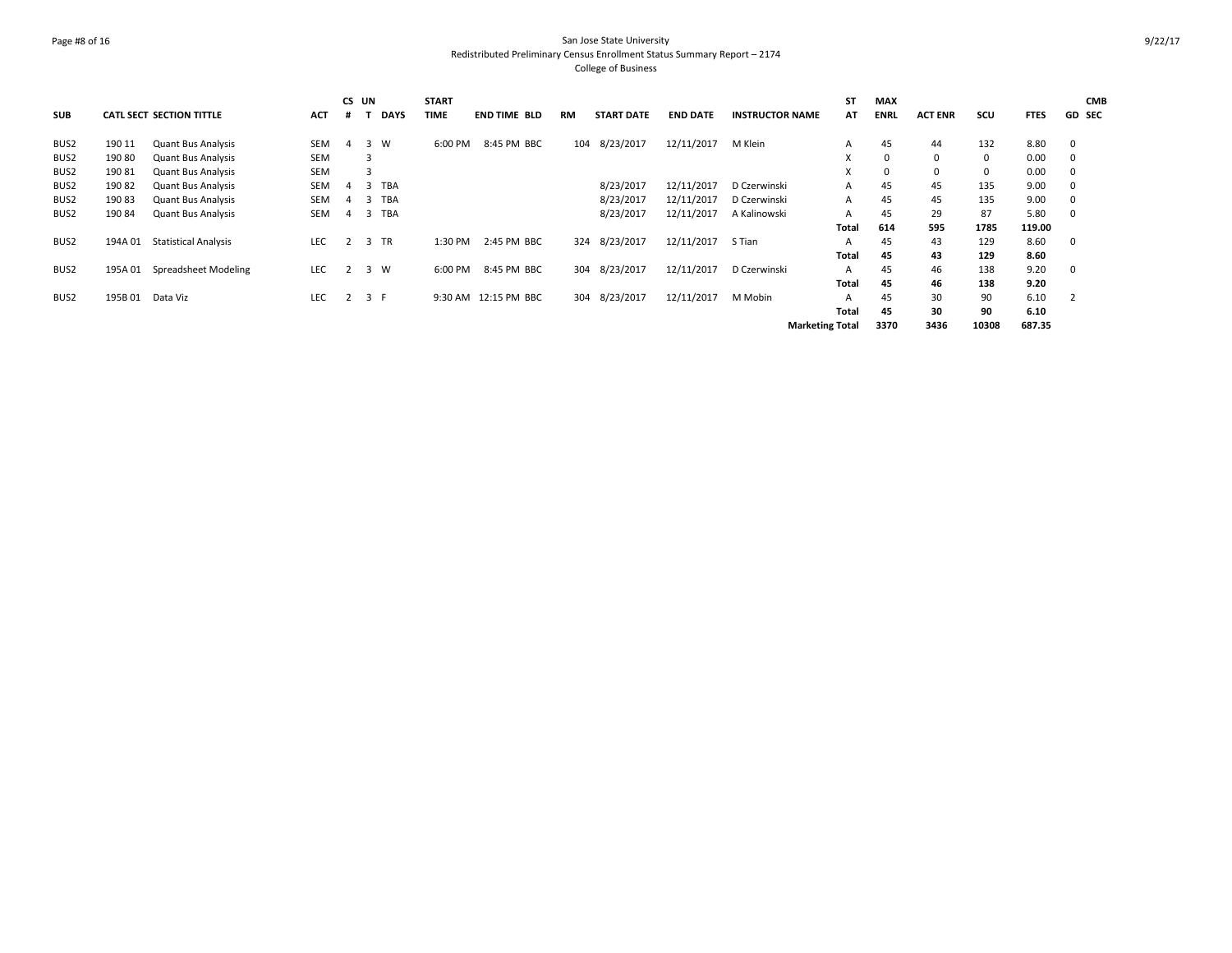## Page #8 of 16 San Jose State University Redistributed Preliminary Census Enrollment Status Summary Report – 2174 College of Business

| <b>SUB</b>       |         | <b>CATL SECT SECTION TITTLE</b> | <b>ACT</b> | CS UN<br># |     | <b>DAYS</b> | <b>START</b><br>TIME | <b>END TIME BLD</b>  | <b>RM</b> | <b>START DATE</b> | <b>END DATE</b> | <b>INSTRUCTOR NAME</b> | <b>ST</b><br>AT | <b>MAX</b><br><b>ENRL</b> | <b>ACT ENR</b> | SCU          | <b>FTES</b> | <b>CMB</b><br><b>GD SEC</b> |
|------------------|---------|---------------------------------|------------|------------|-----|-------------|----------------------|----------------------|-----------|-------------------|-----------------|------------------------|-----------------|---------------------------|----------------|--------------|-------------|-----------------------------|
| BUS2             | 190 11  | <b>Quant Bus Analysis</b>       | SEM        | 4          | 3   | W           | 6:00 PM              | 8:45 PM BBC          | 104       | 8/23/2017         | 12/11/2017      | M Klein                | A               | 45                        | 44             | 132          | 8.80        | $\mathbf 0$                 |
| BUS2             | 19080   | <b>Quant Bus Analysis</b>       | <b>SEM</b> |            | 3   |             |                      |                      |           |                   |                 |                        | X               | $\Omega$                  | $\mathbf 0$    | $\mathbf{0}$ | 0.00        | 0                           |
| BUS <sub>2</sub> | 19081   | <b>Quant Bus Analysis</b>       | <b>SEM</b> |            | 3   |             |                      |                      |           |                   |                 |                        | X               | $\Omega$                  | $\mathbf 0$    | $\mathbf 0$  | 0.00        | 0                           |
| BUS2             | 190 82  | <b>Quant Bus Analysis</b>       | SEM        | 4          | 3   | <b>TBA</b>  |                      |                      |           | 8/23/2017         | 12/11/2017      | D Czerwinski           | Α               | 45                        | 45             | 135          | 9.00        | 0                           |
| BUS2             | 190 83  | <b>Quant Bus Analysis</b>       | SEM        | 4          | -3  | TBA         |                      |                      |           | 8/23/2017         | 12/11/2017      | D Czerwinski           | A               | 45                        | 45             | 135          | 9.00        | 0                           |
| BUS2             | 190 84  | <b>Quant Bus Analysis</b>       | SEM        | 4          | 3   | TBA         |                      |                      |           | 8/23/2017         | 12/11/2017      | A Kalinowski           | A               | 45                        | 29             | 87           | 5.80        | $\Omega$                    |
|                  |         |                                 |            |            |     |             |                      |                      |           |                   |                 |                        | Total           | 614                       | 595            | 1785         | 119.00      |                             |
| BUS2             | 194A 01 | <b>Statistical Analysis</b>     | <b>LEC</b> |            |     | 3 TR        | 1:30 PM              | 2:45 PM BBC          | 324       | 8/23/2017         | 12/11/2017      | S Tian                 | А               | 45                        | 43             | 129          | 8.60        | $\mathbf 0$                 |
|                  |         |                                 |            |            |     |             |                      |                      |           |                   |                 |                        | Total           | 45                        | 43             | 129          | 8.60        |                             |
| BUS <sub>2</sub> | 195A 01 | Spreadsheet Modeling            | <b>LEC</b> | 2          | 3 W |             | 6:00 PM              | 8:45 PM BBC          | 304       | 8/23/2017         | 12/11/2017      | D Czerwinski           | A               | 45                        | 46             | 138          | 9.20        | $\mathbf 0$                 |
|                  |         |                                 |            |            |     |             |                      |                      |           |                   |                 |                        | Total           | 45                        | 46             | 138          | 9.20        |                             |
| BUS <sub>2</sub> | 195B 01 | Data Viz                        | <b>LEC</b> |            | 3 F |             |                      | 9:30 AM 12:15 PM BBC | 304       | 8/23/2017         | 12/11/2017      | M Mobin                | А               | 45                        | 30             | 90           | 6.10        | $\overline{2}$              |
|                  |         |                                 |            |            |     |             |                      |                      |           |                   |                 |                        | Total           | 45                        | 30             | 90           | 6.10        |                             |
|                  |         |                                 |            |            |     |             |                      |                      |           |                   |                 | <b>Marketing Total</b> |                 | 3370                      | 3436           | 10308        | 687.35      |                             |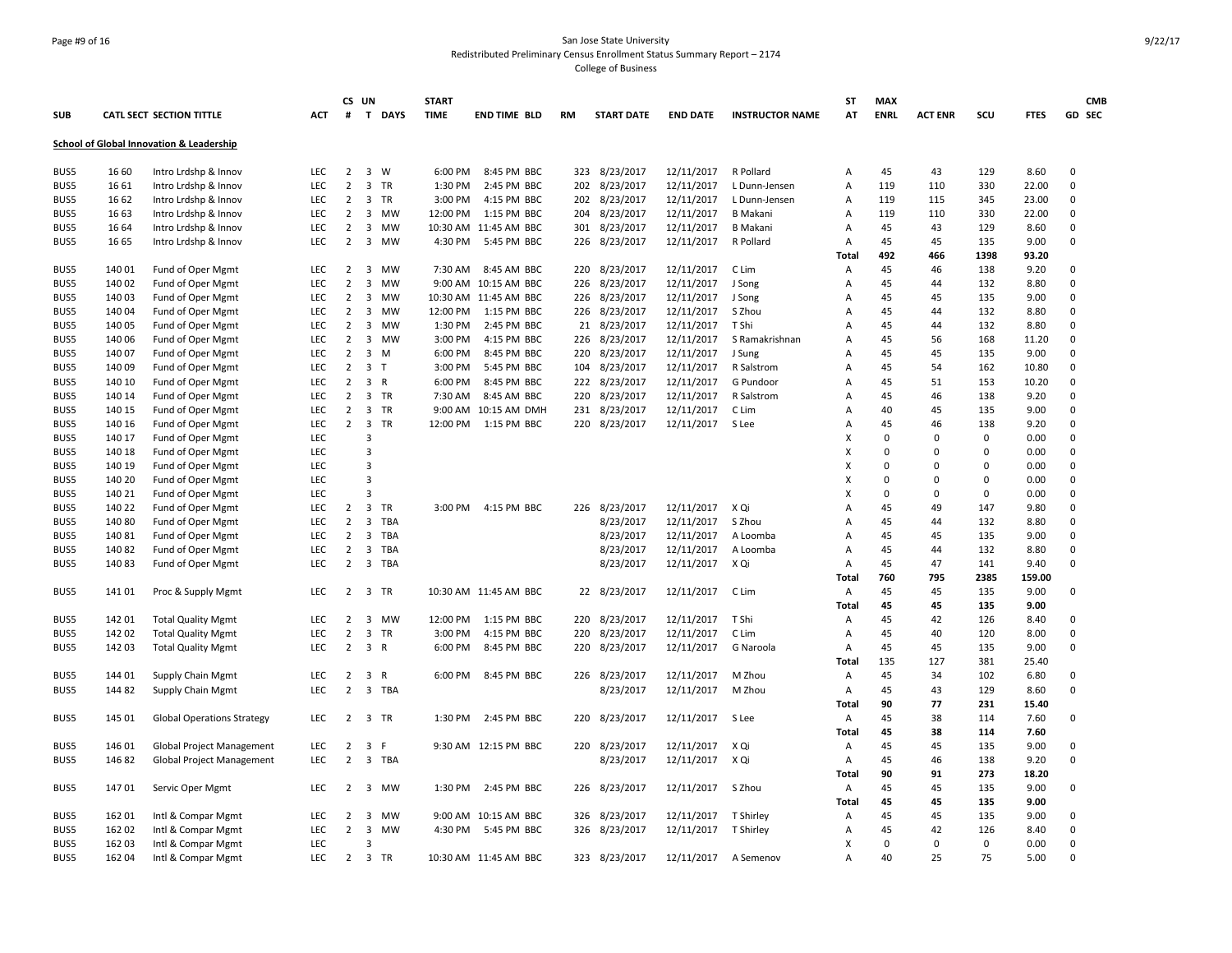## Page #9 of 16 San Jose State University Redistributed Preliminary Census Enrollment Status Summary Report – 2174 College of Business

|             |        |                                                     |            |                | CS UN                                     | <b>START</b> |                       |           |                   |                   |                        | <b>ST</b> | <b>MAX</b>  |                |             |             | <b>CMB</b>  |
|-------------|--------|-----------------------------------------------------|------------|----------------|-------------------------------------------|--------------|-----------------------|-----------|-------------------|-------------------|------------------------|-----------|-------------|----------------|-------------|-------------|-------------|
| <b>SUB</b>  |        | CATL SECT SECTION TITTLE                            | <b>ACT</b> | #              | T<br><b>DAYS</b>                          | <b>TIME</b>  | <b>END TIME BLD</b>   | <b>RM</b> | <b>START DATE</b> | <b>END DATE</b>   | <b>INSTRUCTOR NAME</b> | АT        | <b>ENRL</b> | <b>ACT ENR</b> | scu         | <b>FTES</b> | GD SEC      |
|             |        | <b>School of Global Innovation &amp; Leadership</b> |            |                |                                           |              |                       |           |                   |                   |                        |           |             |                |             |             |             |
| BUS5        | 16 60  | Intro Lrdshp & Innov                                | <b>LEC</b> | $\overline{2}$ | $3 \quad W$                               | 6:00 PM      | 8:45 PM BBC           | 323       | 8/23/2017         | 12/11/2017        | R Pollard              | Α         | 45          | 43             | 129         | 8.60        | $\mathbf 0$ |
| BUS5        | 16 61  | Intro Lrdshp & Innov                                | LEC        | $\overline{2}$ | $\overline{3}$<br><b>TR</b>               | 1:30 PM      | 2:45 PM BBC           | 202       | 8/23/2017         | 12/11/2017        | L Dunn-Jensen          | Α         | 119         | 110            | 330         | 22.00       | $\mathbf 0$ |
| BUS5        | 16 62  | Intro Lrdshp & Innov                                | <b>LEC</b> | $\overline{2}$ | 3 TR                                      | 3:00 PM      | 4:15 PM BBC           | 202       | 8/23/2017         | 12/11/2017        | L Dunn-Jensen          | Α         | 119         | 115            | 345         | 23.00       | $\mathbf 0$ |
| BUS5        | 16 63  | Intro Lrdshp & Innov                                | LEC        | $\overline{2}$ | <b>MW</b><br>3                            | 12:00 PM     | 1:15 PM BBC           | 204       | 8/23/2017         | 12/11/2017        | <b>B</b> Makani        | Α         | 119         | 110            | 330         | 22.00       | $\mathbf 0$ |
| BUS5        | 16 64  | Intro Lrdshp & Innov                                | LEC        | $\overline{2}$ | 3<br>MW                                   |              | 10:30 AM 11:45 AM BBC | 301       | 8/23/2017         | 12/11/2017        | <b>B</b> Makani        | Α         | 45          | 43             | 129         | 8.60        | $\mathbf 0$ |
| BUS5        | 16 65  | Intro Lrdshp & Innov                                | <b>LEC</b> | $\overline{2}$ | 3<br><b>MW</b>                            | 4:30 PM      | 5:45 PM BBC           | 226       | 8/23/2017         | 12/11/2017        | R Pollard              | Α         | 45          | 45             | 135         | 9.00        | $\mathbf 0$ |
|             |        |                                                     |            |                |                                           |              |                       |           |                   |                   |                        | Total     | 492         | 466            | 1398        | 93.20       |             |
| BUS5        | 140 01 | Fund of Oper Mgmt                                   | <b>LEC</b> | $\overline{2}$ | 3<br><b>MW</b>                            | 7:30 AM      | 8:45 AM BBC           | 220       | 8/23/2017         | 12/11/2017        | C Lim                  | Α         | 45          | 46             | 138         | 9.20        | $\mathbf 0$ |
| BUS5        | 140 02 | Fund of Oper Mgmt                                   | LEC        | $\overline{2}$ | 3<br><b>MW</b>                            |              | 9:00 AM 10:15 AM BBC  | 226       | 8/23/2017         | 12/11/2017        | J Song                 | Α         | 45          | 44             | 132         | 8.80        | $\mathbf 0$ |
| BUS5        | 140 03 | Fund of Oper Mgmt                                   | LEC        | $\overline{2}$ | 3<br>MW                                   |              | 10:30 AM 11:45 AM BBC | 226       | 8/23/2017         | 12/11/2017        | J Song                 | Α         | 45          | 45             | 135         | 9.00        | $\mathbf 0$ |
| BUS5        | 140 04 | Fund of Oper Mgmt                                   | LEC        | $\overline{2}$ | 3<br>MW                                   | 12:00 PM     | 1:15 PM BBC           |           | 226 8/23/2017     | 12/11/2017        | S Zhou                 | Α         | 45          | 44             | 132         | 8.80        | $\mathbf 0$ |
| BUS5        | 140 05 | Fund of Oper Mgmt                                   | LEC        | $\overline{2}$ | 3<br>MW                                   | 1:30 PM      | 2:45 PM BBC           | 21        | 8/23/2017         | 12/11/2017        | T Shi                  | Α         | 45          | 44             | 132         | 8.80        | $\mathbf 0$ |
| BUS5        | 140 06 | Fund of Oper Mgmt                                   | LEC        | $\overline{2}$ | 3<br><b>MW</b>                            | 3:00 PM      | 4:15 PM BBC           | 226       | 8/23/2017         | 12/11/2017        | S Ramakrishnan         | Α         | 45          | 56             | 168         | 11.20       | $\mathbf 0$ |
| BUS5        | 14007  | Fund of Oper Mgmt                                   | LEC        | $\overline{2}$ | 3<br>M                                    | 6:00 PM      | 8:45 PM BBC           | 220       | 8/23/2017         | 12/11/2017        | J Sung                 | A         | 45          | 45             | 135         | 9.00        | $\mathbf 0$ |
| BUS5        | 140 09 | Fund of Oper Mgmt                                   | <b>LEC</b> | $\overline{2}$ | 3<br>$\mathsf{T}$                         | 3:00 PM      | 5:45 PM BBC           | 104       | 8/23/2017         | 12/11/2017        | R Salstrom             | A         | 45          | 54             | 162         | 10.80       | $\mathbf 0$ |
| BUS5        | 140 10 | Fund of Oper Mgmt                                   | LEC        | $\overline{2}$ | $\overline{3}$<br>$\mathsf{R}$            | 6:00 PM      | 8:45 PM BBC           | 222       | 8/23/2017         | 12/11/2017        | G Pundoor              | Α         | 45          | 51             | 153         | 10.20       | $\mathbf 0$ |
| <b>BUS5</b> | 140 14 | Fund of Oper Mgmt                                   | LEC        | $\overline{2}$ | 3 TR                                      | 7:30 AM      | 8:45 AM BBC           | 220       | 8/23/2017         | 12/11/2017        | R Salstrom             | Α         | 45          | 46             | 138         | 9.20        | $\mathbf 0$ |
| BUS5        | 140 15 | Fund of Oper Mgmt                                   | <b>LEC</b> | $\overline{2}$ | 3 TR                                      |              | 9:00 AM 10:15 AM DMH  |           | 231 8/23/2017     | 12/11/2017        | C Lim                  | Α         | 40          | 45             | 135         | 9.00        | $\mathbf 0$ |
| BUS5        | 140 16 | Fund of Oper Mgmt                                   | LEC        | $\overline{2}$ | 3 TR                                      | 12:00 PM     | 1:15 PM BBC           |           | 220 8/23/2017     | 12/11/2017        | S Lee                  | Α         | 45          | 46             | 138         | 9.20        | $\mathbf 0$ |
| BUS5        | 140 17 | Fund of Oper Mgmt                                   | LEC        |                | 3                                         |              |                       |           |                   |                   |                        | х         | $\Omega$    | $\mathbf 0$    | $\Omega$    | 0.00        | $\mathbf 0$ |
| BUS5        | 140 18 | Fund of Oper Mgmt                                   | LEC        |                | 3                                         |              |                       |           |                   |                   |                        | Χ         | $\Omega$    | 0              | $\mathbf 0$ | 0.00        | $\mathbf 0$ |
| BUS5        | 140 19 | Fund of Oper Mgmt                                   | LEC        |                | 3                                         |              |                       |           |                   |                   |                        | X         | 0           | 0              | $\pmb{0}$   | 0.00        | $\mathbf 0$ |
| BUS5        | 140 20 | Fund of Oper Mgmt                                   | <b>LEC</b> |                | 3                                         |              |                       |           |                   |                   |                        | x         | $\Omega$    | $\mathbf 0$    | $\mathbf 0$ | 0.00        | $\mathbf 0$ |
| BUS5        | 140 21 | Fund of Oper Mgmt                                   | LEC        |                | 3                                         |              |                       |           |                   |                   |                        | X         | $\Omega$    | 0              | $\pmb{0}$   | 0.00        | $\mathbf 0$ |
| BUS5        | 140 22 | Fund of Oper Mgmt                                   | <b>LEC</b> | $\overline{2}$ | 3<br>TR                                   | 3:00 PM      | 4:15 PM BBC           | 226       | 8/23/2017         | 12/11/2017        | X Qi                   | A         | 45          | 49             | 147         | 9.80        | $\mathbf 0$ |
| BUS5        | 140 80 | Fund of Oper Mgmt                                   | LEC        | $\overline{2}$ | 3<br><b>TBA</b>                           |              |                       |           | 8/23/2017         | 12/11/2017        | S Zhou                 | Α         | 45          | 44             | 132         | 8.80        | $\mathbf 0$ |
| BUS5        | 140 81 | Fund of Oper Mgmt                                   | LEC        | $\overline{2}$ | 3<br>TBA                                  |              |                       |           | 8/23/2017         | 12/11/2017        | A Loomba               | Α         | 45          | 45             | 135         | 9.00        | $\mathbf 0$ |
| BUS5        | 14082  | Fund of Oper Mgmt                                   | LEC        | $\overline{2}$ | 3 TBA                                     |              |                       |           | 8/23/2017         | 12/11/2017        | A Loomba               | Α         | 45          | 44             | 132         | 8.80        | $\mathbf 0$ |
| BUS5        | 14083  | Fund of Oper Mgmt                                   | LEC        | $\overline{2}$ | 3<br>TBA                                  |              |                       |           | 8/23/2017         | 12/11/2017        | X Qi                   | Α         | 45          | 47             | 141         | 9.40        | $\mathbf 0$ |
|             |        |                                                     |            |                |                                           |              |                       |           |                   |                   |                        | Total     | 760         | 795            | 2385        | 159.00      |             |
| BUS5        | 14101  | Proc & Supply Mgmt                                  | LEC        |                | 2 3 TR                                    |              | 10:30 AM 11:45 AM BBC |           | 22 8/23/2017      | 12/11/2017        | C Lim                  | Α         | 45          | 45             | 135         | 9.00        | $\mathbf 0$ |
|             |        |                                                     |            |                |                                           |              |                       |           |                   |                   |                        | Total     | 45          | 45             | 135         | 9.00        |             |
| BUS5        | 142 01 | <b>Total Quality Mgmt</b>                           | LEC        | $\overline{2}$ | 3 MW                                      | 12:00 PM     | 1:15 PM BBC           | 220       | 8/23/2017         | 12/11/2017        | T Shi                  | Α         | 45          | 42             | 126         | 8.40        | $\mathbf 0$ |
| BUS5        | 142 02 | <b>Total Quality Mgmt</b>                           | LEC        | $\overline{2}$ | 3<br>TR                                   | 3:00 PM      | 4:15 PM BBC           | 220       | 8/23/2017         | 12/11/2017        | C Lim                  | Α         | 45          | 40             | 120         | 8.00        | $\mathbf 0$ |
| BUS5        | 142 03 | <b>Total Quality Mgmt</b>                           | LEC        | $\overline{2}$ | 3<br>$\mathsf{R}$                         | 6:00 PM      | 8:45 PM BBC           | 220       | 8/23/2017         | 12/11/2017        | G Naroola              | Α         | 45          | 45             | 135         | 9.00        | $\Omega$    |
|             |        |                                                     |            |                |                                           |              |                       |           |                   |                   |                        | Total     | 135         | 127            | 381         | 25.40       |             |
| BUS5        | 144 01 | <b>Supply Chain Mgmt</b>                            | LEC        | $\overline{2}$ | $\overline{\mathbf{3}}$<br>$\overline{R}$ | 6:00 PM      | 8:45 PM BBC           | 226       | 8/23/2017         | 12/11/2017        | M Zhou                 | Α         | 45          | 34             | 102         | 6.80        | $\mathbf 0$ |
| BUS5        | 144 82 | Supply Chain Mgmt                                   | LEC        | $\overline{2}$ | 3 TBA                                     |              |                       |           | 8/23/2017         | 12/11/2017        | M Zhou                 | Α         | 45          | 43             | 129         | 8.60        | $\mathbf 0$ |
|             |        |                                                     |            |                |                                           |              |                       |           |                   |                   |                        | Total     | 90          | 77             | 231         | 15.40       |             |
| BUS5        | 145 01 | <b>Global Operations Strategy</b>                   | LEC        | $\overline{2}$ | 3 TR                                      | 1:30 PM      | 2:45 PM BBC           | 220       | 8/23/2017         | 12/11/2017        | S Lee                  | Α         | 45          | 38             | 114         | 7.60        | $\mathbf 0$ |
|             |        |                                                     |            |                |                                           |              |                       |           |                   |                   |                        | Total     | 45          | 38             | 114         | 7.60        |             |
| BUS5        | 146 01 | Global Project Management                           | LEC        | $\overline{2}$ | 3<br>F                                    |              | 9:30 AM 12:15 PM BBC  | 220       | 8/23/2017         | 12/11/2017        | X Qi                   | Α         | 45          | 45             | 135         | 9.00        | $\mathbf 0$ |
| BUS5        | 14682  | Global Project Management                           | LEC        | $\overline{2}$ | 3 TBA                                     |              |                       |           | 8/23/2017         | 12/11/2017        | X Qi                   | Α         | 45          | 46             | 138         | 9.20        | $\mathbf 0$ |
|             |        |                                                     |            |                |                                           |              |                       |           |                   |                   |                        | Total     | 90          | 91             | 273         | 18.20       |             |
| BUS5        | 14701  | Servic Oper Mgmt                                    | LEC        |                | 2 3 MW                                    | 1:30 PM      | 2:45 PM BBC           |           | 226 8/23/2017     | 12/11/2017 S Zhou |                        | Α         | 45          | 45             | 135         | 9.00        | 0           |
|             |        |                                                     |            |                |                                           |              |                       |           |                   |                   |                        | Total     | 45          | 45             | 135         | 9.00        |             |
| BUS5        | 162 01 | Intl & Compar Mgmt                                  | LEC        | $\overline{2}$ | 3<br>MW                                   |              | 9:00 AM 10:15 AM BBC  | 326       | 8/23/2017         | 12/11/2017        | T Shirley              | Α         | 45          | 45             | 135         | 9.00        | 0           |
| BUS5        | 162 02 | Intl & Compar Mgmt                                  | LEC        | $\overline{2}$ | 3<br>MW                                   | 4:30 PM      | 5:45 PM BBC           | 326       | 8/23/2017         | 12/11/2017        | T Shirley              | Α         | 45          | 42             | 126         | 8.40        | $\mathbf 0$ |
| BUS5        | 162 03 | Intl & Compar Mgmt                                  | LEC        |                |                                           |              |                       |           |                   |                   |                        | x         | $\Omega$    | 0              | $\mathbf 0$ | 0.00        | $\mathbf 0$ |
| BUS5        | 162 04 | Intl & Compar Mgmt                                  | <b>LEC</b> | $\overline{2}$ | 3 TR                                      |              | 10:30 AM 11:45 AM BBC | 323       | 8/23/2017         | 12/11/2017        | A Semenov              | A         | 40          | 25             | 75          | 5.00        | $\Omega$    |
|             |        |                                                     |            |                |                                           |              |                       |           |                   |                   |                        |           |             |                |             |             |             |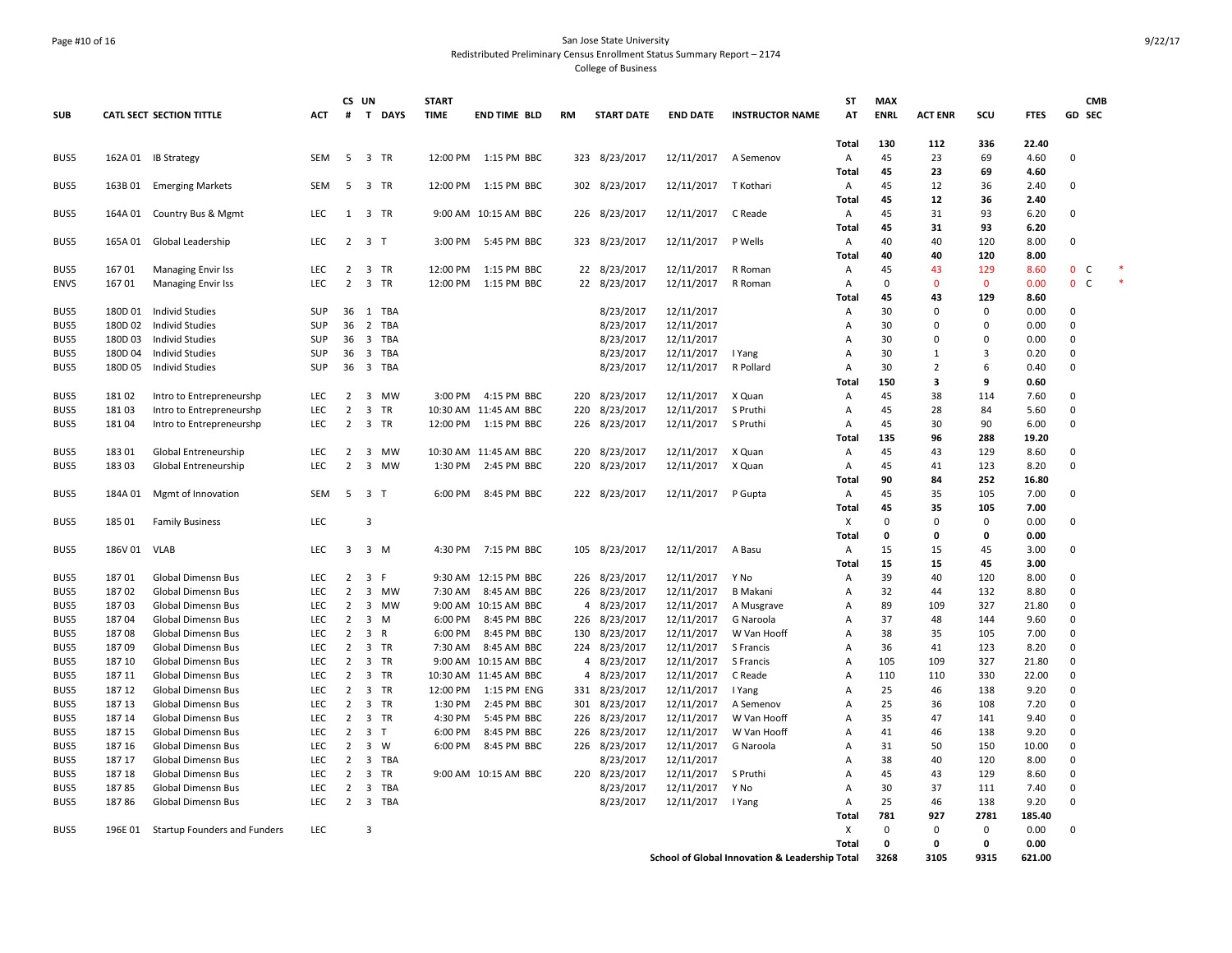### Page #10 of 16 San Jose State University Redistributed Preliminary Census Enrollment Status Summary Report – 2174 College of Business

|              |                |                                 |                          | CS UN               |                         |            | <b>START</b> |                       |                |                        |                 |                                                | <b>ST</b>                        | <b>MAX</b>        |                |              |              | <b>CMB</b>           |  |
|--------------|----------------|---------------------------------|--------------------------|---------------------|-------------------------|------------|--------------|-----------------------|----------------|------------------------|-----------------|------------------------------------------------|----------------------------------|-------------------|----------------|--------------|--------------|----------------------|--|
| <b>SUB</b>   |                | <b>CATL SECT SECTION TITTLE</b> | <b>ACT</b>               | #                   |                         | T DAYS     | <b>TIME</b>  | <b>END TIME BLD</b>   | <b>RM</b>      | <b>START DATE</b>      | <b>END DATE</b> | <b>INSTRUCTOR NAME</b>                         | AT                               | <b>ENRL</b>       | <b>ACT ENR</b> | scu          | <b>FTES</b>  | <b>GD SEC</b>        |  |
|              |                |                                 |                          |                     |                         |            |              |                       |                |                        |                 |                                                | Total                            | 130               | 112            | 336          | 22.40        |                      |  |
| BUS5         | 162A 01        | <b>IB Strategy</b>              | <b>SEM</b>               | 5                   | $\overline{3}$          | <b>TR</b>  | 12:00 PM     | 1:15 PM BBC           |                | 323 8/23/2017          | 12/11/2017      | A Semenov                                      | $\overline{A}$                   | 45                | 23             | 69           | 4.60         | $\mathbf 0$          |  |
|              |                |                                 |                          |                     |                         |            |              |                       |                |                        |                 |                                                | Total                            | 45                | 23             | 69           | 4.60         |                      |  |
| BUS5         |                | 163B 01 Emerging Markets        | SEM                      | - 5                 | 3 TR                    |            | 12:00 PM     | 1:15 PM BBC           |                | 302 8/23/2017          | 12/11/2017      | T Kothari                                      | Α                                | 45                | 12             | 36           | 2.40         | $\Omega$             |  |
|              |                |                                 |                          |                     |                         |            |              |                       |                |                        |                 |                                                | Total                            | 45                | 12             | 36           | 2.40         |                      |  |
| BUS5         | 164A 01        | Country Bus & Mgmt              | LEC                      | 1                   | 3 TR                    |            |              | 9:00 AM 10:15 AM BBC  |                | 226 8/23/2017          | 12/11/2017      | C Reade                                        | Α                                | 45                | 31             | 93           | 6.20         | $\mathbf 0$          |  |
| BUS5         | 165A 01        |                                 | <b>LEC</b>               | $\overline{2}$      | 3 <sub>T</sub>          |            | 3:00 PM      | 5:45 PM BBC           |                | 323 8/23/2017          | 12/11/2017      | P Wells                                        | Total<br>Α                       | 45<br>40          | 31<br>40       | 93<br>120    | 6.20<br>8.00 | $\Omega$             |  |
|              |                | Global Leadership               |                          |                     |                         |            |              |                       |                |                        |                 |                                                | Total                            | 40                | 40             | 120          | 8.00         |                      |  |
| BUS5         | 16701          | <b>Managing Envir Iss</b>       | <b>LEC</b>               | 2                   | 3 TR                    |            | 12:00 PM     | 1:15 PM BBC           |                | 22 8/23/2017           | 12/11/2017      | R Roman                                        | Α                                | 45                | 43             | 129          | 8.60         | $\mathbf 0$<br>C     |  |
| <b>ENVS</b>  | 16701          | <b>Managing Envir Iss</b>       | <b>LEC</b>               | $\overline{2}$      | $\overline{3}$          | <b>TR</b>  | 12:00 PM     | 1:15 PM BBC           | 22             | 8/23/2017              | 12/11/2017      | R Roman                                        | $\overline{A}$                   | $\Omega$          | $\mathbf{0}$   | $\mathbf{0}$ | 0.00         | $\mathbf{0}$<br>C    |  |
|              |                |                                 |                          |                     |                         |            |              |                       |                |                        |                 |                                                | Total                            | 45                | 43             | 129          | 8.60         |                      |  |
| BUS5         | 180D 01        | Individ Studies                 | SUP                      | 36                  |                         | 1 TBA      |              |                       |                | 8/23/2017              | 12/11/2017      |                                                | Α                                | 30                | $\Omega$       | $\Omega$     | 0.00         | $\Omega$             |  |
| BUS5         | 180D 02        | <b>Individ Studies</b>          | <b>SUP</b>               | 36                  | $\overline{2}$          | TBA        |              |                       |                | 8/23/2017              | 12/11/2017      |                                                | Α                                | 30                | $\Omega$       | $\Omega$     | 0.00         | $\Omega$             |  |
| BUS5         | 180D03         | Individ Studies                 | SUP                      | 36                  | $\overline{\mathbf{3}}$ | TBA        |              |                       |                | 8/23/2017              | 12/11/2017      |                                                | Α                                | 30                | $\Omega$       | $\Omega$     | 0.00         | $\Omega$             |  |
| BUS5         | 180D 04        | Individ Studies                 | SUP                      | 36                  | $\overline{\mathbf{3}}$ | <b>TBA</b> |              |                       |                | 8/23/2017              | 12/11/2017      | I Yang                                         | $\overline{A}$                   | 30                | $\mathbf{1}$   | 3            | 0.20         | $\Omega$             |  |
| BUS5         | 180D 05        | <b>Individ Studies</b>          | SUP                      | 36                  | $\overline{\mathbf{3}}$ | TBA        |              |                       |                | 8/23/2017              | 12/11/2017      | R Pollard                                      | $\overline{A}$                   | 30                | $\overline{2}$ | 6            | 0.40         | $\Omega$             |  |
|              |                |                                 |                          |                     |                         |            |              |                       |                |                        |                 |                                                | Total                            | 150               | з              | 9            | 0.60         |                      |  |
| BUS5         | 18102          | Intro to Entrepreneurshp        | LEC                      | 2                   | 3                       | MW         | 3:00 PM      | 4:15 PM BBC           |                | 220 8/23/2017          | 12/11/2017      | X Quan                                         | Α                                | 45                | 38             | 114          | 7.60         | $\Omega$             |  |
| BUS5         | 18103          | Intro to Entrepreneurshp        | LEC                      | $\overline{2}$      | 3                       | TR         |              | 10:30 AM 11:45 AM BBC | 220            | 8/23/2017              | 12/11/2017      | S Pruthi                                       | Α                                | 45                | 28             | 84           | 5.60         | $\Omega$             |  |
| BUS5         | 18104          | Intro to Entrepreneurshp        | <b>LEC</b>               | $\overline{2}$      | $\overline{3}$          | TR         | 12:00 PM     | 1:15 PM BBC           |                | 226 8/23/2017          | 12/11/2017      | S Pruthi                                       | $\overline{A}$                   | 45                | 30             | 90           | 6.00         | $\Omega$             |  |
|              |                |                                 |                          |                     |                         |            |              |                       |                |                        |                 |                                                | <b>Total</b>                     | 135               | 96             | 288          | 19.20        |                      |  |
| BUS5         | 18301          | Global Entreneurship            | LEC                      | 2                   | 3                       | MW         |              | 10:30 AM 11:45 AM BBC | 220            | 8/23/2017              | 12/11/2017      | X Quan                                         | Α                                | 45                | 43             | 129          | 8.60         | $\Omega$             |  |
| BUS5         | 18303          | Global Entreneurship            | <b>LEC</b>               | $\overline{2}$      | $\overline{3}$          | <b>MW</b>  | 1:30 PM      | 2:45 PM BBC           |                | 220 8/23/2017          | 12/11/2017      | X Quan                                         | $\overline{A}$                   | 45                | 41             | 123          | 8.20         | $\Omega$             |  |
|              |                |                                 |                          |                     |                         |            |              |                       |                |                        |                 |                                                | Total                            | 90                | 84             | 252          | 16.80        |                      |  |
| BUS5         | 184A 01        | Mgmt of Innovation              | <b>SEM</b>               | - 5                 | 3 T                     |            | 6:00 PM      | 8:45 PM BBC           |                | 222 8/23/2017          | 12/11/2017      | P Gupta                                        | Α                                | 45                | 35             | 105          | 7.00         | $\Omega$             |  |
|              |                |                                 |                          |                     |                         |            |              |                       |                |                        |                 |                                                | Total                            | 45<br>$\mathbf 0$ | 35<br>$\Omega$ | 105          | 7.00         | $\mathbf 0$          |  |
| BUS5         | 185 01         | <b>Family Business</b>          | LEC                      |                     | 3                       |            |              |                       |                |                        |                 |                                                | х<br><b>Total</b>                | 0                 | 0              | 0<br>0       | 0.00<br>0.00 |                      |  |
| BUS5         | 186V 01 VLAB   |                                 | LEC                      | $\overline{3}$      | $3 \, M$                |            | 4:30 PM      | 7:15 PM BBC           |                | 105 8/23/2017          | 12/11/2017      | A Basu                                         | Α                                | 15                | 15             | 45           | 3.00         | $\mathbf 0$          |  |
|              |                |                                 |                          |                     |                         |            |              |                       |                |                        |                 |                                                | Total                            | 15                | 15             | 45           | 3.00         |                      |  |
| BUS5         | 18701          | <b>Global Dimensn Bus</b>       | <b>LEC</b>               | $\overline{2}$      | $\overline{3}$          | F          |              | 9:30 AM 12:15 PM BBC  |                | 226 8/23/2017          | 12/11/2017      | Y No                                           | A                                | 39                | 40             | 120          | 8.00         | $\Omega$             |  |
| BUS5         | 18702          | Global Dimensn Bus              | LEC                      | $\overline{2}$      | $\mathbf{3}$            | <b>MW</b>  | 7:30 AM      | 8:45 AM BBC           |                | 226 8/23/2017          | 12/11/2017      | B Makani                                       | Α                                | 32                | 44             | 132          | 8.80         | $\Omega$             |  |
| BUS5         | 18703          | Global Dimensn Bus              | <b>LEC</b>               | 2                   | $\overline{3}$          | <b>MW</b>  |              | 9:00 AM 10:15 AM BBC  | $\overline{4}$ | 8/23/2017              | 12/11/2017      | A Musgrave                                     | $\overline{A}$                   | 89                | 109            | 327          | 21.80        | $\Omega$             |  |
| BUS5         | 18704          | Global Dimensn Bus              | LEC                      | $\overline{2}$      | $\mathbf{3}$            | M          | 6:00 PM      | 8:45 PM BBC           |                | 226 8/23/2017          | 12/11/2017      | G Naroola                                      | A                                | 37                | 48             | 144          | 9.60         | $\Omega$             |  |
| BUS5         | 18708          | <b>Global Dimensn Bus</b>       | LEC                      | $\overline{2}$      | $\mathbf{3}$            | R          | 6:00 PM      | 8:45 PM BBC           | 130            | 8/23/2017              | 12/11/2017      | W Van Hooff                                    | Α                                | 38                | 35             | 105          | 7.00         | $\Omega$             |  |
| BUS5         | 18709          | Global Dimensn Bus              | <b>LEC</b>               | $\overline{2}$      | $\overline{3}$          | <b>TR</b>  | 7:30 AM      | 8:45 AM BBC           |                | 224 8/23/2017          | 12/11/2017      | S Francis                                      | $\overline{A}$                   | 36                | 41             | 123          | 8.20         | $\Omega$             |  |
| BUS5         | 187 10         | Global Dimensn Bus              | LEC                      | $\overline{2}$      | $\overline{3}$          | TR         |              | 9:00 AM 10:15 AM BBC  | 4              | 8/23/2017              | 12/11/2017      | S Francis                                      | A                                | 105               | 109            | 327          | 21.80        | $\mathbf 0$          |  |
| BUS5         | 18711          | <b>Global Dimensn Bus</b>       | <b>LEC</b>               | 2                   | 3                       | <b>TR</b>  |              | 10:30 AM 11:45 AM BBC | $\overline{4}$ | 8/23/2017              | 12/11/2017      | C Reade                                        | $\overline{A}$                   | 110               | 110            | 330          | 22.00        | $\Omega$             |  |
| BUS5         | 187 12         | Global Dimensn Bus              | <b>LEC</b>               | $\overline{2}$      | $\overline{\mathbf{3}}$ | <b>TR</b>  | 12:00 PM     | 1:15 PM ENG           |                | 331 8/23/2017          | 12/11/2017      | I Yang                                         | $\overline{A}$                   | 25                | 46             | 138          | 9.20         | $\Omega$             |  |
| BUS5         | 187 13         | Global Dimensn Bus              | LEC                      | $\overline{2}$      | $\overline{3}$          | TR         | 1:30 PM      | 2:45 PM BBC           |                | 301 8/23/2017          | 12/11/2017      | A Semenov                                      | Α                                | 25                | 36             | 108          | 7.20         | $\Omega$             |  |
| BUS5         | 187 14         | Global Dimensn Bus              | <b>LEC</b>               | 2                   | 3                       | <b>TR</b>  | 4:30 PM      | 5:45 PM BBC           |                | 226 8/23/2017          | 12/11/2017      | W Van Hooff                                    | A                                | 35                | 47             | 141          | 9.40         | $\Omega$             |  |
| BUS5         | 187 15         | Global Dimensn Bus              | LEC                      | $\overline{2}$      | $\overline{\mathbf{3}}$ | $\top$     | 6:00 PM      | 8:45 PM BBC           |                | 226 8/23/2017          | 12/11/2017      | W Van Hooff                                    | Α                                | 41                | 46             | 138          | 9.20         | $\mathbf 0$          |  |
| BUS5         | 187 16         | Global Dimensn Bus              | <b>LEC</b>               | $\overline{2}$      | $\overline{3}$          | W          | 6:00 PM      | 8:45 PM BBC           |                | 226 8/23/2017          | 12/11/2017      | G Naroola                                      | $\overline{A}$                   | 31                | 50             | 150          | 10.00        | $\Omega$             |  |
| BUS5         | 187 17         | Global Dimensn Bus              | LEC                      | 2                   | 3                       | TBA        |              |                       |                | 8/23/2017              | 12/11/2017      |                                                | Α                                | 38                | 40             | 120          | 8.00         | $\Omega$             |  |
| BUS5         | 187 18         | <b>Global Dimensn Bus</b>       | LEC                      | $\overline{2}$      | $\overline{3}$          | <b>TR</b>  |              | 9:00 AM 10:15 AM BBC  |                | 220 8/23/2017          | 12/11/2017      | S Pruthi                                       | A                                | 45                | 43             | 129          | 8.60         | $\Omega$<br>$\Omega$ |  |
| BUS5<br>BUS5 | 18785<br>18786 | <b>Global Dimensn Bus</b>       | <b>LEC</b><br><b>LEC</b> | 2<br>$\overline{2}$ | 3<br>3                  | TBA<br>TBA |              |                       |                | 8/23/2017<br>8/23/2017 | 12/11/2017      | Y No                                           | $\overline{A}$<br>$\overline{A}$ | 30<br>25          | 37<br>46       | 111<br>138   | 7.40<br>9.20 | $\Omega$             |  |
|              |                | Global Dimensn Bus              |                          |                     |                         |            |              |                       |                |                        | 12/11/2017      | I Yang                                         | Total                            | 781               | 927            | 2781         | 185.40       |                      |  |
| BUS5         | 196E 01        | Startup Founders and Funders    | LEC                      |                     | 3                       |            |              |                       |                |                        |                 |                                                | X                                | 0                 | $\Omega$       | $\mathbf 0$  | 0.00         | $\Omega$             |  |
|              |                |                                 |                          |                     |                         |            |              |                       |                |                        |                 |                                                | Total                            | 0                 | $\Omega$       | $\Omega$     | 0.00         |                      |  |
|              |                |                                 |                          |                     |                         |            |              |                       |                |                        |                 | School of Global Innovation & Leadership Total |                                  | 3268              | 3105           | 9315         | 621.00       |                      |  |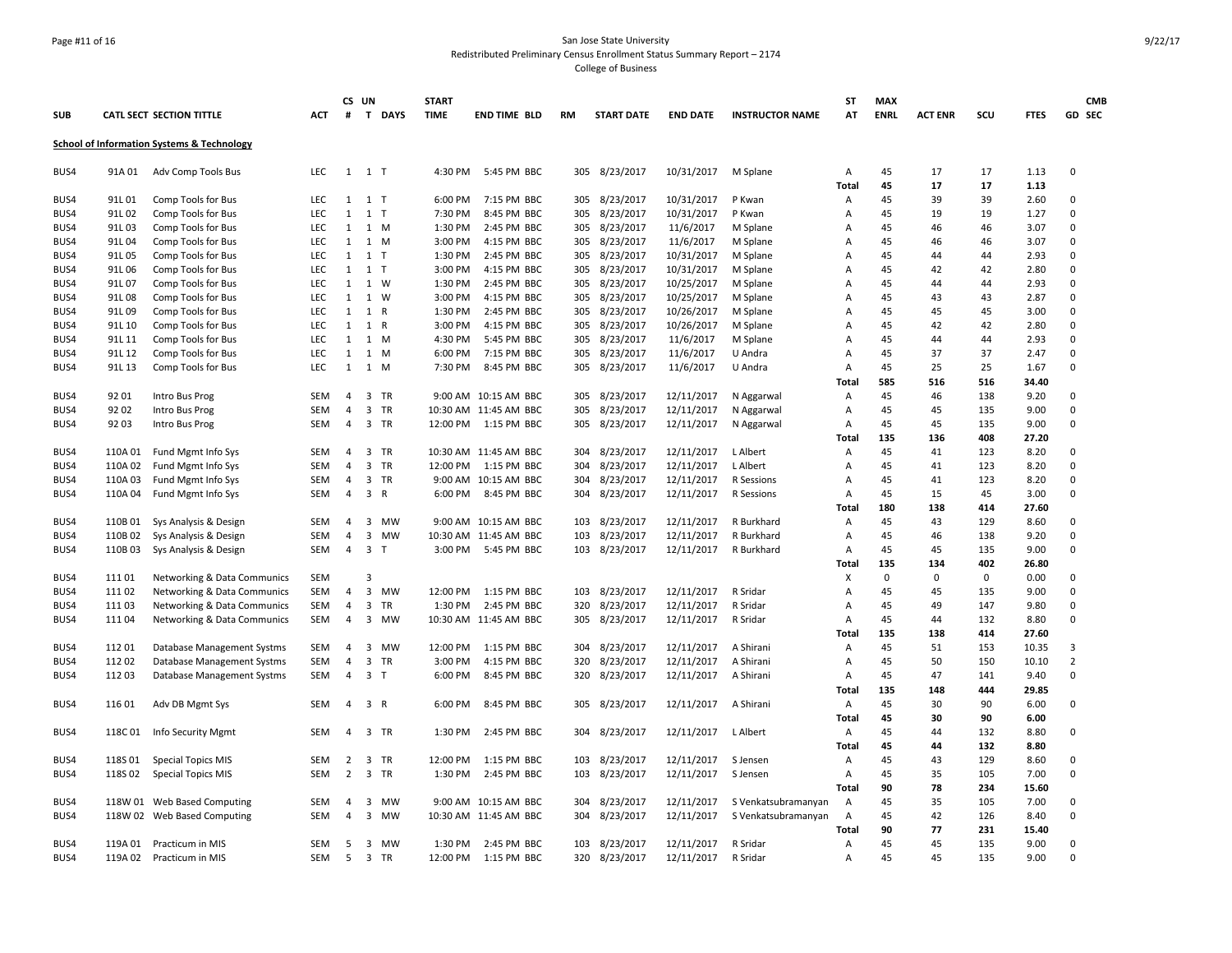# Page #11 of 16 San Jose State University Redistributed Preliminary Census Enrollment Status Summary Report – 2174

College of Business

|            |         |                                                       |            |                | CS UN                         | <b>START</b> |                       |     |                   |                 |                        | <b>ST</b>      | <b>MAX</b>  |                |     |             | <b>CMB</b>     |
|------------|---------|-------------------------------------------------------|------------|----------------|-------------------------------|--------------|-----------------------|-----|-------------------|-----------------|------------------------|----------------|-------------|----------------|-----|-------------|----------------|
| <b>SUB</b> |         | CATL SECT SECTION TITTLE                              | ACT        | #              | T DAYS                        | <b>TIME</b>  | <b>END TIME BLD</b>   | RM  | <b>START DATE</b> | <b>END DATE</b> | <b>INSTRUCTOR NAME</b> | AT             | <b>ENRL</b> | <b>ACT ENR</b> | scu | <b>FTES</b> | GD SEC         |
|            |         | <b>School of Information Systems &amp; Technology</b> |            |                |                               |              |                       |     |                   |                 |                        |                |             |                |     |             |                |
| BUS4       | 91A 01  | Adv Comp Tools Bus                                    | <b>LEC</b> |                | $1 \quad 1 \quad T$           | 4:30 PM      | 5:45 PM BBC           |     | 305 8/23/2017     | 10/31/2017      | M Splane               | A              | 45          | 17             | 17  | 1.13        | 0              |
|            |         |                                                       |            |                |                               |              |                       |     |                   |                 |                        | Total          | 45          | 17             | 17  | 1.13        |                |
| BUS4       | 91L01   | Comp Tools for Bus                                    | LEC        | $\mathbf{1}$   | 1 <sub>T</sub>                | 6:00 PM      | 7:15 PM BBC           | 305 | 8/23/2017         | 10/31/2017      | P Kwan                 | Α              | 45          | 39             | 39  | 2.60        | 0              |
| BUS4       | 91L02   | Comp Tools for Bus                                    | LEC        | $\mathbf{1}$   | 1 <sub>T</sub>                | 7:30 PM      | 8:45 PM BBC           | 305 | 8/23/2017         | 10/31/2017      | P Kwan                 | Α              | 45          | 19             | 19  | 1.27        | $\Omega$       |
| BUS4       | 91L03   | Comp Tools for Bus                                    | <b>LEC</b> | 1              | 1 M                           | 1:30 PM      | 2:45 PM BBC           | 305 | 8/23/2017         | 11/6/2017       | M Splane               | A              | 45          | 46             | 46  | 3.07        | 0              |
| BUS4       | 91L04   | Comp Tools for Bus                                    | <b>LEC</b> | $\mathbf{1}$   | 1 M                           | 3:00 PM      | 4:15 PM BBC           | 305 | 8/23/2017         | 11/6/2017       | M Splane               | Α              | 45          | 46             | 46  | 3.07        | 0              |
| BUS4       | 91L05   | Comp Tools for Bus                                    | <b>LEC</b> | 1              | 1 <sub>T</sub>                | 1:30 PM      | 2:45 PM BBC           | 305 | 8/23/2017         | 10/31/2017      | M Splane               | Α              | 45          | 44             | 44  | 2.93        | 0              |
| BUS4       | 91L06   | Comp Tools for Bus                                    | <b>LEC</b> | $\mathbf{1}$   | 1 <sub>T</sub>                | 3:00 PM      | 4:15 PM BBC           | 305 | 8/23/2017         | 10/31/2017      | M Splane               | A              | 45          | 42             | 42  | 2.80        | 0              |
| BUS4       | 91L07   | Comp Tools for Bus                                    | <b>LEC</b> | 1              | 1 W                           | 1:30 PM      | 2:45 PM BBC           | 305 | 8/23/2017         | 10/25/2017      | M Splane               | $\mathsf{A}$   | 45          | 44             | 44  | 2.93        | 0              |
| BUS4       | 91L08   | Comp Tools for Bus                                    | <b>LEC</b> | $\mathbf{1}$   | 1 W                           | 3:00 PM      | 4:15 PM BBC           | 305 | 8/23/2017         | 10/25/2017      | M Splane               | Α              | 45          | 43             | 43  | 2.87        | 0              |
| BUS4       | 91L09   | Comp Tools for Bus                                    | <b>LEC</b> | $\mathbf{1}$   | 1 R                           | 1:30 PM      | 2:45 PM BBC           | 305 | 8/23/2017         | 10/26/2017      | M Splane               | Α              | 45          | 45             | 45  | 3.00        | 0              |
| BUS4       | 91L 10  | Comp Tools for Bus                                    | <b>LEC</b> | $\mathbf{1}$   | 1 R                           | 3:00 PM      | 4:15 PM BBC           | 305 | 8/23/2017         | 10/26/2017      | M Splane               | Α              | 45          | 42             | 42  | 2.80        | 0              |
| BUS4       | 91L 11  | Comp Tools for Bus                                    | <b>LEC</b> | 1              | 1 M                           | 4:30 PM      | 5:45 PM BBC           | 305 | 8/23/2017         | 11/6/2017       | M Splane               | Α              | 45          | 44             | 44  | 2.93        | 0              |
| BUS4       | 91L 12  | Comp Tools for Bus                                    | <b>LEC</b> | $\mathbf{1}$   | 1 M                           | 6:00 PM      | 7:15 PM BBC           | 305 | 8/23/2017         | 11/6/2017       | U Andra                | Α              | 45          | 37             | 37  | 2.47        | $\mathbf 0$    |
| BUS4       | 91L 13  | Comp Tools for Bus                                    | <b>LEC</b> | 1              | 1 M                           | 7:30 PM      | 8:45 PM BBC           | 305 | 8/23/2017         | 11/6/2017       | U Andra                | Α              | 45          | 25             | 25  | 1.67        | 0              |
|            |         |                                                       |            |                |                               |              |                       |     |                   |                 |                        | Total          | 585         | 516            | 516 | 34.40       |                |
| BUS4       | 92 01   | Intro Bus Prog                                        | <b>SEM</b> | $\overline{4}$ | 3 TR                          |              | 9:00 AM 10:15 AM BBC  | 305 | 8/23/2017         | 12/11/2017      | N Aggarwal             | Α              | 45          | 46             | 138 | 9.20        | 0              |
| BUS4       | 9202    | Intro Bus Prog                                        | <b>SEM</b> | $\overline{4}$ | 3 TR                          |              | 10:30 AM 11:45 AM BBC | 305 | 8/23/2017         | 12/11/2017      | N Aggarwal             | Α              | 45          | 45             | 135 | 9.00        | 0              |
| BUS4       | 92 03   | Intro Bus Prog                                        | <b>SEM</b> | $\overline{4}$ | 3 TR                          | 12:00 PM     | 1:15 PM BBC           | 305 | 8/23/2017         | 12/11/2017      | N Aggarwal             | Α              | 45          | 45             | 135 | 9.00        | 0              |
|            |         |                                                       |            |                |                               |              |                       |     |                   |                 |                        | Total          | 135         | 136            | 408 | 27.20       |                |
| BUS4       | 110A 01 | Fund Mgmt Info Sys                                    | <b>SEM</b> | $\overline{4}$ | $\overline{3}$<br><b>TR</b>   |              | 10:30 AM 11:45 AM BBC | 304 | 8/23/2017         | 12/11/2017      | L Albert               | Α              | 45          | 41             | 123 | 8.20        | 0              |
| BUS4       | 110A 02 | Fund Mgmt Info Sys                                    | <b>SEM</b> | $\overline{4}$ | 3 TR                          | 12:00 PM     | 1:15 PM BBC           | 304 | 8/23/2017         | 12/11/2017      | L Albert               | Α              | 45          | 41             | 123 | 8.20        | 0              |
| BUS4       | 110A03  | Fund Mgmt Info Sys                                    | <b>SEM</b> | $\overline{4}$ | $\overline{\mathbf{3}}$<br>TR |              | 9:00 AM 10:15 AM BBC  | 304 | 8/23/2017         | 12/11/2017      | R Sessions             | Α              | 45          | 41             | 123 | 8.20        | 0              |
| BUS4       | 110A 04 | Fund Mgmt Info Sys                                    | <b>SEM</b> | $\overline{4}$ | 3 R                           | 6:00 PM      | 8:45 PM BBC           | 304 | 8/23/2017         | 12/11/2017      | R Sessions             | Α              | 45          | 15             | 45  | 3.00        | 0              |
|            |         |                                                       |            |                |                               |              |                       |     |                   |                 |                        | Total          | 180         | 138            | 414 | 27.60       |                |
| BUS4       | 110B01  | Sys Analysis & Design                                 | <b>SEM</b> | $\overline{4}$ | 3 MW                          |              | 9:00 AM 10:15 AM BBC  | 103 | 8/23/2017         | 12/11/2017      | R Burkhard             | Α              | 45          | 43             | 129 | 8.60        | 0              |
| BUS4       | 110B 02 | Sys Analysis & Design                                 | <b>SEM</b> | 4              | 3<br>MW                       |              | 10:30 AM 11:45 AM BBC | 103 | 8/23/2017         | 12/11/2017      | R Burkhard             | Α              | 45          | 46             | 138 | 9.20        | 0              |
| BUS4       | 110B03  | Sys Analysis & Design                                 | <b>SEM</b> | $\overline{4}$ | 3 <sub>7</sub>                |              | 3:00 PM 5:45 PM BBC   | 103 | 8/23/2017         | 12/11/2017      | R Burkhard             | Α              | 45          | 45             | 135 | 9.00        | 0              |
|            |         |                                                       |            |                |                               |              |                       |     |                   |                 |                        | Total          | 135         | 134            | 402 | 26.80       |                |
| BUS4       | 11101   | Networking & Data Communics                           | <b>SEM</b> |                | $\overline{3}$                |              |                       |     |                   |                 |                        | х              | $\Omega$    | $\mathsf 0$    | 0   | 0.00        | 0              |
| BUS4       | 111 02  | Networking & Data Communics                           | <b>SEM</b> | 4              | $\mathbf{3}$<br>MW            | 12:00 PM     | 1:15 PM BBC           | 103 | 8/23/2017         | 12/11/2017      | R Sridar               | А              | 45          | 45             | 135 | 9.00        | 0              |
| BUS4       | 11103   | Networking & Data Communics                           | <b>SEM</b> | $\overline{4}$ | $\overline{3}$<br><b>TR</b>   | 1:30 PM      | 2:45 PM BBC           | 320 | 8/23/2017         | 12/11/2017      | R Sridar               | Α              | 45          | 49             | 147 | 9.80        | $\Omega$       |
| BUS4       | 11104   | Networking & Data Communics                           | <b>SEM</b> | $\overline{4}$ | 3 MW                          |              | 10:30 AM 11:45 AM BBC | 305 | 8/23/2017         | 12/11/2017      | R Sridar               | A              | 45          | 44             | 132 | 8.80        | 0              |
|            |         |                                                       |            |                |                               |              |                       |     |                   |                 |                        | Total          | 135         | 138            | 414 | 27.60       |                |
| BUS4       | 11201   | Database Management Systms                            | <b>SEM</b> | $\overline{4}$ | 3<br><b>MW</b>                | 12:00 PM     | 1:15 PM BBC           | 304 | 8/23/2017         | 12/11/2017      | A Shirani              | Α              | 45          | 51             | 153 | 10.35       | 3              |
| BUS4       | 11202   | Database Management Systms                            | <b>SEM</b> | $\overline{4}$ | 3 TR                          | 3:00 PM      | 4:15 PM BBC           | 320 | 8/23/2017         | 12/11/2017      | A Shirani              | A              | 45          | 50             | 150 | 10.10       | $\overline{2}$ |
| BUS4       | 11203   | Database Management Systms                            | <b>SEM</b> | $\overline{4}$ | 3 <sub>T</sub>                | 6:00 PM      | 8:45 PM BBC           |     | 320 8/23/2017     | 12/11/2017      | A Shirani              | Α              | 45          | 47             | 141 | 9.40        | 0              |
|            |         |                                                       |            |                |                               |              |                       |     |                   |                 |                        | Total          | 135         | 148            | 444 | 29.85       |                |
| BUS4       | 116 01  | Adv DB Mgmt Sys                                       | <b>SEM</b> | $\overline{4}$ | 3 R                           | 6:00 PM      | 8:45 PM BBC           | 305 | 8/23/2017         | 12/11/2017      | A Shirani              | Α              | 45          | 30             | 90  | 6.00        | 0              |
|            |         |                                                       |            |                |                               |              |                       |     |                   |                 |                        | Total          | 45          | 30             | 90  | 6.00        |                |
| BUS4       | 118C01  | Info Security Mgmt                                    | <b>SEM</b> | $\overline{4}$ | 3 TR                          | 1:30 PM      | 2:45 PM BBC           | 304 | 8/23/2017         | 12/11/2017      | L Albert               | $\overline{A}$ | 45          | 44             | 132 | 8.80        | 0              |
|            |         |                                                       |            |                |                               |              |                       |     |                   |                 |                        | Total          | 45          | 44             | 132 | 8.80        |                |
| BUS4       | 118S 01 | <b>Special Topics MIS</b>                             | <b>SEM</b> | 2              | 3 TR                          | 12:00 PM     | 1:15 PM BBC           | 103 | 8/23/2017         | 12/11/2017      | S Jensen               | A              | 45          | 43             | 129 | 8.60        | 0              |
| BUS4       | 118S 02 | <b>Special Topics MIS</b>                             | <b>SEM</b> | $\overline{2}$ | $\overline{3}$<br><b>TR</b>   | 1:30 PM      | 2:45 PM BBC           | 103 | 8/23/2017         | 12/11/2017      | S Jensen               | A              | 45          | 35             | 105 | 7.00        | 0              |
|            |         |                                                       |            |                |                               |              |                       |     |                   |                 |                        | Total          | 90          | 78             | 234 | 15.60       |                |
| BUS4       |         | 118W 01 Web Based Computing                           | <b>SEM</b> | 4              | 3<br>MW                       |              | 9:00 AM 10:15 AM BBC  | 304 | 8/23/2017         | 12/11/2017      | S Venkatsubramanyan    | Α              | 45          | 35             | 105 | 7.00        | 0              |
| BUS4       |         | 118W 02 Web Based Computing                           | <b>SEM</b> | $\overline{4}$ | 3<br>MW                       |              | 10:30 AM 11:45 AM BBC | 304 | 8/23/2017         | 12/11/2017      | S Venkatsubramanyan    | A              | 45          | 42             | 126 | 8.40        | 0              |
|            |         |                                                       |            |                |                               |              |                       |     |                   |                 |                        | Total          | 90          | 77             | 231 | 15.40       |                |
| BUS4       | 119A 01 | Practicum in MIS                                      | <b>SEM</b> | 5              | 3 MW                          | 1:30 PM      | 2:45 PM BBC           | 103 | 8/23/2017         | 12/11/2017      | R Sridar               | Α              | 45          | 45             | 135 | 9.00        | 0              |
| BUS4       | 119A 02 | Practicum in MIS                                      | <b>SEM</b> | 5              | 3 TR                          | 12:00 PM     | 1:15 PM BBC           | 320 | 8/23/2017         | 12/11/2017      | R Sridar               | Α              | 45          | 45             | 135 | 9.00        | 0              |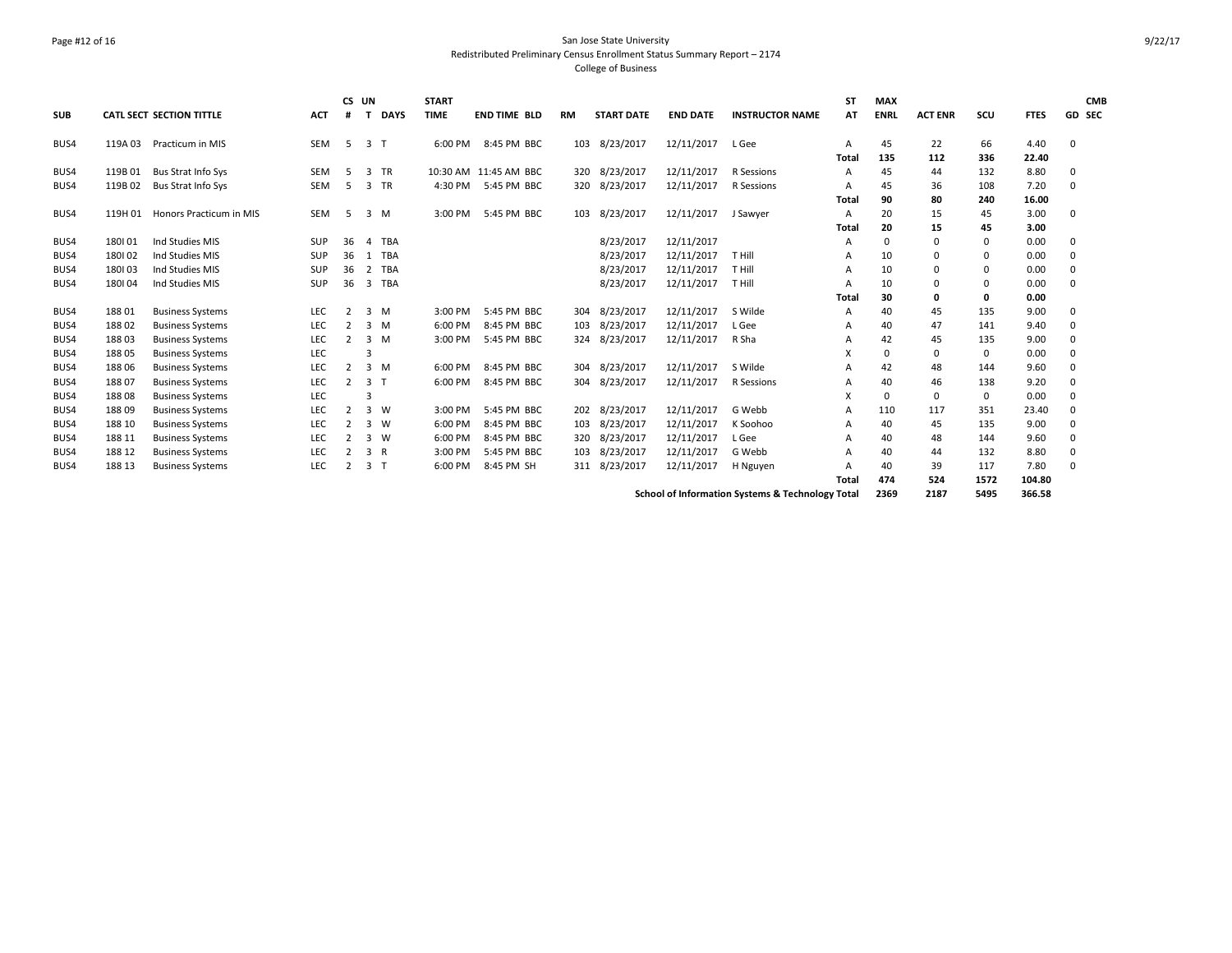### Page #12 of 16 San Jose State University Redistributed Preliminary Census Enrollment Status Summary Report – 2174 College of Business

|            |         |                                 |            | CS UN          |                |              | <b>START</b> |                       |           |                   |                 |                                                  | ST           | <b>MAX</b>  |                |           |               | <b>CMB</b>    |
|------------|---------|---------------------------------|------------|----------------|----------------|--------------|--------------|-----------------------|-----------|-------------------|-----------------|--------------------------------------------------|--------------|-------------|----------------|-----------|---------------|---------------|
| <b>SUB</b> |         | <b>CATL SECT SECTION TITTLE</b> | <b>ACT</b> | #              |                | <b>DAYS</b>  | <b>TIME</b>  | <b>END TIME BLD</b>   | <b>RM</b> | <b>START DATE</b> | <b>END DATE</b> | <b>INSTRUCTOR NAME</b>                           | AT           | <b>ENRL</b> | <b>ACT ENR</b> | scu       | <b>FTES</b>   | <b>GD SEC</b> |
| BUS4       | 119A 03 | Practicum in MIS                | <b>SEM</b> | -5             | 3 <sub>1</sub> |              | 6:00 PM      | 8:45 PM BBC           | 103       | 8/23/2017         | 12/11/2017      | L Gee                                            | A<br>Total   | 45<br>135   | 22<br>112      | 66<br>336 | 4.40<br>22.40 | $\Omega$      |
| BUS4       | 119B 01 | Bus Strat Info Sys              | <b>SEM</b> | -5             | 3              | <b>TR</b>    |              | 10:30 AM 11:45 AM BBC | 320       | 8/23/2017         | 12/11/2017      | R Sessions                                       | A            | 45          | 44             | 132       | 8.80          | 0             |
| BUS4       | 119B 02 | <b>Bus Strat Info Sys</b>       | SEM        | 5              | 3 TR           |              | 4:30 PM      | 5:45 PM BBC           |           | 320 8/23/2017     | 12/11/2017      | R Sessions                                       | A            | 45          | 36             | 108       | 7.20          | $\Omega$      |
|            |         |                                 |            |                |                |              |              |                       |           |                   |                 |                                                  | <b>Total</b> | 90          | 80             | 240       | 16.00         |               |
| BUS4       | 119H 01 | Honors Practicum in MIS         | <b>SEM</b> | 5              | $3 \, M$       |              | 3:00 PM      | 5:45 PM BBC           | 103       | 8/23/2017         | 12/11/2017      | J Sawyer                                         | A            | 20          | 15             | 45        | 3.00          | 0             |
|            |         |                                 |            |                |                |              |              |                       |           |                   |                 |                                                  | Total        | 20          | 15             | 45        | 3.00          |               |
| BUS4       | 180101  | Ind Studies MIS                 | <b>SUP</b> | 36             | $\overline{a}$ | <b>TBA</b>   |              |                       |           | 8/23/2017         | 12/11/2017      |                                                  | A            | 0           | $\mathbf 0$    | 0         | 0.00          | $\mathbf 0$   |
| BUS4       | 180102  | Ind Studies MIS                 | <b>SUP</b> | 36             | -1             | <b>TBA</b>   |              |                       |           | 8/23/2017         | 12/11/2017      | T Hill                                           | A            | 10          | 0              | 0         | 0.00          | $\Omega$      |
| BUS4       | 180103  | Ind Studies MIS                 | <b>SUP</b> | 36             | 2              | <b>TBA</b>   |              |                       |           | 8/23/2017         | 12/11/2017      | T Hill                                           | A            | 10          | 0              | 0         | 0.00          | $\Omega$      |
| BUS4       | 180104  | Ind Studies MIS                 | <b>SUP</b> | 36             | 3              | TBA          |              |                       |           | 8/23/2017         | 12/11/2017      | T Hill                                           | A            | 10          | 0              | 0         | 0.00          | $\Omega$      |
|            |         |                                 |            |                |                |              |              |                       |           |                   |                 |                                                  | Total        | 30          | 0              | 0         | 0.00          |               |
| BUS4       | 188 01  | <b>Business Systems</b>         | LEC        | 2              | 3M             |              | 3:00 PM      | 5:45 PM BBC           | 304       | 8/23/2017         | 12/11/2017      | S Wilde                                          | A            | 40          | 45             | 135       | 9.00          | $\Omega$      |
| BUS4       | 18802   | <b>Business Systems</b>         | LEC        | 2              | $3 \, M$       |              | 6:00 PM      | 8:45 PM BBC           | 103       | 8/23/2017         | 12/11/2017      | L Gee                                            | A            | 40          | 47             | 141       | 9.40          | $\Omega$      |
| BUS4       | 18803   | <b>Business Systems</b>         | <b>LEC</b> | $\overline{2}$ | 3M             |              | 3:00 PM      | 5:45 PM BBC           |           | 324 8/23/2017     | 12/11/2017      | R Sha                                            | A            | 42          | 45             | 135       | 9.00          | $\Omega$      |
| BUS4       | 18805   | <b>Business Systems</b>         | LEC        |                |                |              |              |                       |           |                   |                 |                                                  | X            | 0           | 0              | 0         | 0.00          | $\Omega$      |
| BUS4       | 18806   | <b>Business Systems</b>         | LEC        | $\overline{2}$ | $3 \, M$       |              | 6:00 PM      | 8:45 PM BBC           | 304       | 8/23/2017         | 12/11/2017      | S Wilde                                          | A            | 42          | 48             | 144       | 9.60          | $\Omega$      |
| BUS4       | 18807   | <b>Business Systems</b>         | <b>LEC</b> | 2              | 3              | $\mathsf{T}$ | 6:00 PM      | 8:45 PM BBC           | 304       | 8/23/2017         | 12/11/2017      | R Sessions                                       | A            | 40          | 46             | 138       | 9.20          | $\Omega$      |
| BUS4       | 18808   | <b>Business Systems</b>         | LEC        |                |                |              |              |                       |           |                   |                 |                                                  | x            | $\Omega$    | 0              | 0         | 0.00          | $\Omega$      |
| BUS4       | 18809   | <b>Business Systems</b>         | LEC        | $\overline{2}$ | 3 W            |              | 3:00 PM      | 5:45 PM BBC           | 202       | 8/23/2017         | 12/11/2017      | G Webb                                           | A            | 110         | 117            | 351       | 23.40         | $\mathbf 0$   |
| BUS4       | 188 10  | <b>Business Systems</b>         | LEC        | $\overline{2}$ | $3 \quad W$    |              | 6:00 PM      | 8:45 PM BBC           | 103       | 8/23/2017         | 12/11/2017      | K Soohoo                                         | A            | 40          | 45             | 135       | 9.00          | $\Omega$      |
| BUS4       | 188 11  | <b>Business Systems</b>         | LEC        | 2              | 3 W            |              | 6:00 PM      | 8:45 PM BBC           | 320       | 8/23/2017         | 12/11/2017      | L Gee                                            | A            | 40          | 48             | 144       | 9.60          | $\Omega$      |
| BUS4       | 188 12  | <b>Business Systems</b>         | <b>LEC</b> | 2              | 3 R            |              | 3:00 PM      | 5:45 PM BBC           | 103       | 8/23/2017         | 12/11/2017      | G Webb                                           | A            | 40          | 44             | 132       | 8.80          | 0             |
| BUS4       | 188 13  | <b>Business Systems</b>         | LEC        | 2              | 3 <sub>1</sub> |              | 6:00 PM      | 8:45 PM SH            | 311       | 8/23/2017         | 12/11/2017      | H Nguyen                                         | A            | 40          | 39             | 117       | 7.80          | $\Omega$      |
|            |         |                                 |            |                |                |              |              |                       |           |                   |                 |                                                  | Total        | 474         | 524            | 1572      | 104.80        |               |
|            |         |                                 |            |                |                |              |              |                       |           |                   |                 | School of Information Systems & Technology Total |              | 2369        | 2187           | 5495      | 366.58        |               |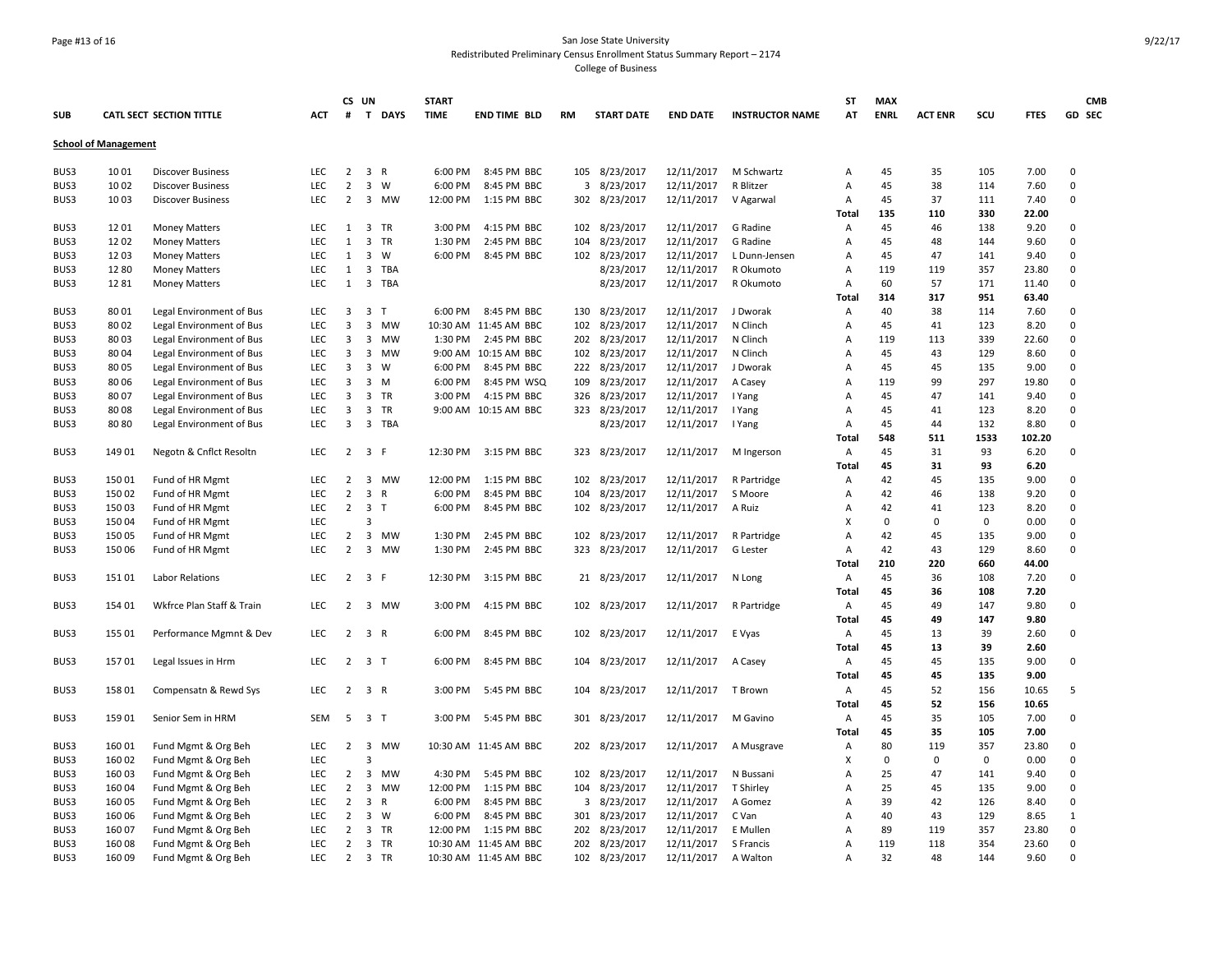### Page #13 of 16 San Jose State University Redistributed Preliminary Census Enrollment Status Summary Report – 2174 College of Business

|            |                             |                                 |            |                | CS UN                                   | <b>START</b> |                       |           |                   |                 |                        | <b>ST</b>    | <b>MAX</b>  |                |             |             | <b>CMB</b>  |
|------------|-----------------------------|---------------------------------|------------|----------------|-----------------------------------------|--------------|-----------------------|-----------|-------------------|-----------------|------------------------|--------------|-------------|----------------|-------------|-------------|-------------|
| <b>SUB</b> |                             | <b>CATL SECT SECTION TITTLE</b> | <b>ACT</b> | #              | T DAYS                                  | <b>TIME</b>  | <b>END TIME BLD</b>   | <b>RM</b> | <b>START DATE</b> | <b>END DATE</b> | <b>INSTRUCTOR NAME</b> | AT           | <b>ENRL</b> | <b>ACT ENR</b> | SCU         | <b>FTES</b> | GD SEC      |
|            | <b>School of Management</b> |                                 |            |                |                                         |              |                       |           |                   |                 |                        |              |             |                |             |             |             |
| BUS3       | 1001                        | <b>Discover Business</b>        | LEC        | $\overline{2}$ | 3 R                                     | 6:00 PM      | 8:45 PM BBC           | 105       | 8/23/2017         | 12/11/2017      | M Schwartz             | Α            | 45          | 35             | 105         | 7.00        | 0           |
| BUS3       | 10 02                       | <b>Discover Business</b>        | <b>LEC</b> | $\overline{2}$ | 3<br>W                                  | 6:00 PM      | 8:45 PM BBC           | 3         | 8/23/2017         | 12/11/2017      | R Blitzer              | Α            | 45          | 38             | 114         | 7.60        | 0           |
| BUS3       | 10 03                       | <b>Discover Business</b>        | <b>LEC</b> | $\overline{2}$ | 3 MW                                    | 12:00 PM     | 1:15 PM BBC           |           | 302 8/23/2017     | 12/11/2017      | V Agarwal              | Α            | 45          | 37             | 111         | 7.40        | $\mathbf 0$ |
|            |                             |                                 |            |                |                                         |              |                       |           |                   |                 |                        | Total        | 135         | 110            | 330         | 22.00       |             |
| BUS3       | 12 01                       | <b>Money Matters</b>            | LEC        | 1              | 3 TR                                    | 3:00 PM      | 4:15 PM BBC           | 102       | 8/23/2017         | 12/11/2017      | G Radine               | Α            | 45          | 46             | 138         | 9.20        | 0           |
| BUS3       | 1202                        | <b>Money Matters</b>            | LEC        | $\mathbf{1}$   | 3 TR                                    | 1:30 PM      | 2:45 PM BBC           | 104       | 8/23/2017         | 12/11/2017      | G Radine               | Α            | 45          | 48             | 144         | 9.60        | $\mathbf 0$ |
| BUS3       | 12 03                       | <b>Money Matters</b>            | LEC        | 1              | 3<br>W                                  | 6:00 PM      | 8:45 PM BBC           | 102       | 8/23/2017         | 12/11/2017      | L Dunn-Jensen          | А            | 45          | 47             | 141         | 9.40        | $\mathbf 0$ |
| BUS3       | 12 80                       | <b>Money Matters</b>            | LEC        | 1              | $\overline{3}$<br>TBA                   |              |                       |           | 8/23/2017         | 12/11/2017      | R Okumoto              | А            | 119         | 119            | 357         | 23.80       | 0           |
| BUS3       | 1281                        | <b>Money Matters</b>            | <b>LEC</b> | $\mathbf{1}$   | $\overline{3}$<br>TBA                   |              |                       |           | 8/23/2017         | 12/11/2017      | R Okumoto              | Α            | 60          | 57             | 171         | 11.40       | $\mathbf 0$ |
|            |                             |                                 |            |                |                                         |              |                       |           |                   |                 |                        | Total        | 314         | 317            | 951         | 63.40       |             |
| BUS3       | 8001                        | Legal Environment of Bus        | <b>LEC</b> | $\overline{3}$ | 3 <sub>7</sub>                          | 6:00 PM      | 8:45 PM BBC           | 130       | 8/23/2017         | 12/11/2017      | J Dworak               | A            | 40          | 38             | 114         | 7.60        | 0           |
| BUS3       | 8002                        | Legal Environment of Bus        | LEC        | 3              | <b>MW</b><br>3                          |              | 10:30 AM 11:45 AM BBC | 102       | 8/23/2017         | 12/11/2017      | N Clinch               | А            | 45          | 41             | 123         | 8.20        | $\mathbf 0$ |
| BUS3       | 8003                        | Legal Environment of Bus        | LEC        | 3              | $\overline{3}$<br><b>MW</b>             | 1:30 PM      | 2:45 PM BBC           |           | 202 8/23/2017     | 12/11/2017      | N Clinch               | Α            | 119         | 113            | 339         | 22.60       | 0           |
| BUS3       | 8004                        | Legal Environment of Bus        | LEC        | $\overline{3}$ | $\overline{3}$<br><b>MW</b>             |              | 9:00 AM 10:15 AM BBC  |           | 102 8/23/2017     | 12/11/2017      | N Clinch               | A            | 45          | 43             | 129         | 8.60        | 0           |
| BUS3       | 8005                        | Legal Environment of Bus        | LEC        | 3              | $\overline{3}$<br>W                     | 6:00 PM      | 8:45 PM BBC           | 222       | 8/23/2017         | 12/11/2017      | J Dworak               | А            | 45          | 45             | 135         | 9.00        | $\mathbf 0$ |
| BUS3       | 80 06                       | Legal Environment of Bus        | LEC        | 3              | $3 \, M$                                | 6:00 PM      | 8:45 PM WSQ           | 109       | 8/23/2017         | 12/11/2017      | A Casey                | Α            | 119         | 99             | 297         | 19.80       | 0           |
| BUS3       | 80 07                       | Legal Environment of Bus        | <b>LEC</b> | 3              | 3 TR                                    | 3:00 PM      | 4:15 PM BBC           |           | 326 8/23/2017     | 12/11/2017      | I Yang                 | Α            | 45          | 47             | 141         | 9.40        | 0           |
| BUS3       | 80 08                       | Legal Environment of Bus        | LEC        | 3              | 3<br><b>TR</b>                          |              | 9:00 AM 10:15 AM BBC  | 323       | 8/23/2017         | 12/11/2017      | I Yang                 | Α            | 45          | 41             | 123         | 8.20        | $\mathbf 0$ |
| BUS3       | 8080                        | Legal Environment of Bus        | LEC        | 3              | 3 TBA                                   |              |                       |           | 8/23/2017         | 12/11/2017      | I Yang                 | Α            | 45          | 44             | 132         | 8.80        | $\mathbf 0$ |
|            |                             |                                 |            |                |                                         |              |                       |           |                   |                 |                        | Total        | 548         | 511            | 1533        | 102.20      |             |
| BUS3       | 14901                       | Negotn & Cnflct Resoltn         | <b>LEC</b> | 2              | 3 F                                     | 12:30 PM     | 3:15 PM BBC           | 323       | 8/23/2017         | 12/11/2017      | M Ingerson             | Α            | 45          | 31             | 93          | 6.20        | 0           |
|            |                             |                                 |            |                |                                         |              |                       |           |                   |                 |                        | <b>Total</b> | 45          | 31             | 93          | 6.20        |             |
| BUS3       | 15001                       | Fund of HR Mgmt                 | LEC        | $\overline{2}$ | 3 MW                                    | 12:00 PM     | 1:15 PM BBC           | 102       | 8/23/2017         | 12/11/2017      | R Partridge            | A            | 42          | 45             | 135         | 9.00        | 0           |
| BUS3       | 15002                       | Fund of HR Mgmt                 | LEC        | $\overline{2}$ | $\overline{3}$<br>$\mathsf{R}$          | 6:00 PM      | 8:45 PM BBC           | 104       | 8/23/2017         | 12/11/2017      | S Moore                | Α            | 42          | 46             | 138         | 9.20        | 0           |
| BUS3       | 15003                       | Fund of HR Mgmt                 | LEC        | $\overline{2}$ | 3 <sub>T</sub>                          | 6:00 PM      | 8:45 PM BBC           |           | 102 8/23/2017     | 12/11/2017      | A Ruiz                 | Α            | 42          | 41             | 123         | 8.20        | $\pmb{0}$   |
| BUS3       | 15004                       | Fund of HR Mgmt                 | LEC        |                | 3                                       |              |                       |           |                   |                 |                        | x            | $\mathbf 0$ | $\mathbf 0$    | $\mathbf 0$ | 0.00        | 0           |
| BUS3       | 15005                       | Fund of HR Mgmt                 | <b>LEC</b> | $\overline{2}$ | 3 MW                                    | 1:30 PM      | 2:45 PM BBC           |           | 102 8/23/2017     | 12/11/2017      | R Partridge            | Α            | 42          | 45             | 135         | 9.00        | $\mathbf 0$ |
| BUS3       | 15006                       | Fund of HR Mgmt                 | LEC        | $\overline{2}$ | 3<br>MW                                 | 1:30 PM      | 2:45 PM BBC           |           | 323 8/23/2017     | 12/11/2017      | G Lester               | Α            | 42          | 43             | 129         | 8.60        | $\pmb{0}$   |
|            |                             |                                 |            |                |                                         |              |                       |           |                   |                 |                        | Total        | 210         | 220            | 660         | 44.00       |             |
| BUS3       | 15101                       | Labor Relations                 | <b>LEC</b> | $\overline{2}$ | 3 F                                     | 12:30 PM     | 3:15 PM BBC           | 21        | 8/23/2017         | 12/11/2017      | N Long                 | A            | 45          | 36             | 108         | 7.20        | 0           |
|            |                             |                                 |            |                |                                         |              |                       |           |                   |                 |                        | <b>Total</b> | 45          | 36             | 108         | 7.20        |             |
| BUS3       | 154 01                      | Wkfrce Plan Staff & Train       | <b>LEC</b> | $\overline{2}$ | 3 MW                                    | 3:00 PM      | 4:15 PM BBC           | 102       | 8/23/2017         | 12/11/2017      | R Partridge            | A            | 45          | 49             | 147         | 9.80        | 0           |
|            |                             |                                 |            |                |                                         |              |                       |           |                   |                 |                        | Total        | 45          | 49             | 147         | 9.80        |             |
| BUS3       | 155 01                      | Performance Mgmnt & Dev         | LEC        | $\overline{2}$ | $-3$ R                                  | 6:00 PM      | 8:45 PM BBC           |           | 102 8/23/2017     | 12/11/2017      | E Vyas                 | Α            | 45          | 13             | 39          | 2.60        | $\pmb{0}$   |
|            |                             |                                 |            |                |                                         |              |                       |           |                   |                 |                        | Total        | 45          | 13             | 39          | 2.60        |             |
| BUS3       | 15701                       | Legal Issues in Hrm             | <b>LEC</b> | $\overline{2}$ | 3 <sub>1</sub>                          | 6:00 PM      | 8:45 PM BBC           |           | 104 8/23/2017     | 12/11/2017      | A Casey                | Α            | 45          | 45             | 135         | 9.00        | 0           |
|            |                             |                                 |            |                |                                         |              |                       |           |                   |                 |                        | Total        | 45          | 45             | 135         | 9.00        |             |
| BUS3       | 158 01                      | Compensatn & Rewd Sys           | <b>LEC</b> | $\overline{2}$ | 3 R                                     | 3:00 PM      | 5:45 PM BBC           | 104       | 8/23/2017         | 12/11/2017      | T Brown                | A            | 45          | 52             | 156         | 10.65       | 5           |
|            |                             |                                 |            |                |                                         |              |                       |           |                   |                 |                        | Total        | 45          | 52             | 156         | 10.65       |             |
| BUS3       | 15901                       | Senior Sem in HRM               | SEM        | 5              | 3 <sub>T</sub>                          | 3:00 PM      | 5:45 PM BBC           | 301       | 8/23/2017         | 12/11/2017      | M Gavino               | Α            | 45          | 35             | 105         | 7.00        | 0           |
|            |                             |                                 |            |                |                                         |              |                       |           |                   |                 |                        | Total        | 45          | 35             | 105         | 7.00        |             |
| BUS3       | 160 01                      | Fund Mgmt & Org Beh             | <b>LEC</b> | $\overline{2}$ | $\overline{3}$<br>MW                    |              | 10:30 AM 11:45 AM BBC |           | 202 8/23/2017     | 12/11/2017      | A Musgrave             | Α            | 80          | 119            | 357         | 23.80       | 0           |
| BUS3       | 160 02                      | Fund Mgmt & Org Beh             | <b>LEC</b> |                | $\mathbf{a}$                            |              |                       |           |                   |                 |                        | X            | $\mathbf 0$ | $\mathbf 0$    | $\mathbf 0$ | 0.00        | 0           |
| BUS3       | 160 03                      | Fund Mgmt & Org Beh             | <b>LEC</b> | $\overline{2}$ | 3 MW                                    | 4:30 PM      | 5:45 PM BBC           | 102       | 8/23/2017         | 12/11/2017      | N Bussani              | Α            | 25          | 47             | 141         | 9.40        | 0           |
| BUS3       | 16004                       | Fund Mgmt & Org Beh             | <b>LEC</b> | $\overline{2}$ | 3<br><b>MW</b>                          | 12:00 PM     | 1:15 PM BBC           |           | 104 8/23/2017     | 12/11/2017      | T Shirley              | A            | 25          | 45             | 135         | 9.00        | 0           |
| BUS3       | 160 05                      | Fund Mgmt & Org Beh             | LEC        | $\overline{2}$ | $\overline{\mathbf{3}}$<br>$\mathsf{R}$ | 6:00 PM      | 8:45 PM BBC           | 3         | 8/23/2017         | 12/11/2017      | A Gomez                | Α            | 39          | 42             | 126         | 8.40        | $\pmb{0}$   |
| BUS3       | 160 06                      | Fund Mgmt & Org Beh             | LEC        | $\overline{2}$ | 3 W                                     | 6:00 PM      | 8:45 PM BBC           |           | 301 8/23/2017     | 12/11/2017      | C Van                  | Α            | 40          | 43             | 129         | 8.65        | 1           |
| BUS3       | 160 07                      | Fund Mgmt & Org Beh             | <b>LEC</b> | $\overline{2}$ | 3 TR                                    | 12:00 PM     | 1:15 PM BBC           |           | 202 8/23/2017     | 12/11/2017      | E Mullen               | A            | 89          | 119            | 357         | 23.80       | 0           |
| BUS3       | 16008                       | Fund Mgmt & Org Beh             | LEC        | $\overline{2}$ | 3 TR                                    |              | 10:30 AM 11:45 AM BBC | 202       | 8/23/2017         | 12/11/2017      | S Francis              | А            | 119         | 118            | 354         | 23.60       | $\pmb{0}$   |
| BUS3       | 16009                       | Fund Mgmt & Org Beh             | <b>LEC</b> | 2              | 3 TR                                    |              | 10:30 AM 11:45 AM BBC |           | 102 8/23/2017     | 12/11/2017      | A Walton               | A            | 32          | 48             | 144         | 9.60        | $\Omega$    |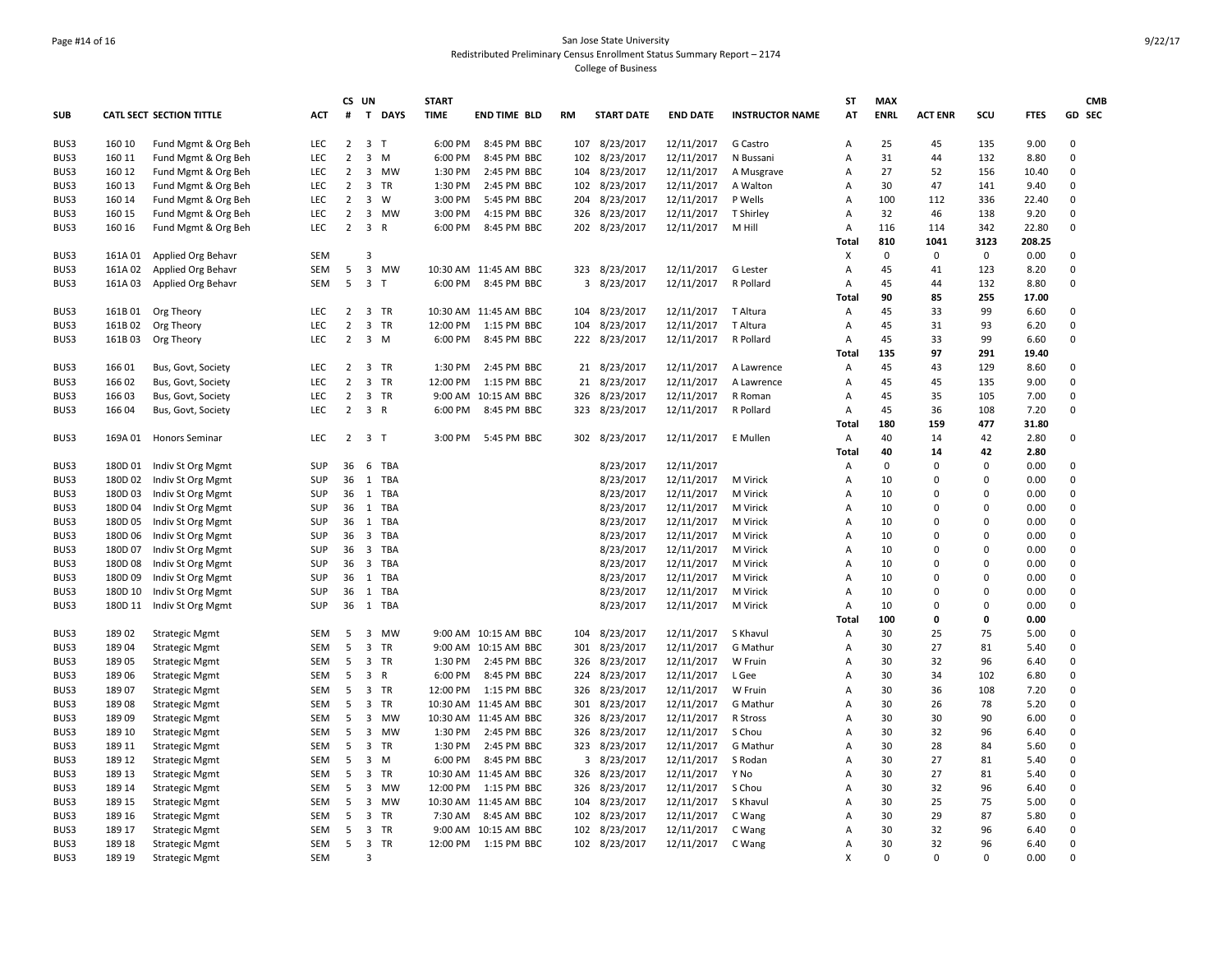### Page #14 of 16 San Jose State University Redistributed Preliminary Census Enrollment Status Summary Report – 2174 College of Business

|              |                |                                                |            |                | CS UN                   |                | <b>START</b> |                       |           |                            |                          |                        | <b>ST</b>    | <b>MAX</b>  |                |                      |              | <b>CMB</b>  |
|--------------|----------------|------------------------------------------------|------------|----------------|-------------------------|----------------|--------------|-----------------------|-----------|----------------------------|--------------------------|------------------------|--------------|-------------|----------------|----------------------|--------------|-------------|
| <b>SUB</b>   |                | <b>CATL SECT SECTION TITTLE</b>                | <b>ACT</b> | $\#$           |                         | T DAYS         | <b>TIME</b>  | <b>END TIME BLD</b>   | <b>RM</b> | <b>START DATE</b>          | <b>END DATE</b>          | <b>INSTRUCTOR NAME</b> | AT           | <b>ENRL</b> | <b>ACT ENR</b> | scu                  | <b>FTES</b>  | GD SEC      |
| BUS3         | 160 10         | Fund Mgmt & Org Beh                            | LEC        | $\overline{2}$ |                         | 3 <sub>T</sub> | 6:00 PM      | 8:45 PM BBC           | 107       | 8/23/2017                  | 12/11/2017               | G Castro               | Α            | 25          | 45             | 135                  | 9.00         | $\Omega$    |
| BUS3         | 160 11         | Fund Mgmt & Org Beh                            | <b>LEC</b> | $\overline{2}$ |                         | $3 \, M$       | 6:00 PM      | 8:45 PM BBC           | 102       | 8/23/2017                  | 12/11/2017               | N Bussani              | Α            | 31          | 44             | 132                  | 8.80         | $\mathbf 0$ |
| BUS3         | 160 12         | Fund Mgmt & Org Beh                            | <b>LEC</b> | $\overline{2}$ | 3                       | <b>MW</b>      | 1:30 PM      | 2:45 PM BBC           | 104       | 8/23/2017                  | 12/11/2017               | A Musgrave             | A            | 27          | 52             | 156                  | 10.40        | $\mathbf 0$ |
| BUS3         | 160 13         | Fund Mgmt & Org Beh                            | LEC        | $\overline{2}$ | 3                       | TR             | 1:30 PM      | 2:45 PM BBC           | 102       | 8/23/2017                  | 12/11/2017               | A Walton               | Α            | 30          | 47             | 141                  | 9.40         | $\mathbf 0$ |
| BUS3         | 160 14         | Fund Mgmt & Org Beh                            | <b>LEC</b> | $\overline{2}$ | $\overline{3}$          | W              | 3:00 PM      | 5:45 PM BBC           | 204       | 8/23/2017                  | 12/11/2017               | P Wells                | Α            | 100         | 112            | 336                  | 22.40        | $\mathbf 0$ |
| BUS3         | 160 15         | Fund Mgmt & Org Beh                            | LEC        | $\overline{2}$ | 3                       | MW             | 3:00 PM      | 4:15 PM BBC           | 326       | 8/23/2017                  | 12/11/2017               | T Shirley              | Α            | 32          | 46             | 138                  | 9.20         | $\Omega$    |
| BUS3         | 160 16         | Fund Mgmt & Org Beh                            | LEC        | $\overline{2}$ | 3 R                     |                | 6:00 PM      | 8:45 PM BBC           |           | 202 8/23/2017              | 12/11/2017               | M Hill                 | Α            | 116         | 114            | 342                  | 22.80        | $\mathbf 0$ |
|              |                |                                                |            |                |                         |                |              |                       |           |                            |                          |                        | <b>Total</b> | 810         | 1041           | 3123                 | 208.25       |             |
| BUS3         | 161A01         | Applied Org Behavr                             | <b>SEM</b> |                | 3                       |                |              |                       |           |                            |                          |                        | X            | $\mathbf 0$ | $\mathbf 0$    | $\mathbf 0$          | 0.00         | $\mathbf 0$ |
| BUS3         | 161A 02        | Applied Org Behavr                             | SEM        | 5              |                         | 3 MW           |              | 10:30 AM 11:45 AM BBC | 323       | 8/23/2017                  | 12/11/2017               | G Lester               | А            | 45          | 41             | 123                  | 8.20         | $\mathbf 0$ |
| BUS3         | 161A03         | Applied Org Behavr                             | SEM        | 5              |                         | 3 <sub>T</sub> | 6:00 PM      | 8:45 PM BBC           | 3         | 8/23/2017                  | 12/11/2017               | R Pollard              | Α            | 45          | 44             | 132                  | 8.80         | $\mathsf 0$ |
|              |                |                                                |            |                |                         |                |              |                       |           |                            |                          |                        | Total        | 90          | 85             | 255                  | 17.00        |             |
| BUS3         | 161B 01        | Org Theory                                     | <b>LEC</b> | $\overline{2}$ |                         | 3 TR           |              | 10:30 AM 11:45 AM BBC |           | 104 8/23/2017              | 12/11/2017               | T Altura               | Α            | 45          | 33             | 99                   | 6.60         | $\mathbf 0$ |
| BUS3         | 161B02         | Org Theory                                     | LEC        | $\overline{2}$ |                         | 3 TR           | 12:00 PM     | 1:15 PM BBC           | 104       | 8/23/2017                  | 12/11/2017               | T Altura               | А            | 45          | 31             | 93                   | 6.20         | $\mathsf 0$ |
| BUS3         | 161B03         | Org Theory                                     | LEC        | $\overline{2}$ |                         | $3 \, M$       | 6:00 PM      | 8:45 PM BBC           |           | 222 8/23/2017              | 12/11/2017               | R Pollard              | Α            | 45          | 33             | 99                   | 6.60         | $\mathbf 0$ |
|              |                |                                                |            |                |                         |                |              |                       |           |                            |                          |                        | <b>Total</b> | 135         | 97             | 291                  | 19.40        |             |
| BUS3         | 166 01         | Bus, Govt, Society                             | LEC        | $\overline{2}$ |                         | 3 TR           | 1:30 PM      | 2:45 PM BBC           |           | 21 8/23/2017               | 12/11/2017               | A Lawrence             | Α            | 45          | 43             | 129                  | 8.60         | $\mathbf 0$ |
| BUS3         | 166 02         | Bus, Govt, Society                             | <b>LEC</b> | $\overline{2}$ |                         | 3 TR           | 12:00 PM     | 1:15 PM BBC           | 21        | 8/23/2017                  | 12/11/2017               | A Lawrence             | A            | 45          | 45             | 135                  | 9.00         | $\mathbf 0$ |
| BUS3         | 16603          | Bus, Govt, Society                             | LEC        | $\overline{2}$ |                         | 3 TR           | 9:00 AM      | 10:15 AM BBC          | 326       | 8/23/2017                  | 12/11/2017               | R Roman                | Α            | 45          | 35             | 105                  | 7.00         | $\mathbf 0$ |
| BUS3         | 16604          | Bus, Govt, Society                             | LEC        | $\overline{2}$ |                         | 3 R            | 6:00 PM      | 8:45 PM BBC           | 323       | 8/23/2017                  | 12/11/2017               | R Pollard              | Α            | 45          | 36             | 108                  | 7.20         | $\mathbf 0$ |
|              |                |                                                |            |                |                         |                |              |                       |           |                            |                          |                        | <b>Total</b> | 180         | 159            | 477                  | 31.80        |             |
| BUS3         |                | 169A 01 Honors Seminar                         | LEC        |                | $2 \quad 3 \quad T$     |                | 3:00 PM      | 5:45 PM BBC           |           | 302 8/23/2017              | 12/11/2017               | E Mullen               | А            | 40          | 14             | 42                   | 2.80         | $\mathsf 0$ |
|              |                |                                                |            |                |                         |                |              |                       |           |                            |                          |                        | <b>Total</b> | 40          | 14             | 42                   | 2.80         |             |
| BUS3         | 180D 01        | Indiv St Org Mgmt                              | SUP        | 36             | 6                       | <b>TBA</b>     |              |                       |           | 8/23/2017                  | 12/11/2017               |                        | Α            | $\mathbf 0$ | $\mathbf 0$    | 0                    | 0.00         | $\mathbf 0$ |
| BUS3         | 180D 02        | Indiv St Org Mgmt                              | SUP        | 36             | 1                       | TBA            |              |                       |           | 8/23/2017                  | 12/11/2017               | M Virick               | Α            | 10          | $\mathbf 0$    | $\Omega$             | 0.00         | $\mathbf 0$ |
| BUS3         | 180D 03        | Indiv St Org Mgmt                              | SUP        | 36             |                         | 1 TBA          |              |                       |           | 8/23/2017                  | 12/11/2017               | M Virick               | A            | 10          | $\Omega$       | $\Omega$             | 0.00         | $\mathbf 0$ |
| BUS3         | 180D 04        | Indiv St Org Mgmt                              | SUP        | 36             |                         | 1 TBA          |              |                       |           | 8/23/2017                  | 12/11/2017               | M Virick               | А            | 10          | $\mathbf 0$    | $\mathbf 0$          | 0.00         | $\mathbf 0$ |
| BUS3         | 180D 05        | Indiv St Org Mgmt                              | <b>SUP</b> | 36             |                         | 1 TBA          |              |                       |           | 8/23/2017                  | 12/11/2017               | M Virick               | A            | 10          | $\Omega$       | $\Omega$             | 0.00         | $\mathbf 0$ |
| BUS3         | 180D 06        | Indiv St Org Mgmt                              | SUP        | 36             | $\overline{\mathbf{3}}$ | <b>TBA</b>     |              |                       |           | 8/23/2017                  | 12/11/2017               | M Virick               | Α            | 10          | $\mathbf 0$    | 0                    | 0.00         | $\mathbf 0$ |
| BUS3         | 180D 07        | Indiv St Org Mgmt                              | SUP        | 36             | $\overline{\mathbf{3}}$ | TBA            |              |                       |           | 8/23/2017                  | 12/11/2017               | M Virick               | А            | 10          | $\mathbf 0$    | $\Omega$             | 0.00         | $\mathbf 0$ |
| BUS3         | 180D 08        | Indiv St Org Mgmt                              | SUP        | 36             | $\overline{\mathbf{3}}$ | TBA            |              |                       |           | 8/23/2017                  | 12/11/2017               | M Virick               | Α            | 10          | $\Omega$       | $\Omega$             | 0.00         | $\mathbf 0$ |
| BUS3         | 180D 09        | Indiv St Org Mgmt                              | SUP        | 36             |                         | 1 TBA          |              |                       |           | 8/23/2017                  | 12/11/2017               | M Virick               | Α            | 10          | $\overline{0}$ | $\Omega$             | 0.00         | $\mathbf 0$ |
| BUS3         | 180D 10        | Indiv St Org Mgmt                              | SUP        | 36             |                         | 1 TBA          |              |                       |           | 8/23/2017                  | 12/11/2017               | M Virick               | A            | 10          | $\Omega$       | $\Omega$<br>$\Omega$ | 0.00         | $\mathbf 0$ |
| BUS3         | 180D 11        | Indiv St Org Mgmt                              | SUP        | 36             |                         | 1 TBA          |              |                       |           | 8/23/2017                  | 12/11/2017               | M Virick               | А            | 10          | $\mathbf 0$    |                      | 0.00         | $\mathbf 0$ |
|              |                |                                                | <b>SEM</b> | 5              |                         |                |              | 9:00 AM 10:15 AM BBC  |           |                            | 12/11/2017               |                        | Total        | 100<br>30   | 0<br>25        | 0<br>75              | 0.00         | $\mathbf 0$ |
| BUS3         | 18902<br>18904 | <b>Strategic Mgmt</b>                          | SEM        | 5              | 3                       | 3 MW<br>TR     |              | 9:00 AM 10:15 AM BBC  | 104       | 8/23/2017                  |                          | S Khavul<br>G Mathur   | Α            | 30          | 27             | 81                   | 5.00         | $\pmb{0}$   |
| BUS3<br>BUS3 |                | <b>Strategic Mgmt</b>                          | <b>SEM</b> |                |                         | 3 TR           | 1:30 PM      | 2:45 PM BBC           | 301       | 8/23/2017                  | 12/11/2017               | W Fruin                | А            | 30          | 32             | 96                   | 5.40<br>6.40 | $\mathbf 0$ |
|              | 18905          | <b>Strategic Mgmt</b>                          | SEM        | 5<br>5         |                         | 3 R            | 6:00 PM      | 8:45 PM BBC           | 326       | 8/23/2017<br>224 8/23/2017 | 12/11/2017<br>12/11/2017 | L Gee                  | A            | 30          | 34             | 102                  | 6.80         | $\Omega$    |
| BUS3<br>BUS3 | 18906<br>18907 | <b>Strategic Mgmt</b>                          | SEM        | 5              | 3                       | TR             | 12:00 PM     | 1:15 PM BBC           | 326       | 8/23/2017                  | 12/11/2017               | W Fruin                | Α<br>Α       | 30          | 36             | 108                  | 7.20         | $\mathbf 0$ |
| BUS3         | 18908          | <b>Strategic Mgmt</b>                          | <b>SEM</b> | 5              |                         | 3 TR           |              | 10:30 AM 11:45 AM BBC | 301       |                            |                          | G Mathur               | А            | 30          | 26             | 78                   | 5.20         | $\mathbf 0$ |
| BUS3         | 18909          | <b>Strategic Mgmt</b>                          | SEM        | 5              | $\overline{\mathbf{3}}$ | <b>MW</b>      |              | 10:30 AM 11:45 AM BBC | 326       | 8/23/2017<br>8/23/2017     | 12/11/2017<br>12/11/2017 | R Stross               | А            | 30          | 30             | 90                   | 6.00         | $\mathbf 0$ |
| BUS3         | 189 10         | <b>Strategic Mgmt</b>                          | <b>SEM</b> | 5              | 3                       | <b>MW</b>      | 1:30 PM      | 2:45 PM BBC           | 326       | 8/23/2017                  | 12/11/2017               | S Chou                 | A            | 30          | 32             | 96                   | 6.40         | $\mathbf 0$ |
| BUS3         | 189 11         | <b>Strategic Mgmt</b>                          | SEM        | 5              |                         | 3 TR           | 1:30 PM      | 2:45 PM BBC           | 323       | 8/23/2017                  | 12/11/2017               | G Mathur               | Α            | 30          | 28             | 84                   | 5.60         | $\mathsf 0$ |
| BUS3         | 189 12         | <b>Strategic Mgmt</b><br><b>Strategic Mgmt</b> | SEM        | 5              | 3                       | M              | 6:00 PM      | 8:45 PM BBC           | 3         | 8/23/2017                  | 12/11/2017               | S Rodan                | Α            | 30          | 27             | 81                   | 5.40         | $\mathbf 0$ |
| BUS3         | 189 13         |                                                | <b>SEM</b> | 5              | 3                       | <b>TR</b>      | 10:30 AM     | 11:45 AM BBC          | 326       | 8/23/2017                  | 12/11/2017               | Y No                   | А            | 30          | 27             | 81                   | 5.40         | $\mathbf 0$ |
| BUS3         | 189 14         | <b>Strategic Mgmt</b><br><b>Strategic Mgmt</b> | SEM        | 5              | $\overline{\mathbf{3}}$ | <b>MW</b>      | 12:00 PM     | 1:15 PM BBC           | 326       | 8/23/2017                  | 12/11/2017               | S Chou                 | А            | 30          | 32             | 96                   | 6.40         | $\mathsf 0$ |
| BUS3         | 189 15         | <b>Strategic Mgmt</b>                          | <b>SEM</b> | 5              |                         | 3 MW           |              | 10:30 AM 11:45 AM BBC | 104       | 8/23/2017                  | 12/11/2017               | S Khavul               | A            | 30          | 25             | 75                   | 5.00         | $\mathbf 0$ |
| BUS3         | 189 16         | <b>Strategic Mgmt</b>                          | SEM        | 5              |                         | 3 TR           | 7:30 AM      | 8:45 AM BBC           | 102       | 8/23/2017                  | 12/11/2017               | C Wang                 | Α            | 30          | 29             | 87                   | 5.80         | $\Omega$    |
| BUS3         | 189 17         | <b>Strategic Mgmt</b>                          | SEM        | 5              | 3                       | TR             | 9:00 AM      | 10:15 AM BBC          | 102       | 8/23/2017                  | 12/11/2017               | C Wang                 | Α            | 30          | 32             | 96                   | 6.40         | $\mathbf 0$ |
| BUS3         | 189 18         | <b>Strategic Mgmt</b>                          | <b>SEM</b> | 5              |                         | 3 TR           | 12:00 PM     | 1:15 PM BBC           |           | 102 8/23/2017              | 12/11/2017               | C Wang                 | А            | 30          | 32             | 96                   | 6.40         | $\mathbf 0$ |
| BUS3         | 189 19         | <b>Strategic Mgmt</b>                          | SEM        |                | 3                       |                |              |                       |           |                            |                          |                        | X            | $\Omega$    | $\Omega$       | $\Omega$             | 0.00         | $\Omega$    |
|              |                |                                                |            |                |                         |                |              |                       |           |                            |                          |                        |              |             |                |                      |              |             |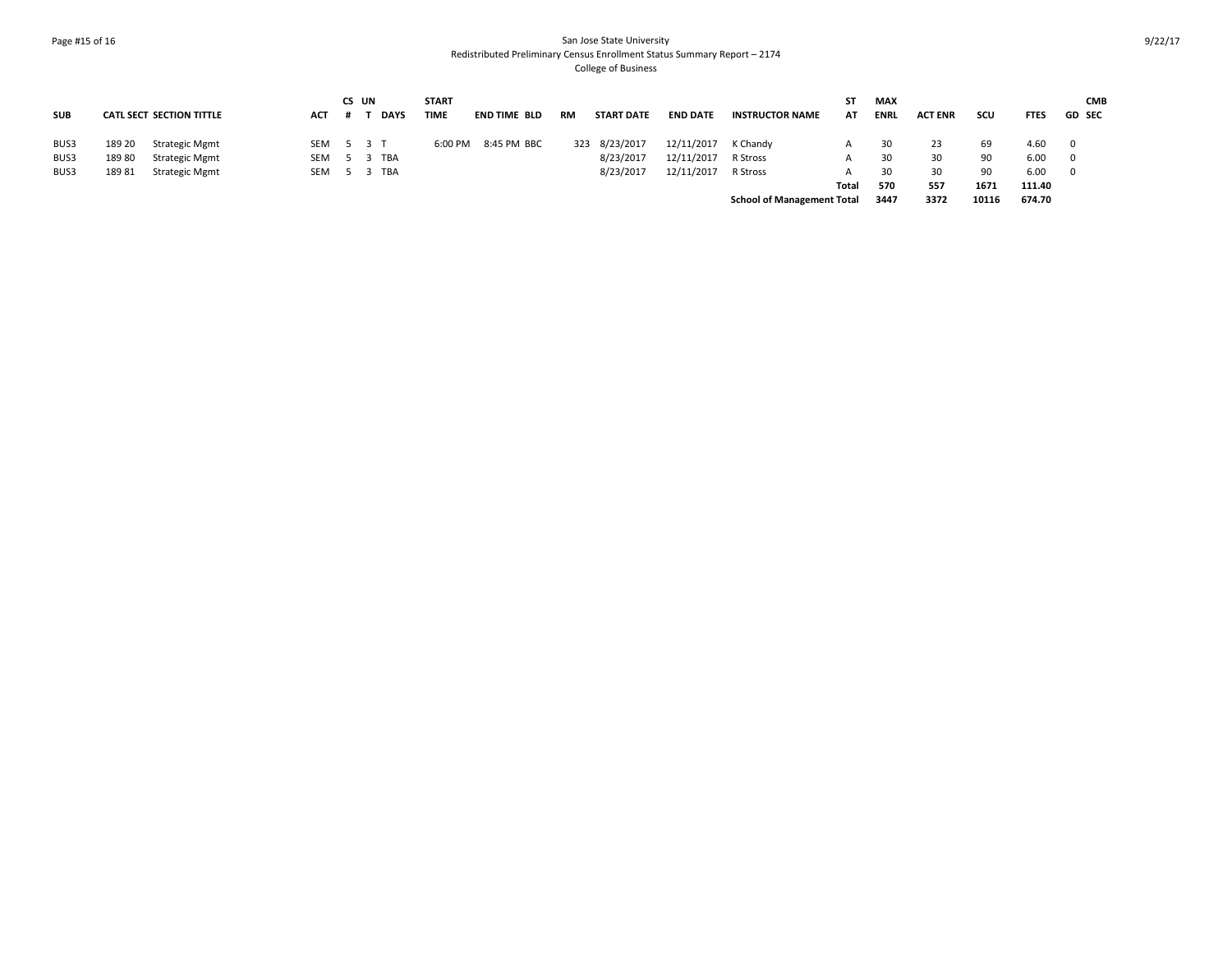### Page #15 of 16 San Jose State University Redistributed Preliminary Census Enrollment Status Summary Report – 2174 College of Business

|            |        |                                 |     | CS UN |             | <b>START</b> |                     |           |                   |                 |                                   | SΤ    | <b>MAX</b>  |                |       | <b>CMB</b>  |               |  |  |
|------------|--------|---------------------------------|-----|-------|-------------|--------------|---------------------|-----------|-------------------|-----------------|-----------------------------------|-------|-------------|----------------|-------|-------------|---------------|--|--|
| <b>SUB</b> |        | <b>CATL SECT SECTION TITTLE</b> | ACT |       | <b>DAYS</b> | <b>TIME</b>  | <b>END TIME BLD</b> | <b>RM</b> | <b>START DATE</b> | <b>END DATE</b> | <b>INSTRUCTOR NAME</b>            | AT    | <b>ENRL</b> | <b>ACT ENR</b> | scu   | <b>FTES</b> | <b>GD SEC</b> |  |  |
| BUS3       | 189 20 | Strategic Mgmt                  | SEM |       | 5 3 T       | 6:00 PM      | 8:45 PM BBC         | 323       | 8/23/2017         | 12/11/2017      | K Chandy                          |       |             | 23             | 69    | 4.60        | 0             |  |  |
| BUS3       | 18980  | <b>Strategic Mgmt</b>           | SEM |       | 5 3 TBA     |              |                     |           | 8/23/2017         | 12/11/2017      | R Stross                          |       | 30          | 30             | 90    | 6.00        | $\Omega$      |  |  |
| BUS3       | 18981  | <b>Strategic Mgmt</b>           | SEM |       | 5 3 TBA     |              |                     |           | 8/23/2017         | 12/11/2017      | R Stross                          |       | 30          | 30             | 90    | 6.00        | $\Omega$      |  |  |
|            |        |                                 |     |       |             |              |                     |           |                   |                 |                                   | Total | 570         | 557            | 1671  | 111.40      |               |  |  |
|            |        |                                 |     |       |             |              |                     |           |                   |                 | <b>School of Management Total</b> |       | 3447        | 3372           | 10116 | 674.70      |               |  |  |